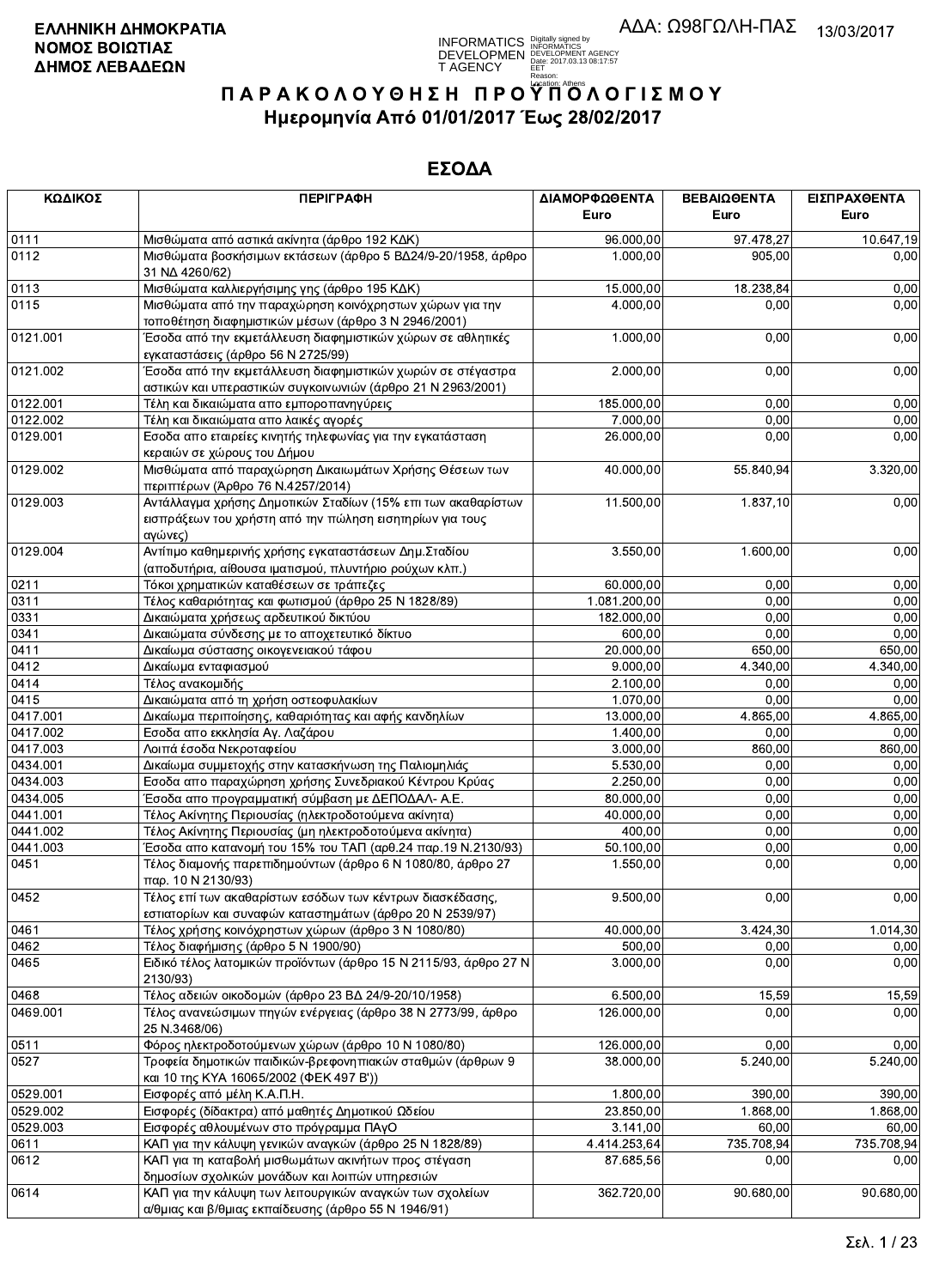**INFORMATICS** Digitally signed by<br>DEVELOPMEN DEVELOPMENT AGENCY<br>T AGENCY Early 2017.03.13 08:17:57<br>T AGENCY Early Contract BERT, 2017.03.13 08:17:57

# ΠΑΡΑΚΟΛΟΥΘΗΣΗ ΠΡΟΥΠΌΛΟΓΙΣΜΟΥ Ημερομηνία Από 01/01/2017 Έως 28/02/2017

| ΚΩΔΙΚΟΣ  | <b>ПЕРІГРАФН</b>                                                                                                                    | ΔΙΑΜΟΡΦΩΘΕΝΤΑ<br>Euro | ΒΕΒΑΙΩΘΕΝΤΑ<br>Euro | ΕΙΣΠΡΑΧΘΕΝΤΑ<br>Euro |
|----------|-------------------------------------------------------------------------------------------------------------------------------------|-----------------------|---------------------|----------------------|
| 0111     | Μισθώματα από αστικά ακίνητα (άρθρο 192 ΚΔΚ)                                                                                        | 96.000,00             | 97.478,27           | 10.647,19            |
| 0112     | Μισθώματα βοσκήσιμων εκτάσεων (άρθρο 5 ΒΔ24/9-20/1958, άρθρο<br>31 NA 4260/62)                                                      | 1.000,00              | 905,00              | 0,00                 |
| 0113     | Μισθώματα καλλιεργήσιμης γης (άρθρο 195 ΚΔΚ)                                                                                        | 15.000,00             | 18.238,84           | 0,00                 |
| 0115     | Μισθώματα από την παραχώρηση κοινόχρηστων χώρων για την<br>τοποθέτηση διαφημιστικών μέσων (άρθρο 3 Ν 2946/2001)                     | 4.000,00              | 0.00                | 0,00                 |
| 0121.001 | Έσοδα από την εκμετάλλευση διαφημιστικών χώρων σε αθλητικές<br>εγκαταστάσεις (άρθρο 56 Ν 2725/99)                                   | 1.000,00              | 0,00                | 0,00                 |
| 0121.002 | Έσοδα από την εκμετάλλευση διαφημιστικών χωρών σε στέγαστρα<br>αστικών και υπεραστικών συγκοινωνιών (άρθρο 21 Ν 2963/2001)          | 2.000,00              | 0,00                | 0,00                 |
| 0122.001 | Τέλη και δικαιώματα απο εμποροπανηγύρεις                                                                                            | 185.000,00            | 0,00                | 0,00                 |
| 0122.002 | Τέλη και δικαιώματα απο λαικές αγορές                                                                                               | 7.000,00              | 0,00                | 0,00                 |
| 0129.001 | Εσοδα απο εταιρείες κινητής τηλεφωνίας για την εγκατάσταση<br>κεραιών σε χώρους του Δήμου                                           | 26.000,00             | 0.00                | 0,00                 |
| 0129.002 | Μισθώματα από παραχώρηση Δικαιωμάτων Χρήσης Θέσεων των<br>περιπτέρων (Άρθρο 76 Ν.4257/2014)                                         | 40.000,00             | 55.840,94           | 3.320,00             |
| 0129.003 | Αντάλλαγμα χρήσης Δημοτικών Σταδίων (15% επι των ακαθαρίστων<br>εισπράξεων του χρήστη από την πώληση εισητηρίων για τους<br>αγώνες) | 11.500,00             | 1.837, 10           | 0,00                 |
| 0129.004 | Αντίτιμο καθημερινής χρήσης εγκαταστάσεων Δημ. Σταδίου<br>(αποδυτήρια, αίθουσα ιματισμού, πλυντήριο ρούχων κλπ.)                    | 3.550,00              | 1.600,00            | 0,00                 |
| 0211     | Τόκοι χρηματικών καταθέσεων σε τράπεζες                                                                                             | 60.000.00             | 0,00                | 0,00                 |
| 0311     | Τέλος καθαριότητας και φωτισμού (άρθρο 25 Ν 1828/89)                                                                                | 1.081.200,00          | 0,00                | 0,00                 |
| 0331     | Δικαιώματα χρήσεως αρδευτικού δικτύου                                                                                               | 182.000,00            | 0,00                | 0,00                 |
| 0341     | Δικαιώματα σύνδεσης με το αποχετευτικό δίκτυο                                                                                       | 600,00                | 0.00                | 0,00                 |
| 0411     | Δικαίωμα σύστασης οικογενειακού τάφου                                                                                               | 20.000,00             | 650,00              | 650,00               |
| 0412     | Δικαίωμα ενταφιασμού                                                                                                                | 9.000,00              | 4.340,00            | 4.340,00             |
| 0414     | Τέλος ανακομιδής                                                                                                                    | 2.100,00              | 0,00                | 0,00                 |
| 0415     | Δικαιώματα από τη χρήση οστεοφυλακίων                                                                                               | 1.070,00              | 0,00                | 0,00                 |
| 0417.001 | Δικαίωμα περιποίησης, καθαριότητας και αφής κανδηλίων                                                                               | 13.000,00             | 4.865,00            | 4.865,00             |
| 0417.002 | Εσοδα απο εκκλησία Αγ. Λαζάρου                                                                                                      | 1.400,00              | 0,00                | 0,00                 |
| 0417.003 | Λοιπά έσοδα Νεκροταφείου                                                                                                            | 3.000,00              | 860,00              | 860,00               |
| 0434.001 | Δικαίωμα συμμετοχής στην κατασκήνωση της Παλιομηλιάς                                                                                | 5.530,00              | 0,00                | 0,00                 |
| 0434.003 | Εσοδα απο παραχώρηση χρήσης Συνεδριακού Κέντρου Κρύας                                                                               | 2.250,00              | 0,00                | 0,00                 |
| 0434.005 | Έσοδα απο προγραμματική σύμβαση με ΔΕΠΟΔΑΛ- Α.Ε.                                                                                    | 80.000,00             | 0,00                | 0,00                 |
| 0441.001 | Τέλος Ακίνητης Περιουσίας (ηλεκτροδοτούμενα ακίνητα)                                                                                | 40.000,00             | 0,00                | 0,00                 |
| 0441.002 | Τέλος Ακίνητης Περιουσίας (μη ηλεκτροδοτούμενα ακίνητα)                                                                             | 400,00                | 0,00                | 0,00                 |
| 0441.003 | Έσοδα απο κατανομή του 15% του ΤΑΠ (αρθ.24 παρ.19 Ν.2130/93)                                                                        | 50.100,00             | 0,00                | 0,00                 |
| 0451     | Τέλος διαμονής παρεπιδημούντων (άρθρο 6 Ν 1080/80, άρθρο 27<br>παρ. 10 Ν 2130/93)                                                   | 1.550,00              | 0,00                | 0,00                 |
| 0452     | Τέλος επί των ακαθαρίστων εσόδων των κέντρων διασκέδασης,<br>εστιατορίων και συναφών καταστημάτων (άρθρο 20 Ν 2539/97)              | 9.500,00              | 0,00                | 0,00                 |
| 0461     | Τέλος χρήσης κοινόχρηστων χώρων (άρθρο 3 Ν 1080/80)                                                                                 | 40.000,00             | 3.424,30            | 1.014,30             |
| 0462     | Τέλος διαφήμισης (άρθρο 5 Ν 1900/90)                                                                                                | 500,00                | 0,00                | 0,00                 |
| 0465     | Ειδικό τέλος λατομικών προϊόντων (άρθρο 15 Ν 2115/93, άρθρο 27 Ν<br>2130/93)                                                        | 3.000,00              | 0,00                | 0,00                 |
| 0468     | Τέλος αδειών οικοδομών (άρθρο 23 ΒΔ 24/9-20/10/1958)                                                                                | 6.500,00              | 15,59               | 15,59                |
| 0469.001 | Τέλος ανανεώσιμων πηγών ενέργειας (άρθρο 38 Ν 2773/99, άρθρο<br>25 N.3468/06)                                                       | 126.000,00            | 0.00                | 0,00                 |
| 0511     | Φόρος ηλεκτροδοτούμενων χώρων (άρθρο 10 Ν 1080/80)                                                                                  | 126.000,00            | 0,00                | 0,00                 |
| 0527     | Τροφεία δημοτικών παιδικών-βρεφονηπιακών σταθμών (άρθρων 9<br>και 10 της ΚΥΑ 16065/2002 (ΦΕΚ 497 Β'))                               | 38.000,00             | 5.240,00            | 5.240,00             |
| 0529.001 | Εισφορές από μέλη Κ.Α.Π.Η.                                                                                                          | 1.800,00              | 390,00              | 390,00               |
| 0529.002 | Εισφορές (δίδακτρα) από μαθητές Δημοτικού Ωδείου                                                                                    | 23.850,00             | 1.868,00            | 1.868,00             |
| 0529.003 | Εισφορές αθλουμένων στο πρόγραμμα ΠΑγΟ                                                                                              | 3.141,00              | 60,00               | 60,00                |
| 0611     | ΚΑΠ για την κάλυψη γενικών αναγκών (άρθρο 25 Ν 1828/89)                                                                             | 4.414.253,64          | 735.708,94          | 735.708,94           |
| 0612     | ΚΑΠ για τη καταβολή μισθωμάτων ακινήτων προς στέγαση<br>δημοσίων σχολικών μονάδων και λοιπών υπηρεσιών                              | 87.685,56             | 0.00                | 0,00                 |
| 0614     | ΚΑΠ για την κάλυψη των λειτουργικών αναγκών των σχολείων<br>α/θμιας και β/θμιας εκπαίδευσης (άρθρο 55 Ν 1946/91)                    | 362.720,00            | 90.680,00           | 90.680,00            |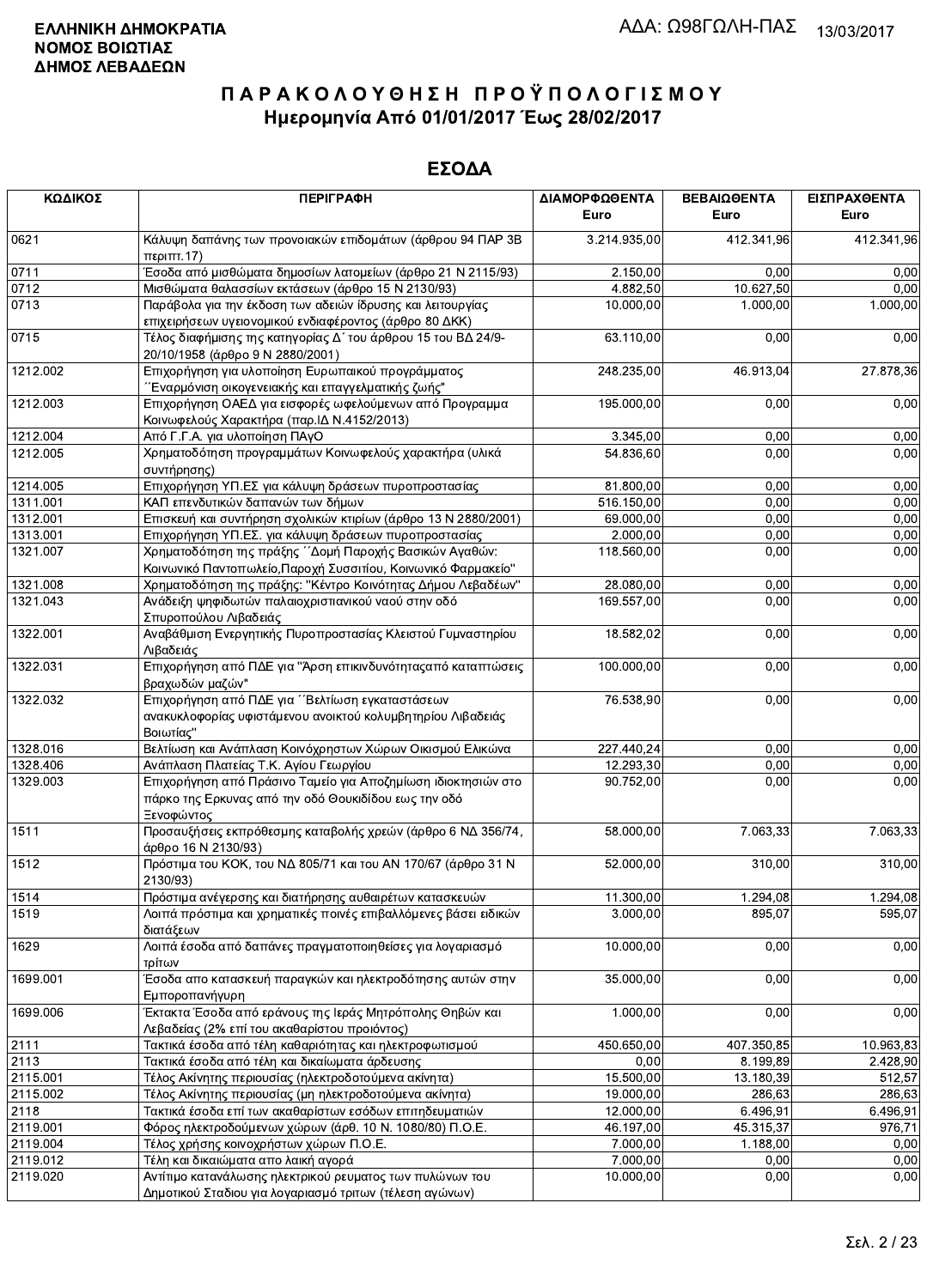| ΚΩΔΙΚΟΣ  | <b>ПЕРІГРАФН</b>                                                                                                                    | ΔΙΑΜΟΡΦΩΘΕΝΤΑ<br>Euro | ΒΕΒΑΙΩΘΕΝΤΑ<br>Euro | ΕΙΣΠΡΑΧΘΕΝΤΑ<br>Euro |
|----------|-------------------------------------------------------------------------------------------------------------------------------------|-----------------------|---------------------|----------------------|
| 0621     | Κάλυψη δαπάνης των προνοιακών επιδομάτων (άρθρου 94 ΠΑΡ 3Β<br>περ <sub>1</sub> ππ.17                                                | 3.214.935,00          | 412.341,96          | 412.341,96           |
| 0711     | Έσοδα από μισθώματα δημοσίων λατομείων (άρθρο 21 Ν 2115/93)                                                                         | 2.150,00              | 0,00                | 0,00                 |
| 0712     | Μισθώματα θαλασσίων εκτάσεων (άρθρο 15 Ν 2130/93)                                                                                   | 4.882,50              | 10.627,50           | 0,00                 |
| 0713     | Παράβολα για την έκδοση των αδειών ίδρυσης και λειτουργίας<br>επιχειρήσεων υγειονομικού ενδιαφέροντος (άρθρο 80 ΔΚΚ)                | 10.000,00             | 1.000,00            | 1.000,00             |
| 0715     | Τέλος διαφήμισης της κατηγορίας Δ΄ του άρθρου 15 του ΒΔ 24/9-<br>20/10/1958 (άρθρο 9 Ν 2880/2001)                                   | 63.110,00             | 0,00                | 0,00                 |
| 1212.002 | Επιχορήγηση για υλοποίηση Ευρωπαικού προγράμματος<br>"Έναρμόνιση οικογενειακής και επαγγελματικής ζωής"                             | 248.235,00            | 46.913,04           | 27.878,36            |
| 1212.003 | Επιχορήγηση ΟΑΕΔ για εισφορές ωφελούμενων από Προγραμμα<br>Κοινωφελούς Χαρακτήρα (παρ. ΙΔ Ν.4152/2013)                              | 195.000,00            | 0,00                | 0,00                 |
| 1212.004 | Από Γ.Γ.Α. για υλοποίηση ΠΑγΟ                                                                                                       | 3.345,00              | 0,00                | 0,00                 |
| 1212.005 | Χρηματοδότηση προγραμμάτων Κοινωφελούς χαρακτήρα (υλικά<br>συντήρησης)                                                              | 54.836,60             | 0,00                | 0,00                 |
| 1214.005 | Επιχορήγηση ΥΠ.ΕΣ για κάλυψη δράσεων πυροπροστασίας                                                                                 | 81.800,00             | 0,00                | 0,00                 |
| 1311.001 | ΚΑΠ επενδυτικών δαπανών των δήμων                                                                                                   | 516.150,00            | 0,00                | 0,00                 |
| 1312.001 | Επισκευή και συντήρηση σχολικών κτιρίων (άρθρο 13 Ν 2880/2001)                                                                      | 69.000.00             | 0,00                | 0,00                 |
| 1313.001 | Επιχορήγηση ΥΠ.ΕΣ. για κάλυψη δράσεων πυροπροστασίας                                                                                | 2.000.00              | 0,00                | 0,00                 |
| 1321.007 | Χρηματοδότηση της πράξης ΄ Δομή Παροχής Βασικών Αγαθών:<br>Κοινωνικό Παντοπωλείο, Παροχή Συσσιτίου, Κοινωνικό Φαρμακείο"            | 118.560,00            | 0,00                | 0,00                 |
| 1321.008 | Χρηματοδότηση της πράξης: "Κέντρο Κοινότητας Δήμου Λεβαδέων"                                                                        | 28.080,00             | 0,00                | 0,00                 |
| 1321.043 | Ανάδειξη ψηφιδωτών παλαιοχριστιανικού ναού στην οδό<br>Σπυροπούλου Λιβαδειάς                                                        | 169.557,00            | 0,00                | 0,00                 |
| 1322.001 | Αναβάθμιση Ενεργητικής Πυροπροστασίας Κλειστού Γυμναστηρίου<br>Λιβαδειάς                                                            | 18.582,02             | 0,00                | 0,00                 |
| 1322.031 | Επιχορήγηση από ΠΔΕ για "Άρση επικινδυνότητας από καταπτώσεις<br>βραχωδών μαζών"                                                    | 100.000,00            | 0,00                | 0,00                 |
| 1322.032 | Επιχορήγηση από ΠΔΕ για ''Βελτίωση εγκαταστάσεων<br>ανακυκλοφορίας υφιστάμενου ανοικτού κολυμβητηρίου Λιβαδειάς<br>Βοιωτίας"        | 76.538,90             | 0,00                | 0,00                 |
| 1328.016 | Βελτίωση και Ανάπλαση Κοινόχρηστων Χώρων Οικισμού Ελικώνα                                                                           | 227.440,24            | 0,00                | 0,00                 |
| 1328.406 | Ανάπλαση Πλατείας Τ.Κ. Αγίου Γεωργίου                                                                                               | 12.293,30             | 0,00                | 0,00                 |
| 1329.003 | Επιχορήγηση από Πράσινο Ταμείο για Αποζημίωση ιδιοκτησιών στο<br>πάρκο της Ερκυνας από την οδό Θουκιδίδου εως την οδό<br>Ξενοφώντος | 90.752,00             | 0,00                | 0,00                 |
| 1511     | Προσαυξήσεις εκπρόθεσμης καταβολής χρεών (άρθρο 6 ΝΔ 356/74,<br>άρθρο 16 Ν 2130/93)                                                 | 58.000.00             | 7.063,33            | 7.063,33             |
| 1512     | Πρόστιμα του ΚΟΚ, του ΝΔ 805/71 και του ΑΝ 170/67 (άρθρο 31 Ν<br>2130/93)                                                           | 52.000,00             | 310,00              | 310,00               |
| 1514     | Πρόστιμα ανέγερσης και διατήρησης αυθαιρέτων κατασκευών                                                                             | 11.300,00             | 1.294,08            | 1.294,08             |
| 1519     | Λοιπά πρόστιμα και χρηματικές ποινές επιβαλλόμενες βάσει ειδικών<br>διατάξεων                                                       | 3.000,00              | 895,07              | 595,07               |
| 1629     | Λοιπά έσοδα από δαπάνες πραγματοποιηθείσες για λογαριασμό<br>τρίτων                                                                 | 10.000,00             | 0,00                | 0,00                 |
| 1699.001 | Έσοδα απο κατασκευή παραγκών και ηλεκτροδότησης αυτών στην<br>Εμποροπανήγυρη                                                        | 35.000,00             | 0,00                | 0,00                 |
| 1699.006 | Έκτακτα Έσοδα από εράνους της Ιεράς Μητρόπολης Θηβών και<br>Λεβαδείας (2% επί του ακαθαρίστου προιόντος)                            | 1.000,00              | 0,00                | 0,00                 |
| 2111     | Τακτικά έσοδα από τέλη καθαριότητας και ηλεκτροφωτισμού                                                                             | 450.650,00            | 407.350,85          | 10.963,83            |
| 2113     | Τακτικά έσοδα από τέλη και δικαίωματα άρδευσης                                                                                      | 0,00                  | 8.199,89            | 2.428,90             |
| 2115.001 | Τέλος Ακίνητης περιουσίας (ηλεκτροδοτούμενα ακίνητα)                                                                                | 15.500,00             | 13.180,39           | 512,57               |
| 2115.002 | Τέλος Ακίνητης περιουσίας (μη ηλεκτροδοτούμενα ακίνητα)                                                                             | 19.000,00             | 286,63              | 286,63               |
| 2118     | Τακτικά έσοδα επί των ακαθαρίστων εσόδων επιτηδευματιών                                                                             | 12.000,00             | 6.496,91            | 6.496,91             |
| 2119.001 | Φόρος ηλεκτροδούμενων χώρων (άρθ. 10 Ν. 1080/80) Π.Ο.Ε.                                                                             | 46.197,00             | 45.315,37           | 976,71               |
| 2119.004 | Τέλος χρήσης κοινοχρήστων χώρων Π.Ο.Ε.                                                                                              | 7.000,00              | 1.188,00            | 0,00                 |
| 2119.012 | Τέλη και δικαιώματα απο λαική αγορά                                                                                                 | 7.000,00              | 0,00                | 0,00                 |
| 2119.020 | Αντίτιμο κατανάλωσης ηλεκτρικού ρευματος των πυλώνων του                                                                            | 10.000,00             | 0,00                | 0,00                 |
|          | Δημοτικού Σταδιου για λογαριασμό τριτων (τέλεση αγώνων)                                                                             |                       |                     |                      |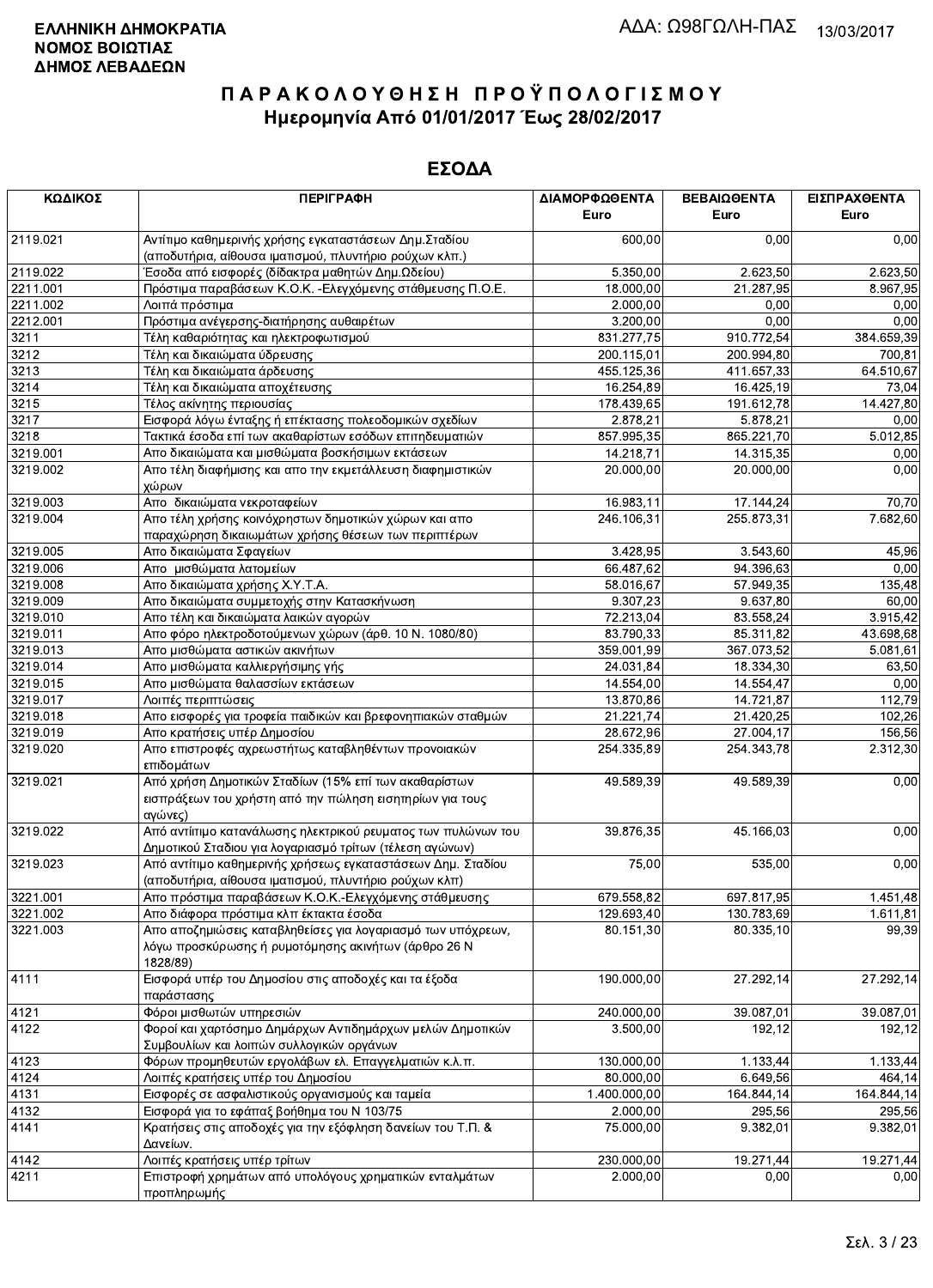| ΚΩΔΙΚΟΣ  | <b>ПЕРІГРАФН</b>                                                                                                         | ΔΙΑΜΟΡΦΩΘΕΝΤΑ<br><b>Euro</b> | ΒΕΒΑΙΩΘΕΝΤΑ<br>Euro | ΕΙΣΠΡΑΧΘΕΝΤΑ<br>Euro |
|----------|--------------------------------------------------------------------------------------------------------------------------|------------------------------|---------------------|----------------------|
| 2119.021 | Αντίτιμο καθημερινής χρήσης εγκαταστάσεων Δημ. Σταδίου<br>(αποδυτήρια, αίθουσα ιματισμού, πλυντήριο ρούχων κλπ.)         | 600,00                       | 0,00                | 0,00                 |
| 2119.022 | Έσοδα από εισφορές (δίδακτρα μαθητών Δημ.Ωδείου)                                                                         | 5.350,00                     | 2.623,50            | 2.623,50             |
| 2211.001 | Πρόστιμα παραβάσεων Κ.Ο.Κ. - Ελεγχόμενης στάθμευσης Π.Ο.Ε.                                                               | 18.000,00                    | 21.287,95           | 8.967,95             |
| 2211.002 | Λοιπά πρόστιμα                                                                                                           | 2.000,00                     | 0,00                | 0,00                 |
| 2212.001 | Πρόστιμα ανέγερσης-διατήρησης αυθαιρέτων                                                                                 | 3.200,00                     | 0,00                | 0,00                 |
| 3211     | Τέλη καθαριότητας και ηλεκτροφωτισμού                                                                                    | 831.277,75                   | 910.772,54          | 384.659,39           |
| 3212     | Τέλη και δικαιώματα ύδρευσης                                                                                             | 200.115,01                   | 200.994,80          | 700,81               |
| 3213     | Τέλη και δικαιώματα άρδευσης                                                                                             | 455.125,36                   | 411.657,33          | 64.510,67            |
| 3214     | Τέλη και δικαιώματα αποχέτευσης                                                                                          | 16.254,89                    | 16.425,19           | 73,04                |
| 3215     | Τέλος ακίνητης περιουσίας                                                                                                | 178.439,65                   | 191.612,78          | 14.427,80            |
| 3217     | Εισφορά λόγω ένταξης ή επέκτασης πολεοδομικών σχεδίων                                                                    | 2.878,21                     | 5.878,21            | 0,00                 |
| 3218     | Τακτικά έσοδα επί των ακαθαρίστων εσόδων επιτηδευματιών                                                                  | 857.995,35                   | 865.221,70          | 5.012,85             |
| 3219.001 | Απο δικαιώματα και μισθώματα βοσκήσιμων εκτάσεων                                                                         | 14.218,71                    | 14.315,35           | 0,00                 |
| 3219.002 | Απο τέλη διαφήμισης και απο την εκμετάλλευση διαφημιστικών                                                               | 20.000,00                    | 20.000,00           | 0,00                 |
|          | χώρων                                                                                                                    |                              |                     |                      |
| 3219.003 | Απο δικαιώματα νεκροταφείων                                                                                              | 16.983,11                    | 17.144,24           | 70,70                |
| 3219.004 | Απο τέλη χρήσης κοινόχρηστων δημοτικών χώρων και απο                                                                     | 246.106,31                   | 255.873,31          | 7.682,60             |
|          | παραχώρηση δικαιωμάτων χρήσης θέσεων των περιπτέρων                                                                      |                              |                     |                      |
| 3219.005 | Απο δικαιώματα Σφαγείων                                                                                                  | 3.428,95                     | 3.543,60            | 45,96                |
| 3219.006 | Απο μισθώματα λατομείων                                                                                                  | 66.487,62                    | 94.396,63           | 0,00                 |
| 3219.008 | Απο δικαιώματα χρήσης Χ.Υ.Τ.Α.                                                                                           | 58.016,67                    | 57.949,35           | 135,48               |
| 3219.009 | Απο δικαιώματα συμμετοχής στην Κατασκήνωση                                                                               | 9.307,23                     | 9.637,80            | 60,00                |
| 3219.010 | Απο τέλη και δικαιώματα λαικών αγορών                                                                                    | 72.213,04                    | 83.558,24           | 3.915,42             |
| 3219.011 | Απο φόρο ηλεκτροδοτούμενων χώρων (άρθ. 10 Ν. 1080/80)                                                                    | 83.790,33                    | 85.311,82           | 43.698,68            |
| 3219.013 | Απο μισθώματα αστικών ακινήτων                                                                                           | 359.001,99                   | 367.073,52          | 5.081,61             |
| 3219.014 | Απο μισθώματα καλλιεργήσιμης γής                                                                                         | 24.031,84                    | 18.334,30           | 63,50                |
| 3219.015 | Απο μισθώματα θαλασσίων εκτάσεων                                                                                         | 14.554,00                    | 14.554,47           | 0,00                 |
| 3219.017 | Λοιπές περιπτώσεις                                                                                                       | 13.870,86                    | 14.721,87           | 112,79               |
| 3219.018 | Απο εισφορές για τροφεία παιδικών και βρεφονηπιακών σταθμών                                                              | 21.221,74                    | 21.420,25           | 102,26               |
| 3219.019 | Απο κρατήσεις υπέρ Δημοσίου                                                                                              | 28.672,96                    | 27.004,17           | 156,56               |
| 3219.020 | Απο επιστροφές αχρεωστήτως καταβληθέντων προνοιακών<br>επιδομάτων                                                        | 254.335,89                   | 254.343,78          | 2.312,30             |
| 3219.021 | Από χρήση Δημοτικών Σταδίων (15% επί των ακαθαρίστων                                                                     | 49.589,39                    | 49.589,39           | 0,00                 |
|          | εισπράξεων του χρήστη από την πώληση εισητηρίων για τους<br>αγώνες)                                                      |                              |                     |                      |
| 3219.022 | Από αντίιτιμο κατανάλωσης ηλεκτρικού ρευματος των πυλώνων του<br>Δημοτικού Σταδιου για λογαριασμό τρίτων (τέλεση αγώνων) | 39.876,35                    | 45.166,03           | 0,00                 |
| 3219.023 | Από αντίτιμο καθημερινής χρήσεως εγκαταστάσεων Δημ. Σταδίου                                                              | 75,00                        | 535,00              | 0,00                 |
|          | (αποδυτήρια, αίθουσα ιματισμού, πλυντήριο ρούχων κλπ)                                                                    |                              |                     |                      |
| 3221.001 | Απο πρόστιμα παραβάσεων Κ.Ο.Κ.-Ελεγχόμενης στάθμευσης                                                                    | 679.558,82                   | 697.817,95          | 1.451,48             |
| 3221.002 | Απο διάφορα πρόστιμα κλπ έκτακτα έσοδα                                                                                   | 129.693.40                   | 130.783,69          | 1.611,81             |
| 3221.003 | Απο αποζημιώσεις καταβληθείσες για λογαριασμό των υπόχρεων,                                                              | 80.151,30                    | 80.335,10           | 99,39                |
|          | λόγω προσκύρωσης ή ρυμοτόμησης ακινήτων (άρθρο 26 Ν<br>1828/89)                                                          |                              |                     |                      |
| 4111     | Εισφορά υπέρ του Δημοσίου στις αποδοχές και τα έξοδα                                                                     | 190.000,00                   | 27.292,14           | 27.292,14            |
|          | παράστασης                                                                                                               |                              |                     |                      |
| 4121     | Φόροι μισθωτών υπηρεσιών                                                                                                 | 240.000,00                   | 39.087,01           | 39.087,01            |
| 4122     | Φοροί και χαρτόσημο Δημάρχων Αντιδημάρχων μελών Δημοτικών                                                                | 3.500,00                     | 192,12              | 192,12               |
|          | Συμβουλίων και λοιπών συλλογικών οργάνων                                                                                 |                              |                     |                      |
| 4123     | Φόρων προμηθευτών εργολάβων ελ. Επαγγελματιών κ.λ.π.                                                                     | 130.000,00                   | 1.133,44            | 1.133,44             |
| 4124     | Λοιπές κρατήσεις υπέρ του Δημοσίου                                                                                       | 80.000,00                    | 6.649,56            | 464,14               |
| 4131     | Εισφορές σε ασφαλιστικούς οργανισμούς και ταμεία                                                                         | 1.400.000,00                 | 164.844,14          | 164.844,14           |
| 4132     | Εισφορά για το εφάπαξ βοήθημα του Ν 103/75                                                                               | 2.000,00                     | 295,56              | 295,56               |
| 4141     | Κρατήσεις στις αποδοχές για την εξόφληση δανείων του Τ.Π. &<br>Δανείων.                                                  | 75.000,00                    | 9.382,01            | 9.382,01             |
| 4142     | Λοιπές κρατήσεις υπέρ τρίτων                                                                                             | 230.000,00                   | 19.271,44           | 19.271,44            |
| 4211     | Επιστροφή χρημάτων από υπολόγους χρηματικών ενταλμάτων<br>προπληρωμής                                                    | 2.000,00                     | 0,00                | 0,00                 |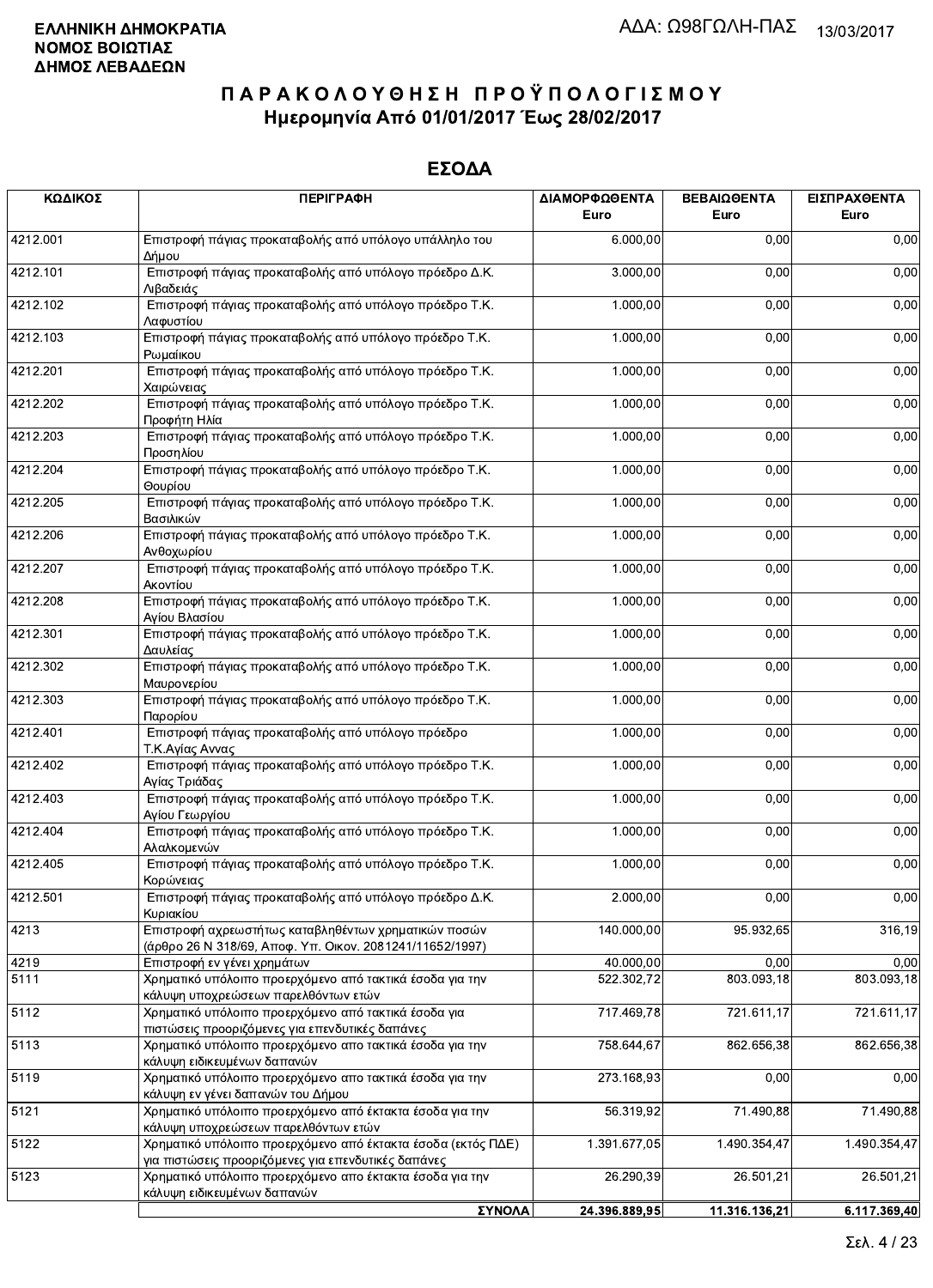| ΚΩΔΙΚΟΣ  | <b>ПЕРІГРАФН</b>                                                                                                    | ΔΙΑΜΟΡΦΩΘΕΝΤΑ<br>Euro | ΒΕΒΑΙΩΘΕΝΤΑ<br>Euro | ΕΙΣΠΡΑΧΘΕΝΤΑ<br>Euro |
|----------|---------------------------------------------------------------------------------------------------------------------|-----------------------|---------------------|----------------------|
| 4212.001 | Επιστροφή πάγιας προκαταβολής από υπόλογο υπάλληλο του<br>Δήμου                                                     | 6.000,00              | 0,00                | 0,00                 |
| 4212.101 | Επιστροφή πάγιας προκαταβολής από υπόλογο πρόεδρο Δ.Κ.<br>Λιβαδειάς                                                 | 3.000,00              | 0,00                | 0,00                 |
| 4212.102 | Επιστροφή πάγιας προκαταβολής από υπόλογο πρόεδρο Τ.Κ.<br>Λαφυστίου                                                 | 1.000,00              | 0,00                | 0,00                 |
| 4212.103 | Επιστροφή πάγιας προκαταβολής από υπόλογο πρόεδρο Τ.Κ.<br>Ρωμαίικου                                                 | 1.000,00              | 0,00                | 0,00                 |
| 4212.201 | Επιστροφή πάγιας προκαταβολής από υπόλογο πρόεδρο Τ.Κ.<br>Χαιρώνειας                                                | 1.000,00              | 0,00                | 0,00                 |
| 4212.202 | Επιστροφή πάγιας προκαταβολής από υπόλογο πρόεδρο Τ.Κ.<br>Προφήτη Ηλία                                              | 1.000,00              | 0,00                | 0,00                 |
| 4212.203 | Επιστροφή πάγιας προκαταβολής από υπόλογο πρόεδρο Τ.Κ.<br>Προσηλίου                                                 | 1.000,00              | 0,00                | 0,00                 |
| 4212.204 | Επιστροφή πάγιας προκαταβολής από υπόλογο πρόεδρο Τ.Κ.<br>Θουρίου                                                   | 1.000,00              | 0,00                | 0,00                 |
| 4212.205 | Επιστροφή πάγιας προκαταβολής από υπόλογο πρόεδρο Τ.Κ.<br>Βασιλικών                                                 | 1.000,00              | 0,00                | 0,00                 |
| 4212.206 | Επιστροφή πάγιας προκαταβολής από υπόλογο πρόεδρο Τ.Κ.<br>Ανθοχωρίου                                                | 1.000,00              | 0,00                | 0,00                 |
| 4212.207 | Επιστροφή πάγιας προκαταβολής από υπόλογο πρόεδρο Τ.Κ.<br>Ακοντίου                                                  | 1.000,00              | 0,00                | 0,00                 |
| 4212.208 | Επιστροφή πάγιας προκαταβολής από υπόλογο πρόεδρο Τ.Κ.<br>Αγίου Βλασίου                                             | 1.000,00              | 0,00                | 0,00                 |
| 4212.301 | Επιστροφή πάγιας προκαταβολής από υπόλογο πρόεδρο Τ.Κ.<br>Δαυλείας                                                  | 1.000,00              | 0,00                | 0,00                 |
| 4212.302 | Επιστροφή πάγιας προκαταβολής από υπόλογο πρόεδρο Τ.Κ.<br>Μαυρονερίου                                               | 1.000,00              | 0,00                | 0,00                 |
| 4212.303 | Επιστροφή πάγιας προκαταβολής από υπόλογο πρόεδρο Τ.Κ.<br>Παρορίου                                                  | 1.000,00              | 0,00                | 0,00                 |
| 4212.401 | Επιστροφή πάγιας προκαταβολής από υπόλογο πρόεδρο<br>Τ.Κ.Αγίας Αννας                                                | 1.000,00              | 0,00                | 0,00                 |
| 4212.402 | Επιστροφή πάγιας προκαταβολής από υπόλογο πρόεδρο Τ.Κ.<br>Αγίας Τριάδας                                             | 1.000,00              | 0,00                | 0,00                 |
| 4212.403 | Επιστροφή πάγιας προκαταβολής από υπόλογο πρόεδρο Τ.Κ.<br>Αγίου Γεωργίου                                            | 1.000,00              | 0,00                | 0,00                 |
| 4212.404 | Επιστροφή πάγιας προκαταβολής από υπόλογο πρόεδρο Τ.Κ.<br>Αλαλκομενών                                               | 1.000,00              | 0,00                | 0,00                 |
| 4212.405 | Επιστροφή πάγιας προκαταβολής από υπόλογο πρόεδρο Τ.Κ.<br>Κορώνειας                                                 | 1.000,00              | 0,00                | 0,00                 |
| 4212.501 | Επιστροφή πάγιας προκαταβολής από υπόλογο πρόεδρο Δ.Κ.<br>Κυριακίου                                                 | 2.000,00              | 0,00                | 0,00                 |
| 4213     | Επιστροφή αχρεωστήτως καταβληθέντων χρηματικών ποσών<br>(άρθρο 26 Ν 318/69, Αποφ. Υπ. Οικον. 2081241/11652/1997)    | 140.000,00            | 95.932,65           | 316,19               |
| 4219     | Επιστροφή εν γένει χρημάτων                                                                                         | 40.000,00             | 0,00                | 0,00                 |
| 5111     | Χρηματικό υπόλοιπο προερχόμενο από τακτικά έσοδα για την<br>κάλυψη υποχρεώσεων παρελθόντων ετών                     | 522.302,72            | 803.093,18          | 803.093,18           |
| 5112     | Χρηματικό υπόλοιπο προερχόμενο από τακτικά έσοδα για<br>πιστώσεις προοριζόμενες για επενδυτικές δαπάνες             | 717.469,78            | 721.611,17          | 721.611,17           |
| 5113     | Χρηματικό υπόλοιπο προερχόμενο απο τακτικά έσοδα για την<br>κάλυψη ειδικευμένων δαπανών                             | 758.644,67            | 862.656,38          | 862.656,38           |
| 5119     | Χρηματικό υπόλοιπο προερχόμενο απο τακτικά έσοδα για την<br>κάλυψη εν γένει δαπανών του Δήμου                       | 273.168,93            | 0,00                | 0,00                 |
| 5121     | Χρηματικό υπόλοιπο προερχόμενο από έκτακτα έσοδα για την<br>κάλυψη υποχρεώσεων παρελθόντων ετών                     | 56.319,92             | 71.490,88           | 71.490,88            |
| 5122     | Χρηματικό υπόλοιπο προερχόμενο από έκτακτα έσοδα (εκτός ΠΔΕ)<br>για πιστώσεις προοριζόμενες για επενδυτικές δαπάνες | 1.391.677,05          | 1.490.354,47        | 1.490.354,47         |
| 5123     | Χρηματικό υπόλοιπο προερχόμενο απο έκτακτα έσοδα για την<br>κάλυψη ειδικευμένων δαπανών                             | 26.290,39             | 26.501,21           | 26.501,21            |
|          | ΣΥΝΟΛΑ                                                                                                              | 24.396.889,95         | 11.316.136,21       | 6.117.369,40         |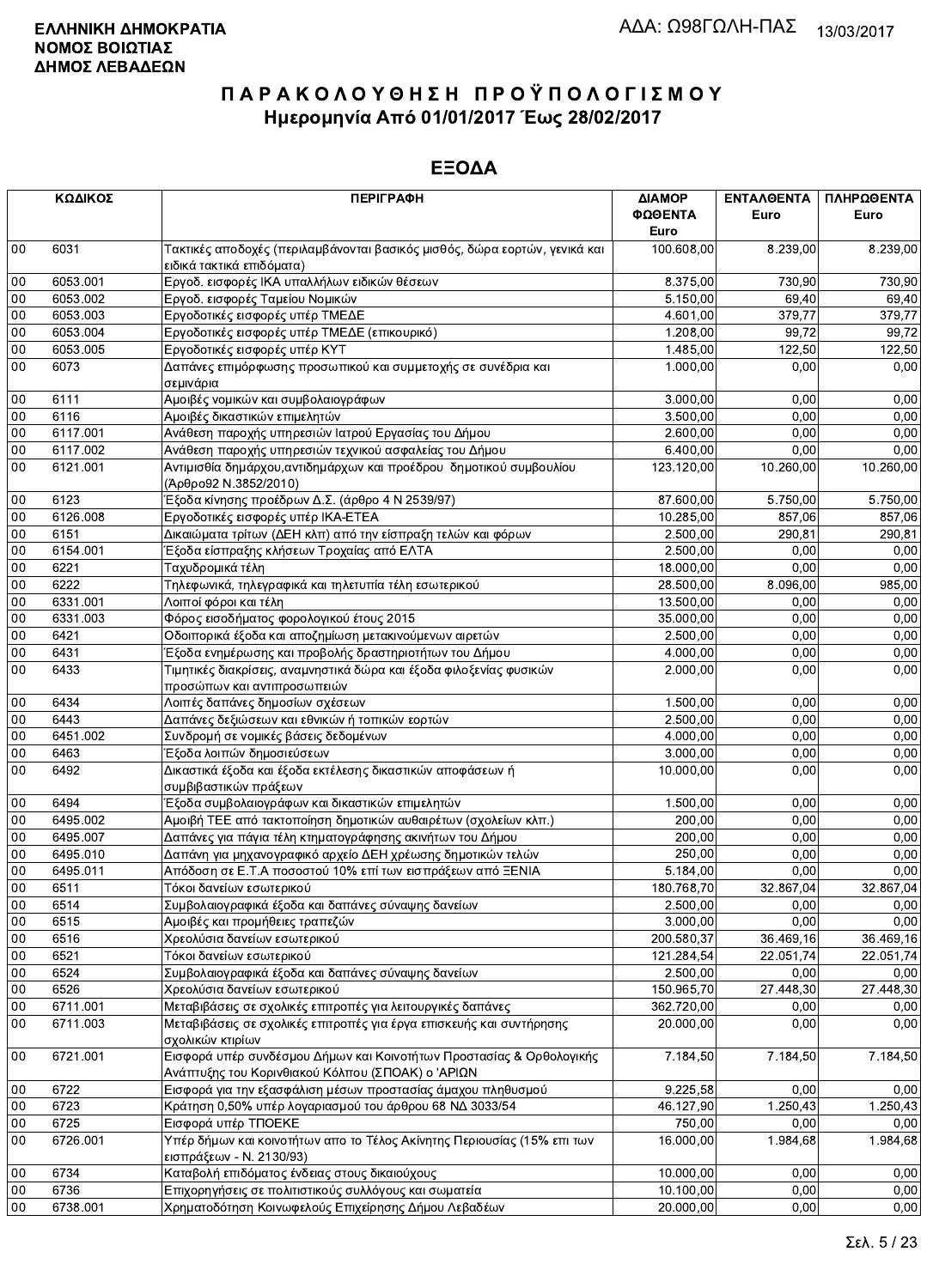|        | ΚΩΔΙΚΟΣ      | <b>ПЕРІГРАФН</b>                                                                                                          | ΔΙΑΜΟΡ<br>ΦΩΘΕΝΤΑ    | ΕΝΤΑΛΘΕΝΤΑ<br>Euro | ΠΛΗΡΩΘΕΝΤΑ<br>Euro |
|--------|--------------|---------------------------------------------------------------------------------------------------------------------------|----------------------|--------------------|--------------------|
|        |              |                                                                                                                           | Euro                 |                    |                    |
| $00\,$ | 6031         | Τακτικές αποδοχές (περιλαμβάνονται βασικός μισθός, δώρα εορτών, γενικά και<br>ειδικά τακτικά επιδόματα)                   | 100.608,00           | 8.239,00           | 8.239,00           |
| $00\,$ | 6053.001     | Εργοδ. εισφορές ΙΚΑ υπαλλήλων ειδικών θέσεων                                                                              | 8.375,00             | 730,90             | 730,90             |
| 00     | 6053.002     | Εργοδ. εισφορές Ταμείου Νομικών                                                                                           | 5.150,00             | 69,40              | 69,40              |
| 00     | 6053.003     | Εργοδοτικές εισφορές υπέρ ΤΜΕΔΕ                                                                                           | 4.601,00             | 379,77             | 379,77             |
| 00     | 6053.004     | Εργοδοτικές εισφορές υπέρ ΤΜΕΔΕ (επικουρικό)                                                                              | 1.208,00             | 99,72              | 99,72              |
| 00     | 6053.005     | Εργοδοτικές εισφορές υπέρ ΚΥΤ                                                                                             | 1.485,00             | 122,50             | 122,50             |
| 00     | 6073         | Δαπάνες επιμόρφωσης προσωπικού και συμμετοχής σε συνέδρια και                                                             | 1.000,00             | 0,00               | 0,00               |
|        |              | σεμινάρια                                                                                                                 |                      |                    |                    |
| $00\,$ | 6111<br>6116 | Αμοιβές νομικών και συμβολαιογράφων                                                                                       | 3.000,00<br>3.500,00 | 0,00               | 0,00               |
| $00\,$ |              | Αμοιβές δικαστικών επιμελητών                                                                                             |                      | 0,00               | 0,00               |
| 00     | 6117.001     | Ανάθεση παροχής υπηρεσιών Ιατρού Εργασίας του Δήμου                                                                       | 2.600,00             | 0,00               | 0,00               |
| 00     | 6117.002     | Ανάθεση παροχής υπηρεσιών τεχνικού ασφαλείας του Δήμου                                                                    | 6.400,00             | 0,00               | 0,00               |
| 00     | 6121.001     | Αντιμισθία δημάρχου, αντιδημάρχων και προέδρου δημοτικού συμβουλίου<br>(Άρθρο92 Ν.3852/2010)                              | 123.120,00           | 10.260,00          | 10.260,00          |
| 00     | 6123         | Έξοδα κίνησης προέδρων Δ.Σ. (άρθρο 4 Ν 2539/97)                                                                           | 87.600,00            | 5.750,00           | 5.750,00           |
| $00\,$ | 6126.008     | Εργοδοτικές εισφορές υπέρ ΙΚΑ-ΕΤΕΑ                                                                                        | 10.285,00            | 857.06             | 857,06             |
| 00     | 6151         | Δικαιώματα τρίτων (ΔΕΗ κλπ) από την είσπραξη τελών και φόρων                                                              | 2.500,00             | 290,81             | 290,81             |
| 00     | 6154.001     | Έξοδα είσπραξης κλήσεων Τροχαίας από ΕΛΤΑ                                                                                 | 2.500,00             | 0,00               | 0,00               |
| 00     | 6221         | Ταχυδρομικά τέλη                                                                                                          | 18.000,00            | 0,00               | 0,00               |
| 00     | 6222         | Τηλεφωνικά, τηλεγραφικά και τηλετυπία τέλη εσωτερικού                                                                     | 28.500,00            | 8.096,00           | 985,00             |
| $00\,$ | 6331.001     | Λοιποί φόροι και τέλη                                                                                                     | 13.500,00            | 0.00               | 0,00               |
| 00     | 6331.003     | Φόρος εισοδήματος φορολογικού έτους 2015                                                                                  | 35.000,00            | 0,00               | 0,00               |
| 00     | 6421         | Οδοιπορικά έξοδα και αποζημίωση μετακινούμενων αιρετών                                                                    | 2.500,00             | 0,00               | 0,00               |
| 00     | 6431         | Έξοδα ενημέρωσης και προβολής δραστηριοτήτων του Δήμου                                                                    | 4.000,00             | 0,00               | 0,00               |
| 00     | 6433         | Τιμητικές διακρίσεις, αναμνηστικά δώρα και έξοδα φιλοξενίας φυσικών<br>προσώπων και αντιπροσωπειών                        | 2.000,00             | 0,00               | 0,00               |
| 00     | 6434         | Λοιπές δαπάνες δημοσίων σχέσεων                                                                                           | 1.500,00             | 0,00               | 0,00               |
| $00\,$ | 6443         | Δαπάνες δεξιώσεων και εθνικών ή τοπικών εορτών                                                                            | 2.500,00             | 0,00               | 0,00               |
| 00     | 6451.002     | Συνδρομή σε νομικές βάσεις δεδομένων                                                                                      | 4.000,00             | 0,00               | 0,00               |
| 00     | 6463         | Έξοδα λοιπών δημοσιεύσεων                                                                                                 | 3.000,00             | 0,00               | 0,00               |
| 00     | 6492         | Δικαστικά έξοδα και έξοδα εκτέλεσης δικαστικών αποφάσεων ή                                                                | 10.000,00            | 0,00               | 0,00               |
|        |              | συμβιβαστικών πράξεων                                                                                                     |                      |                    |                    |
| 00     | 6494         | Έξοδα συμβολαιογράφων και δικαστικών επιμελητών                                                                           | 1.500,00             | 0,00               | 0,00               |
| 00     | 6495.002     | Αμοιβή ΤΕΕ από τακτοποίηση δημοτικών αυθαιρέτων (σχολείων κλπ.)                                                           | 200,00               | 0,00               | 0,00               |
| $00\,$ | 6495.007     | Δαπάνες για πάγια τέλη κτηματογράφησης ακινήτων του Δήμου                                                                 | 200,00               | 0,00               | 0,00               |
| 00     | 6495.010     | Δαπάνη για μηχανογραφικό αρχείο ΔΕΗ χρέωσης δημοτικών τελών                                                               | 250,00               | 0,00               | 0,00               |
| 00     | 6495.011     | Απόδοση σε Ε.Τ.Α ποσοστού 10% επί των εισπράξεων από ΞΕΝΙΑ                                                                | 5.184,00             | 0.00               | 0,00               |
| 00     | 6511         | Τόκοι δανείων εσωτερικού                                                                                                  | 180.768.70           | 32.867.04          | 32.867.04          |
| 00     | 6514         | Συμβολαιογραφικά έξοδα και δαπάνες σύναψης δανείων                                                                        | 2.500,00             | 0,00               | 0,00               |
| 00     | 6515         | Αμοιβές και προμήθειες τραπεζών                                                                                           | 3.000,00             | 0,00               | 0,00               |
| 00     | 6516         | Χρεολύσια δανείων εσωτερικού                                                                                              | 200.580,37           | 36.469,16          | 36.469,16          |
| 00     | 6521         | Τόκοι δανείων εσωτερικού                                                                                                  | 121.284,54           | 22.051,74          | 22.051,74          |
| 00     | 6524         | Συμβολαιογραφικά έξοδα και δαπάνες σύναψης δανείων                                                                        | 2.500,00             | 0,00               | 0,00               |
| 00     | 6526         | Χρεολύσια δανείων εσωτερικού                                                                                              | 150.965,70           | 27.448,30          | 27.448,30          |
| $00\,$ | 6711.001     | Μεταβιβάσεις σε σχολικές επιτροπές για λειτουργικές δαπάνες                                                               | 362.720,00           | 0,00               | 0,00               |
| 00     | 6711.003     | Μεταβιβάσεις σε σχολικές επιτροπές για έργα επισκευής και συντήρησης<br>σχολικών κτιρίων                                  | 20.000,00            | 0,00               | 0,00               |
| 00     | 6721.001     | Εισφορά υπέρ συνδέσμου Δήμων και Κοινοτήτων Προστασίας & Ορθολογικής<br>Ανάπτυξης του Κορινθιακού Κόλπου (ΣΠΟΑΚ) ο 'ΑΡΙΩΝ | 7.184,50             | 7.184,50           | 7.184,50           |
| 00     | 6722         | Εισφορά για την εξασφάλιση μέσων προστασίας άμαχου πληθυσμού                                                              | 9.225,58             | 0,00               | 0,00               |
| 00     | 6723         | Κράτηση 0,50% υπέρ λογαριασμού του άρθρου 68 ΝΔ 3033/54                                                                   | 46.127,90            | 1.250,43           | 1.250,43           |
| 00     | 6725         | Εισφορά υπέρ ΤΠΟΕΚΕ                                                                                                       | 750,00               | 0,00               | 0.00               |
| 00     | 6726.001     | Υπέρ δήμων και κοινοτήτων απο το Τέλος Ακίνητης Περιουσίας (15% επι των                                                   | 16.000,00            | 1.984,68           | 1.984,68           |
|        |              | εισπράξεων - Ν. 2130/93)                                                                                                  |                      |                    |                    |
| 00     | 6734         | Καταβολή επιδόματος ένδειας στους δικαιούχους                                                                             | 10.000,00            | 0,00               | 0,00               |
| 00     | 6736         | Επιχορηγήσεις σε πολιτιστικούς συλλόγους και σωματεία                                                                     | 10.100,00            | 0,00               | 0,00               |
| $00\,$ | 6738.001     | Χρηματοδότηση Κοινωφελούς Επιχείρησης Δήμου Λεβαδέων                                                                      | 20.000,00            | 0,00               | 0,00               |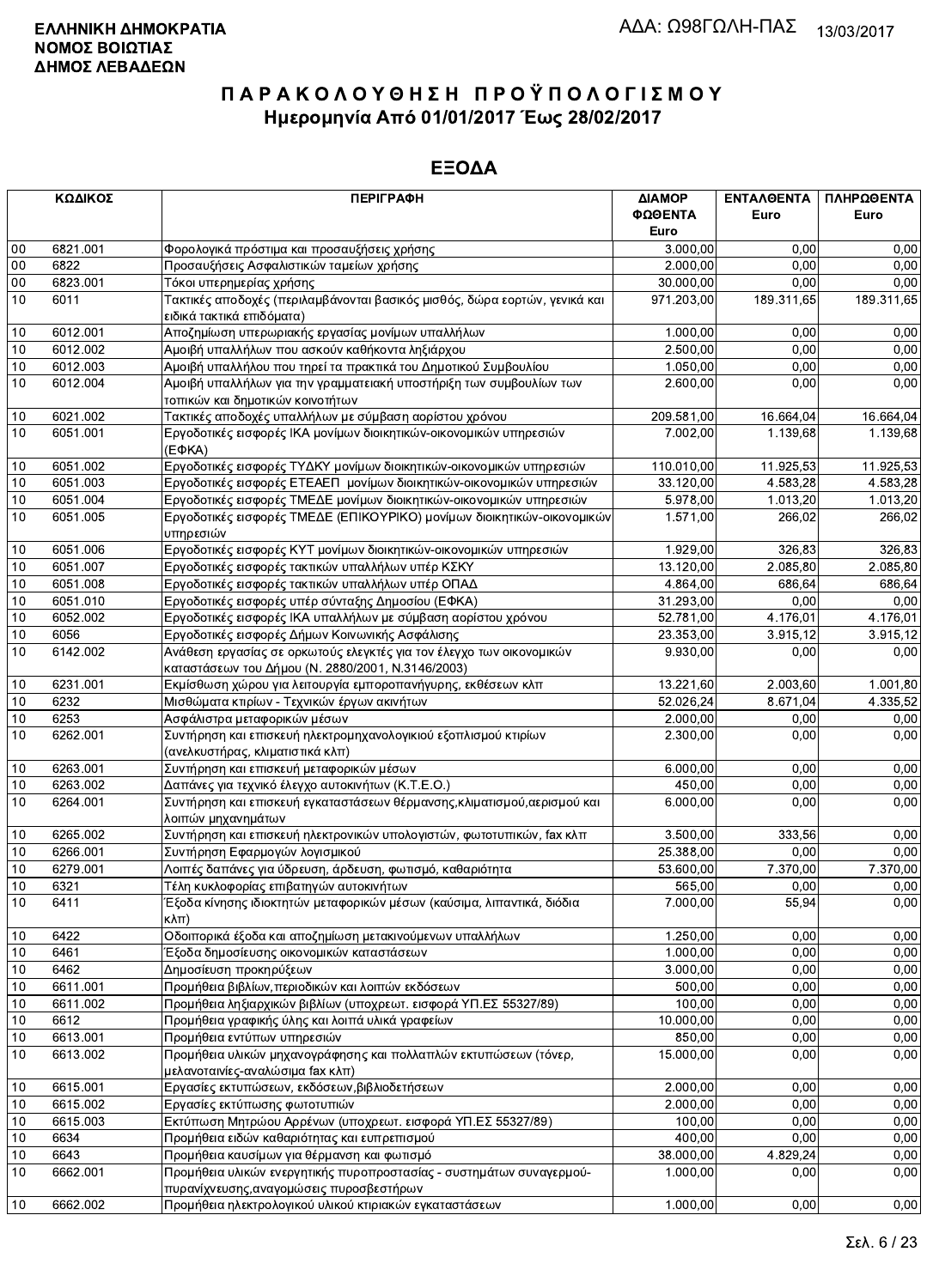|        | ΚΩΔΙΚΟΣ  | <b>ПЕРІГРАФН</b>                                                           | ΔΙΑΜΟΡ     | ΕΝΤΑΛΘΕΝΤΑ | ΠΛΗΡΩΘΕΝΤΑ |
|--------|----------|----------------------------------------------------------------------------|------------|------------|------------|
|        |          |                                                                            | ΦΩΘΕΝΤΑ    | Euro       | Euro       |
|        |          |                                                                            | Euro       |            |            |
| 00     | 6821.001 | Φορολογικά πρόστιμα και προσαυξήσεις χρήσης                                | 3.000,00   | 0,00       | 0,00       |
| $00\,$ | 6822     | Προσαυξήσεις Ασφαλιστικών ταμείων χρήσης                                   | 2.000,00   | 0.00       | 0,00       |
| $00\,$ | 6823.001 | Τόκοι υπερημερίας χρήσης                                                   | 30.000,00  | 0,00       | 0,00       |
| 10     | 6011     | Τακτικές αποδοχές (περιλαμβάνονται βασικός μισθός, δώρα εορτών, γενικά και | 971.203,00 | 189.311,65 | 189.311,65 |
|        |          | ειδικά τακτικά επιδόματα)                                                  |            |            |            |
| 10     | 6012.001 | Αποζημίωση υπερωριακής εργασίας μονίμων υπαλλήλων                          | 1.000,00   | 0,00       | 0,00       |
| 10     | 6012.002 | Αμοιβή υπαλλήλων που ασκούν καθήκοντα ληξιάρχου                            | 2.500,00   | 0,00       | 0,00       |
| 10     | 6012.003 | Αμοιβή υπαλλήλου που τηρεί τα πρακτικά του Δημοτικού Συμβουλίου            | 1.050,00   | 0,00       | 0,00       |
| 10     | 6012.004 | Αμοιβή υπαλλήλων για την γραμματειακή υποστήριξη των συμβουλίων των        | 2.600,00   | 0,00       | 0,00       |
|        |          | τοπικών και δημοτικών κοινοτήτων                                           |            |            |            |
| 10     | 6021.002 | Τακτικές αποδοχές υπαλλήλων με σύμβαση αορίστου χρόνου                     | 209.581,00 | 16.664,04  | 16.664,04  |
| 10     | 6051.001 | Εργοδοτικές εισφορές ΙΚΑ μονίμων διοικητικών-οικονομικών υπηρεσιών         | 7.002,00   | 1.139.68   | 1.139,68   |
|        |          | $(E\Phi KA)$                                                               |            |            |            |
| 10     | 6051.002 | Εργοδοτικές εισφορές ΤΥΔΚΥ μονίμων διοικητικών-οικονομικών υπηρεσιών       | 110.010,00 | 11.925,53  | 11.925,53  |
| 10     | 6051.003 | Εργοδοτικές εισφορές ΕΤΕΑΕΠ μονίμων διοικητικών-οικονομικών υπηρεσιών      | 33.120,00  | 4.583,28   | 4.583,28   |
| 10     | 6051.004 | Εργοδοτικές εισφορές ΤΜΕΔΕ μονίμων διοικητικών-οικονομικών υπηρεσιών       | 5.978,00   | 1.013,20   | 1.013,20   |
| 10     | 6051.005 | Εργοδοτικές εισφορές ΤΜΕΔΕ (ΕΠΙΚΟΥΡΙΚΟ) μονίμων διοικητικών-οικονομικών    | 1.571,00   | 266,02     | 266,02     |
|        |          | υπηρεσιών                                                                  |            |            |            |
| 10     | 6051.006 | Εργοδοτικές εισφορές ΚΥΤ μονίμων διοικητικών-οικονομικών υπηρεσιών         | 1.929,00   | 326.83     | 326,83     |
| 10     | 6051.007 | Εργοδοτικές εισφορές τακτικών υπαλλήλων υπέρ ΚΣΚΥ                          | 13.120,00  | 2.085,80   | 2.085,80   |
| 10     | 6051.008 | Εργοδοτικές εισφορές τακτικών υπαλλήλων υπέρ ΟΠΑΔ                          | 4.864,00   | 686,64     | 686,64     |
| 10     | 6051.010 | Εργοδοτικές εισφορές υπέρ σύνταξης Δημοσίου (ΕΦΚΑ)                         | 31.293,00  | 0,00       | 0,00       |
| 10     | 6052.002 | Εργοδοτικές εισφορές ΙΚΑ υπαλλήλων με σύμβαση αορίστου χρόνου              | 52.781,00  | 4.176,01   | 4.176,01   |
| 10     | 6056     | Εργοδοτικές εισφορές Δήμων Κοινωνικής Ασφάλισης                            | 23.353,00  | 3.915,12   | 3.915,12   |
| 10     | 6142.002 | Ανάθεση εργασίας σε ορκωτούς ελεγκτές για τον έλεγχο των οικονομικών       | 9.930,00   | 0,00       | 0,00       |
|        |          | καταστάσεων του Δήμου (Ν. 2880/2001, Ν.3146/2003)                          |            |            |            |
| 10     | 6231.001 | Εκμίσθωση χώρου για λειτουργία εμποροπανήγυρης, εκθέσεων κλπ               | 13.221,60  | 2.003,60   | 1.001,80   |
| 10     | 6232     | Μισθώματα κτιρίων - Τεχνικών έργων ακινήτων                                | 52.026,24  | 8.671,04   | 4.335,52   |
| 10     | 6253     | Ασφάλιστρα μεταφορικών μέσων                                               | 2.000,00   | 0,00       | 0,00       |
| 10     | 6262.001 | Συντήρηση και επισκευή ηλεκτρομηχανολογικιού εξοπλισμού κτιρίων            | 2.300,00   | 0,00       | 0,00       |
|        |          | (ανελκυστήρας, κλιματιστικά κλπ)                                           |            |            |            |
| 10     | 6263.001 | Συντήρηση και επισκευή μεταφορικών μέσων                                   | 6.000,00   | 0,00       | 0,00       |
| 10     | 6263.002 | Δαπάνες για τεχνικό έλεγχο αυτοκινήτων (Κ.Τ.Ε.Ο.)                          | 450,00     | 0.00       | 0,00       |
| 10     | 6264.001 | Συντήρηση και επισκευή εγκαταστάσεων θέρμανσης, κλιματισμού, αερισμού και  | 6.000,00   | 0,00       | 0,00       |
|        |          | λοιπών μηχανημάτων                                                         |            |            |            |
| 10     | 6265.002 | Συντήρηση και επισκευή ηλεκτρονικών υπολογιστών, φωτοτυπικών, fax κλπ      | 3.500,00   | 333,56     | 0,00       |
| 10     | 6266.001 | Συντήρηση Εφαρμογών λογισμικού                                             | 25.388,00  | 0,00       | 0,00       |
| 10     | 6279.001 | Λοιπές δαπάνες για ύδρευση, άρδευση, φωτισμό, καθαριότητα                  | 53.600,00  | 7.370.00   | 7.370,00   |
| 10     | 6321     | Τέλη κυκλοφορίας επιβατηγών αυτοκινήτων                                    | 565,00     | 0.00       | 0.00       |
| 10     | 6411     | Έξοδα κίνησης ιδιοκτητών μεταφορικών μέσων (καύσιμα, λιπαντικά, διόδια     | 7.000,00   | 55,94      | 0,00       |
|        |          | $K\lambda\pi$ )                                                            |            |            |            |
| 10     | 6422     | Οδοιπορικά έξοδα και αποζημίωση μετακινούμενων υπαλλήλων                   | 1.250,00   | 0,00       | 0,00       |
| 10     | 6461     | Έξοδα δημοσίευσης οικονομικών καταστάσεων                                  | 1.000,00   | 0,00       | 0,00       |
| 10     | 6462     | Δημοσίευση προκηρύξεων                                                     | 3.000,00   | 0,00       | 0,00       |
| 10     | 6611.001 | Προμήθεια βιβλίων, περιοδικών και λοιπών εκδόσεων                          | 500,00     | 0,00       | 0,00       |
| 10     | 6611.002 | Προμήθεια ληξιαρχικών βιβλίων (υποχρεωτ. εισφορά ΥΠ.ΕΣ 55327/89)           | 100,00     | 0,00       | 0,00       |
| 10     | 6612     | Προμήθεια γραφικής ύλης και λοιπά υλικά γραφείων                           | 10.000,00  | 0,00       | 0,00       |
| 10     | 6613.001 | Προμήθεια εντύπων υπηρεσιών                                                | 850,00     | 0,00       | 0,00       |
| 10     | 6613.002 | Προμήθεια υλικών μηχανογράφησης και πολλαπλών εκτυπώσεων (τόνερ,           | 15.000,00  | 0,00       | 0,00       |
|        |          | μελανοταινίες-αναλώσιμα fax κλπ)                                           |            |            |            |
| 10     | 6615.001 | Εργασίες εκτυπώσεων, εκδόσεων, βιβλιοδετήσεων                              | 2.000,00   | 0,00       | 0,00       |
| 10     | 6615.002 | Εργασίες εκτύπωσης φωτοτυπιών                                              | 2.000,00   | 0,00       | 0,00       |
| 10     | 6615.003 | Εκτύπωση Μητρώου Αρρένων (υποχρεωτ. εισφορά ΥΠ.ΕΣ 55327/89)                | 100,00     | 0,00       | 0,00       |
| 10     | 6634     | Προμήθεια ειδών καθαριότητας και ευπρεπισμού                               | 400,00     | 0,00       | 0,00       |
| 10     | 6643     | Προμήθεια καυσίμων για θέρμανση και φωτισμό                                | 38.000,00  | 4.829,24   | 0,00       |
| 10     | 6662.001 | Προμήθεια υλικών ενεργητικής πυροπροστασίας - συστημάτων συναγερμού-       | 1.000,00   | 0,00       | 0,00       |
|        |          | πυρανίχνευσης, αναγομώσεις πυροσβεστήρων                                   |            |            |            |
| 10     | 6662.002 | Προμήθεια ηλεκτρολογικού υλικού κτιριακών εγκαταστάσεων                    | 1.000,00   | 0,00       | 0,00       |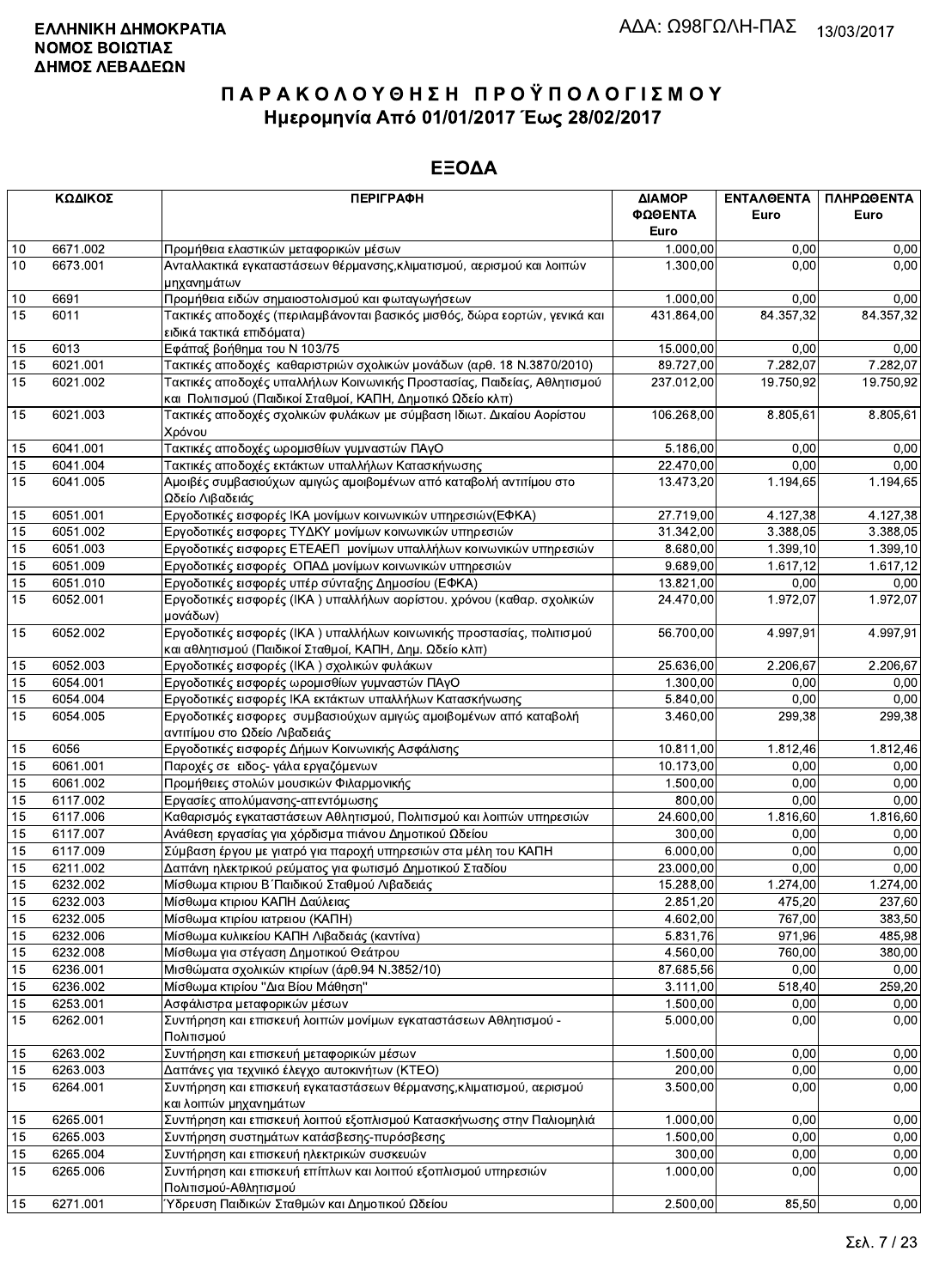|          | ΚΩΔΙΚΟΣ              | <b>ПЕРІГРАФН</b>                                                                                                                       | ΔΙΑΜΟΡ<br>ΦΩΘΕΝΤΑ<br>Euro | ΕΝΤΑΛΘΕΝΤΑ<br>Euro | ΠΛΗΡΩΘΕΝΤΑ<br>Euro |
|----------|----------------------|----------------------------------------------------------------------------------------------------------------------------------------|---------------------------|--------------------|--------------------|
| 10       | 6671.002             | Προμήθεια ελαστικών μεταφορικών μέσων                                                                                                  | 1.000,00                  | 0,00               | 0,00               |
| 10       | 6673.001             | Ανταλλακτικά εγκαταστάσεων θέρμανσης, κλιματισμού, αερισμού και λοιπών                                                                 | 1.300,00                  | 0.00               | 0,00               |
|          |                      | μηχανημάτων                                                                                                                            |                           |                    |                    |
| 10       | 6691                 | Προμήθεια ειδών σημαιοστολισμού και φωταγωγήσεων                                                                                       | 1.000,00                  | 0.00               | 0,00               |
| 15       | 6011                 | Τακτικές αποδοχές (περιλαμβάνονται βασικός μισθός, δώρα εορτών, γενικά και<br>ειδικά τακτικά επιδόματα)                                | 431.864,00                | 84.357,32          | 84.357,32          |
| 15       | 6013                 | Εφάπαξ βοήθημα του Ν 103/75                                                                                                            | 15.000,00                 | 0.00               | 0,00               |
| 15       | 6021.001             | Τακτικές αποδοχές καθαριστριών σχολικών μονάδων (αρθ. 18 Ν.3870/2010)                                                                  | 89.727,00                 | 7.282,07           | 7.282,07           |
| 15       | 6021.002             | Τακτικές αποδοχές υπαλλήλων Κοινωνικής Προστασίας, Παιδείας, Αθλητισμού<br>και Πολιτισμού (Παιδικοί Σταθμοί, ΚΑΠΗ, Δημοτικό Ωδείο κλπ) | 237.012,00                | 19.750,92          | 19.750.92          |
| 15       | 6021.003             | Τακτικές αποδοχές σχολικών φυλάκων με σύμβαση Ιδιωτ. Δικαίου Αορίστου<br>Χρόνου                                                        | 106.268,00                | 8.805,61           | 8.805,61           |
| 15       | 6041.001             | Τακτικές αποδοχές ωρομισθίων γυμναστών ΠΑγΟ                                                                                            | 5.186,00                  | 0.00               | 0,00               |
| 15       | 6041.004             | Τακτικές αποδοχές εκτάκτων υπαλλήλων Κατασκήνωσης                                                                                      | 22.470,00                 | 0.00               | 0,00               |
| 15       | 6041.005             | Αμοιβές συμβασιούχων αμιγώς αμοιβομένων από καταβολή αντιτίμου στο<br>Ωδείο Λιβαδειάς                                                  | 13.473,20                 | 1.194,65           | 1.194,65           |
| 15       | 6051.001             | Εργοδοτικές εισφορές ΙΚΑ μονίμων κοινωνικών υπηρεσιών(ΕΦΚΑ)                                                                            | 27.719,00                 | 4.127,38           | 4.127,38           |
| 15       | 6051.002             | Εργοδοτικές εισφορες ΤΥΔΚΥ μονίμων κοινωνικών υπηρεσιών                                                                                | 31.342,00                 | 3.388.05           | 3 3 8 8 0 5        |
| 15       | 6051.003             | Εργοδοτικές εισφορες ΕΤΕΑΕΠ μονίμων υπαλλήλων κοινωνικών υπηρεσιών                                                                     | 8.680,00                  | 1.399, 10          | 1.399,10           |
| 15       | 6051.009             | Εργοδοτικές εισφορές ΟΠΑΔ μονίμων κοινωνικών υπηρεσιών                                                                                 | 9.689,00                  | 1.617,12           | 1.617,12           |
| 15       | 6051.010             | Εργοδοτικές εισφορές υπέρ σύνταξης Δημοσίου (ΕΦΚΑ)                                                                                     | 13.821,00                 | 0,00               | 0,00               |
| 15       | 6052.001             | Εργοδοτικές εισφορές (ΙΚΑ) υπαλλήλων αορίστου. χρόνου (καθαρ. σχολικών<br>μονάδων)                                                     | 24.470.00                 | 1.972,07           | 1.972,07           |
| 15       | 6052.002             | Εργοδοτικές εισφορές (ΙΚΑ) υπαλλήλων κοινωνικής προστασίας, πολιτισμού<br>και αθλητισμού (Παιδικοί Σταθμοί, ΚΑΠΗ, Δημ. Ωδείο κλπ)      | 56.700,00                 | 4.997.91           | 4.997,91           |
| 15       | 6052.003             | Εργοδοτικές εισφορές (ΙΚΑ) σχολικών φυλάκων                                                                                            | 25.636,00                 | 2.206,67           | 2.206,67           |
| 15       | 6054.001             | Εργοδοτικές εισφορές ωρομισθίων γυμναστών ΠΑγΟ                                                                                         | 1.300,00                  | 0.00               | 0,00               |
| 15       | 6054.004             | Εργοδοτικές εισφορές ΙΚΑ εκτάκτων υπαλλήλων Κατασκήνωσης                                                                               | 5.840,00                  | 0.00               | 0,00               |
| 15       | 6054.005             | Εργοδοτικές εισφορες συμβασιούχων αμιγώς αμοιβομένων από καταβολή<br>αντιτίμου στο Ωδείο Λιβαδειάς                                     | 3.460,00                  | 299,38             | 299,38             |
| 15       | 6056                 | Εργοδοτικές εισφορές Δήμων Κοινωνικής Ασφάλισης                                                                                        | 10.811,00                 | 1.812,46           | 1.812,46           |
| 15       | 6061.001             | Παροχές σε ειδος- γάλα εργαζόμενων                                                                                                     | 10.173,00                 | 0,00               | 0,00               |
| 15       | 6061.002             | Προμήθειες στολών μουσικών Φιλαρμονικής                                                                                                | 1.500,00                  | 0,00               | 0,00               |
| 15       | 6117.002             | Εργασίες απολύμανσης-απεντόμωσης                                                                                                       | 800,00                    | 0,00               | 0,00               |
| 15       | 6117.006             | Καθαρισμός εγκαταστάσεων Αθλητισμού, Πολιτισμού και λοιπών υπηρεσιών                                                                   | 24.600,00                 | 1.816,60           | 1.816,60           |
| 15       | 6117.007             | Ανάθεση εργασίας για χόρδισμα πιάνου Δημοτικού Ωδείου                                                                                  | 300,00                    | 0.00               | 0,00               |
| 15       | 6117.009             | Σύμβαση έργου με γιατρό για παροχή υπηρεσιών στα μέλη του ΚΑΠΗ                                                                         | 6.000,00                  | 0.00               | 0,00               |
| 15       | 6211.002             | Δαπάνη ηλεκτρικού ρεύματος για φωτισμό Δημοτικού Σταδίου                                                                               | 23.000,00                 | 0,00               | 0,00               |
| 15       | 6232.002             | Μίσθωμα κτιριου Β΄ Παιδικού Σταθμού Λιβαδειάς                                                                                          | 15.288,00                 | 1.274,00           | 1.274,00           |
| 15       | 6232.003             | Μίσθωμα κτιριου ΚΑΠΗ Δαύλειας                                                                                                          | 2.851,20                  | 475,20             | 237,60             |
| 15       | 6232.005             | Μίσθωμα κτιρίου ιατρειου (ΚΑΠΗ)                                                                                                        | 4.602,00                  | 767,00             | 383,50             |
| 15       | 6232.006             | Μίσθωμα κυλικείου ΚΑΠΗ Λιβαδειάς (καντίνα)                                                                                             | 5.831,76                  | 971,96             | 485,98             |
| 15       | 6232.008             | Μίσθωμα για στέγαση Δημοτικού Θεάτρου                                                                                                  | 4.560,00                  | 760,00             | 380,00             |
| 15       | 6236.001             | Μισθώματα σχολικών κτιρίων (άρθ.94 Ν.3852/10)                                                                                          | 87.685,56                 | 0,00               | 0,00               |
| 15       | 6236.002             | Μίσθωμα κτιρίου "Δια Βίου Μάθηση"<br>Ασφάλιστρα μεταφορικών μέσων                                                                      | 3.111,00<br>1.500,00      | 518,40<br>0,00     | 259,20             |
| 15<br>15 | 6253.001<br>6262.001 | Συντήρηση και επισκευή λοιπών μονίμων εγκαταστάσεων Αθλητισμού -<br>Πολιτισμού                                                         | 5.000,00                  | 0,00               | 0,00<br>0,00       |
| 15       | 6263.002             | Συντήρηση και επισκευή μεταφορικών μέσων                                                                                               | 1.500.00                  | 0,00               | 0,00               |
| 15       | 6263.003             | Δαπάνες για τεχνιικό έλεγχο αυτοκινήτων (ΚΤΕΟ)                                                                                         | 200,00                    | 0,00               | 0,00               |
| 15       | 6264.001             | Συντήρηση και επισκευή εγκαταστάσεων θέρμανσης, κλιματισμού, αερισμού                                                                  | 3.500,00                  | 0,00               | 0,00               |
|          |                      | και λοιπών μηχανημάτων                                                                                                                 |                           |                    |                    |
| 15       | 6265.001             | Συντήρηση και επισκευή λοιπού εξοπλισμού Κατασκήνωσης στην Παλιομηλιά                                                                  | 1.000,00                  | 0,00               | 0,00               |
| 15<br>15 | 6265.003<br>6265.004 | Συντήρηση συστημάτων κατάσβεσης-πυρόσβεσης<br>Συντήρηση και επισκευή ηλεκτρικών συσκευών                                               | 1.500,00<br>300,00        | 0,00<br>0,00       | 0,00<br>0,00       |
| 15       | 6265.006             | Συντήρηση και επισκευή επίπλων και λοιπού εξοπλισμού υπηρεσιών<br>Πολιτισμού-Αθλητισμού                                                | 1.000,00                  | 0,00               | 0,00               |
| 15       | 6271.001             | Ύδρευση Παιδικών Σταθμών και Δημοτικού Ωδείου                                                                                          | 2.500,00                  | 85,50              | 0,00               |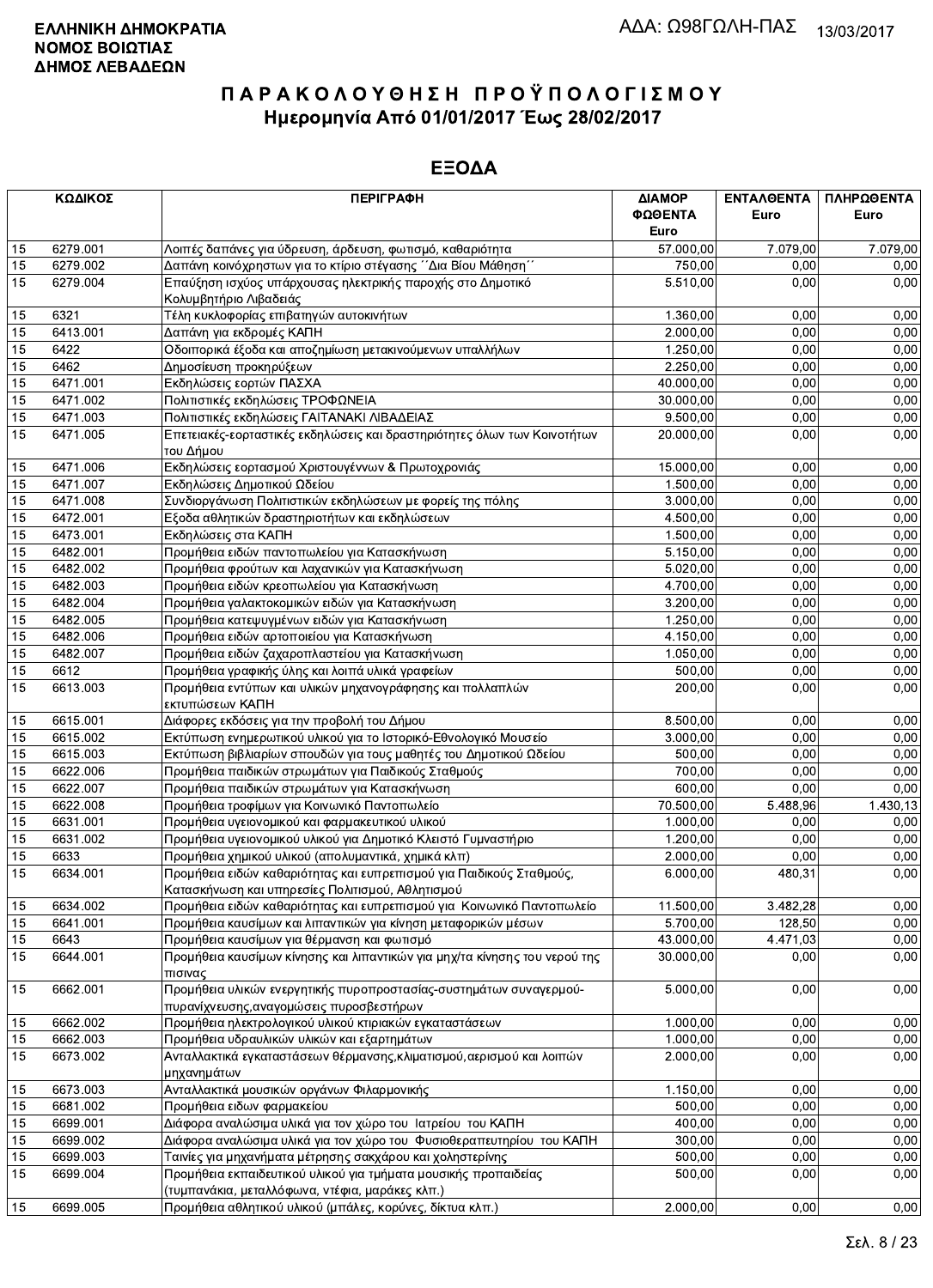|    | ΚΩΔΙΚΟΣ  | <b>ПЕРІГРАФН</b>                                                                                                         | ΔΙΑΜΟΡ<br>ΦΩΘΕΝΤΑ<br>Euro | <b>ENTAA@ENTA</b><br>Euro | ΠΛΗΡΩΘΕΝΤΑ<br>Euro |
|----|----------|--------------------------------------------------------------------------------------------------------------------------|---------------------------|---------------------------|--------------------|
| 15 | 6279.001 | Λοιπές δαπάνες για ύδρευση, άρδευση, φωτισμό, καθαριότητα                                                                | 57.000,00                 | 7.079,00                  | 7.079,00           |
| 15 | 6279.002 | Δαπάνη κοινόχρηστων για το κτίριο στέγασης ΄΄Δια Βίου Μάθηση΄΄                                                           | 750,00                    | 0.00                      | 0.00               |
| 15 | 6279.004 | Επαύξηση ισχύος υπάρχουσας ηλεκτρικής παροχής στο Δημοτικό<br>Κολυμβητήριο Λιβαδειάς                                     | 5.510,00                  | 0.00                      | 0,00               |
| 15 | 6321     | Τέλη κυκλοφορίας επιβατηγών αυτοκινήτων                                                                                  | 1.360,00                  | 0,00                      | 0,00               |
| 15 | 6413.001 | Δαπάνη για εκδρομές ΚΑΠΗ                                                                                                 | 2.000,00                  | 0,00                      | 0,00               |
| 15 | 6422     | Οδοιπορικά έξοδα και αποζημίωση μετακινούμενων υπαλλήλων                                                                 | 1.250,00                  | 0,00                      | 0,00               |
| 15 | 6462     | Δημοσίευση προκηρύξεων                                                                                                   | 2.250,00                  | 0,00                      | 0,00               |
| 15 | 6471.001 | Εκδηλώσεις εορτών ΠΑΣΧΑ                                                                                                  | 40.000,00                 | 0,00                      | 0,00               |
| 15 | 6471.002 | Πολιτιστικές εκδηλώσεις ΤΡΟΦΩΝΕΙΑ                                                                                        | 30.000,00                 | 0,00                      | 0,00               |
| 15 | 6471.003 | Πολιτιστικές εκδηλώσεις ΓΑΙΤΑΝΑΚΙ ΛΙΒΑΔΕΙΑΣ                                                                              | 9.500,00                  | 0,00                      | 0,00               |
| 15 | 6471.005 | Επετειακές-εορταστικές εκδηλώσεις και δραστηριότητες όλων των Κοινοτήτων                                                 | 20.000,00                 | 0,00                      | 0,00               |
|    |          | του Δήμου                                                                                                                |                           |                           |                    |
| 15 | 6471.006 | Εκδηλώσεις εορτασμού Χριστουγέννων & Πρωτοχρονιάς                                                                        | 15.000,00                 | 0,00                      | 0,00               |
| 15 | 6471.007 | Εκδηλώσεις Δημοτικού Ωδείου                                                                                              | 1.500,00                  | 0,00                      | 0,00               |
| 15 | 6471.008 | Συνδιοργάνωση Πολιτιστικών εκδηλώσεων με φορείς της πόλης                                                                | 3.000,00                  | 0,00                      | 0,00               |
| 15 | 6472.001 | Εξοδα αθλητικών δραστηριοτήτων και εκδηλώσεων                                                                            | 4.500,00                  | 0,00                      | 0,00               |
| 15 | 6473.001 | Εκδηλώσεις στα ΚΑΠΗ                                                                                                      | 1.500,00                  | 0,00                      | 0,00               |
| 15 | 6482.001 | Προμήθεια ειδών παντοπωλείου για Κατασκήνωση                                                                             | 5.150,00                  | 0,00                      | 0,00               |
| 15 | 6482.002 | Προμήθεια φρούτων και λαχανικών για Κατασκήνωση                                                                          | 5.020,00                  | 0,00                      | 0,00               |
| 15 | 6482.003 | Προμήθεια ειδών κρεοπωλείου για Κατασκήνωση                                                                              | 4.700,00                  | 0,00                      | 0,00               |
| 15 | 6482.004 | Προμήθεια γαλακτοκομικών ειδών για Κατασκήνωση                                                                           | 3.200,00                  | 0,00                      | 0,00               |
| 15 | 6482.005 | Προμήθεια κατεψυγμένων ειδών για Κατασκήνωση                                                                             | 1.250,00                  | 0,00                      | 0,00               |
| 15 | 6482.006 | Προμήθεια ειδών αρτοποιείου για Κατασκήνωση                                                                              | 4.150,00                  | 0,00                      | 0,00               |
| 15 | 6482.007 | Προμήθεια ειδών ζαχαροπλαστείου για Κατασκήνωση                                                                          | 1.050,00                  | 0,00                      | 0,00               |
| 15 | 6612     | Προμήθεια γραφικής ύλης και λοιπά υλικά γραφείων                                                                         | 500,00                    | 0,00                      | 0,00               |
| 15 | 6613.003 | Προμήθεια εντύπων και υλικών μηχανογράφησης και πολλαπλών<br>εκτυπώσεων ΚΑΠΗ                                             | 200,00                    | 0,00                      | 0,00               |
| 15 | 6615.001 | Διάφορες εκδόσεις για την προβολή του Δήμου                                                                              | 8.500,00                  | 0,00                      | 0,00               |
| 15 | 6615.002 | Εκτύπωση ενημερωτικού υλικού για το Ιστορικό-Εθνολογικό Μουσείο                                                          | 3.000,00                  | 0,00                      | 0,00               |
| 15 | 6615.003 | Εκτύπωση βιβλιαρίων σπουδών για τους μαθητές του Δημοτικού Ωδείου                                                        | 500,00                    | 0,00                      | 0,00               |
| 15 | 6622.006 | Προμήθεια παιδικών στρωμάτων για Παιδικούς Σταθμούς                                                                      | 700,00                    | 0,00                      | 0,00               |
| 15 | 6622.007 | Προμήθεια παιδικών στρωμάτων για Κατασκήνωση                                                                             | 600,00                    | 0,00                      | 0,00               |
| 15 | 6622.008 | Προμήθεια τροφίμων για Κοινωνικό Παντοπωλείο                                                                             | 70.500,00                 | 5.488,96                  | 1.430,13           |
| 15 | 6631.001 | Προμήθεια υγειονομικού και φαρμακευτικού υλικού                                                                          | 1.000,00                  | 0,00                      | 0,00               |
| 15 | 6631.002 | Προμήθεια υγειονομικού υλικού για Δημοτικό Κλειστό Γυμναστήριο                                                           | 1.200,00                  | 0,00                      | 0,00               |
| 15 | 6633     | Προμήθεια χημικού υλικού (απολυμαντικά, χημικά κλπ)                                                                      | 2.000,00                  | 0,00                      | 0,00               |
| 15 | 6634.001 | Προμήθεια ειδών καθαριότητας και ευπρεπισμού για Παιδικούς Σταθμούς,<br>Κατασκήνωση και υπηρεσίες Πολιτισμού, Αθλητισμού | 6.000,00                  | 480,31                    | 0,00               |
| 15 | 6634.002 | Προμήθεια ειδών καθαριότητας και ευπρεπισμού για Κοινωνικό Παντοπωλείο                                                   | 11.500,00                 | 3.482,28                  | 0,00               |
| 15 | 6641.001 | Προμήθεια καυσίμων και λιπαντικών για κίνηση μεταφορικών μέσων                                                           | 5.700,00                  | 128,50                    | 0,00               |
| 15 | 6643     | Προμήθεια καυσίμων για θέρμανση και φωτισμό                                                                              | 43.000,00                 | 4.471,03                  | 0,00               |
| 15 | 6644.001 | Προμήθεια καυσίμων κίνησης και λιπαντικών για μηχ/τα κίνησης του νερού της<br>πισινας                                    | 30.000,00                 | 0,00                      | 0,00               |
| 15 | 6662.001 | Προμήθεια υλικών ενεργητικής πυροπροστασίας-συστημάτων συναγερμού-<br>πυρανίχνευσης, αναγομώσεις πυροσβεστήρων           | 5.000,00                  | 0,00                      | 0,00               |
| 15 | 6662.002 | Προμήθεια ηλεκτρολογικού υλικού κτιριακών εγκαταστάσεων                                                                  | 1.000,00                  | 0.00                      | 0,00               |
| 15 | 6662.003 | Προμήθεια υδραυλικών υλικών και εξαρτημάτων                                                                              | 1.000,00                  | 0,00                      | 0,00               |
| 15 | 6673.002 | Ανταλλακτικά εγκαταστάσεων θέρμανσης, κλιματισμού, αερισμού και λοιπών                                                   | 2.000.00                  | 0,00                      | 0,00               |
|    |          | μηχανημάτων                                                                                                              |                           |                           |                    |
| 15 | 6673.003 | Ανταλλακτικά μουσικών οργάνων Φιλαρμονικής                                                                               | 1.150,00                  | 0,00                      | 0,00               |
| 15 | 6681.002 | Προμήθεια ειδων φαρμακείου                                                                                               | 500,00                    | 0,00                      | 0,00               |
| 15 | 6699.001 | Διάφορα αναλώσιμα υλικά για τον χώρο του Ιατρείου του ΚΑΠΗ                                                               | 400,00                    | 0,00                      | 0,00               |
| 15 | 6699.002 | Διάφορα αναλώσιμα υλικά για τον χώρο του Φυσιοθεραπευτηρίου του ΚΑΠΗ                                                     | 300,00                    | 0,00                      | 0,00               |
| 15 | 6699.003 | Ταινίες για μηχανήματα μέτρησης σακχάρου και χοληστερίνης                                                                | 500,00                    | 0,00                      | 0,00               |
| 15 | 6699.004 | Προμήθεια εκπαιδευτικού υλικού για τμήματα μουσικής προπαιδείας                                                          | 500,00                    | 0,00                      | 0,00               |
|    |          | (τυμπανάκια, μεταλλόφωνα, ντέφια, μαράκες κλπ.)                                                                          |                           |                           |                    |
| 15 | 6699.005 | Προμήθεια αθλητικού υλικού (μπάλες, κορύνες, δίκτυα κλπ.)                                                                | 2.000,00                  | 0,00                      | 0,00               |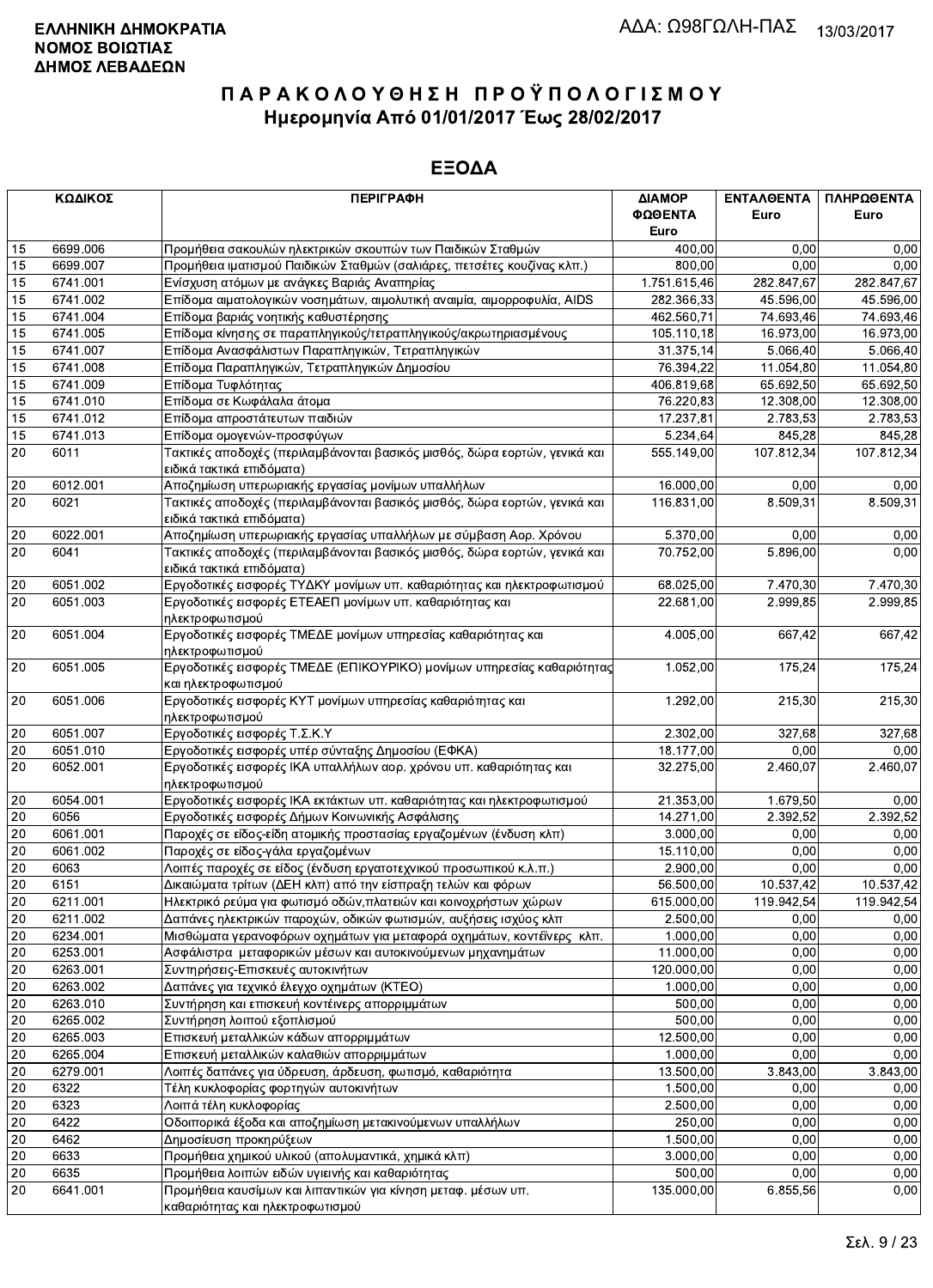|                 | ΚΩΔΙΚΟΣ  | <b>ПЕРІГРАФН</b>                                                           | ΔΙΑΜΟΡ       | <b>ENTAAGENTA</b> | ΠΛΗΡΩΘΕΝΤΑ |
|-----------------|----------|----------------------------------------------------------------------------|--------------|-------------------|------------|
|                 |          |                                                                            | ΦΩΘΕΝΤΑ      | Euro              | Euro       |
|                 |          |                                                                            | Euro         |                   |            |
| 15              | 6699.006 | Προμήθεια σακουλών ηλεκτρικών σκουπών των Παιδικών Σταθμών                 | 400,00       | 0,00              | 0,00       |
| 15              | 6699.007 | Προμήθεια ιματισμού Παιδικών Σταθμών (σαλιάρες, πετσέτες κουζίνας κλπ.)    | 800,00       | 0.00              | 0,00       |
| 15              | 6741.001 | Ενίσχυση ατόμων με ανάγκες Βαριάς Αναπηρίας                                | 1.751.615,46 | 282.847,67        | 282.847,67 |
| 15              | 6741.002 | Επίδομα αιματολογικών νοσημάτων, αιμολυτική αναιμία, αιμορροφυλία, AIDS    | 282.366,33   | 45.596,00         | 45.596,00  |
| 15              | 6741.004 | Επίδομα βαριάς νοητικής καθυστέρησης                                       | 462.560,71   | 74.693,46         | 74.693,46  |
| 15              | 6741.005 | Επίδομα κίνησης σε παραπληγικούς/τετραπληγικούς/ακρωτηριασμένους           | 105.110,18   | 16.973,00         | 16.973,00  |
| 15              | 6741.007 | Επίδομα Ανασφάλιστων Παραπληγικών, Τετραπληγικών                           | 31.375,14    | 5.066,40          | 5.066,40   |
| 15              | 6741.008 | Επίδομα Παραπληγικών, Τετραπληγικών Δημοσίου                               | 76.394,22    | 11.054,80         | 11.054,80  |
| 15              | 6741.009 | Επίδομα Τυφλότητας                                                         | 406.819,68   | 65.692,50         | 65.692,50  |
| 15              | 6741.010 | Επίδομα σε Κωφάλαλα άτομα                                                  | 76.220,83    | 12.308,00         | 12.308,00  |
| 15              | 6741.012 | Επίδομα απροστάτευτων παιδιών                                              | 17.237,81    | 2.783,53          | 2.783,53   |
| 15              | 6741.013 | Επίδομα ομογενών-προσφύγων                                                 | 5.234,64     | 845,28            | 845,28     |
| 20              | 6011     | Τακτικές αποδοχές (περιλαμβάνονται βασικός μισθός, δώρα εορτών, γενικά και | 555.149,00   | 107.812,34        | 107.812,34 |
|                 |          | ειδικά τακτικά επιδόματα)                                                  |              |                   |            |
| $20\,$          | 6012.001 | Αποζημίωση υπερωριακής εργασίας μονίμων υπαλλήλων                          | 16.000,00    | 0.00              | 0,00       |
| 20              | 6021     | Τακτικές αποδοχές (περιλαμβάνονται βασικός μισθός, δώρα εορτών, γενικά και | 116.831,00   | 8.509,31          | 8.509.31   |
|                 |          | ειδικά τακτικά επιδόματα)                                                  |              |                   |            |
| 20              | 6022.001 | Αποζημίωση υπερωριακής εργασίας υπαλλήλων με σύμβαση Αορ. Χρόνου           | 5.370,00     | 0,00              | 0,00       |
| 20              | 6041     | Τακτικές αποδοχές (περιλαμβάνονται βασικός μισθός, δώρα εορτών, γενικά και | 70.752,00    | 5.896,00          | 0.00       |
|                 |          | ειδικά τακτικά επιδόματα)                                                  |              |                   |            |
| 20              | 6051.002 | Εργοδοτικές εισφορές ΤΥΔΚΥ μονίμων υπ. καθαριότητας και ηλεκτροφωτισμού    | 68.025,00    | 7.470,30          | 7.470,30   |
| $\overline{20}$ | 6051.003 | Εργοδοτικές εισφορές ΕΤΕΑΕΠ μονίμων υπ. καθαριότητας και                   | 22.681,00    | 2.999,85          | 2.999,85   |
|                 |          | ηλεκτροφωτισμού                                                            |              |                   |            |
| $20\,$          | 6051.004 | Εργοδοτικές εισφορές ΤΜΕΔΕ μονίμων υπηρεσίας καθαριότητας και              | 4.005,00     | 667,42            | 667,42     |
|                 |          | ηλεκτροφωτισμού                                                            |              |                   |            |
| $20\,$          | 6051.005 | Εργοδοτικές εισφορές ΤΜΕΔΕ (ΕΠΙΚΟΥΡΙΚΟ) μονίμων υπηρεσίας καθαριότητας     | 1.052,00     | 175,24            | 175,24     |
|                 |          | και ηλεκτροφωτισμού                                                        |              |                   |            |
| $20\,$          | 6051.006 | Εργοδοτικές εισφορές ΚΥΤ μονίμων υπηρεσίας καθαριότητας και                | 1.292,00     | 215,30            | 215,30     |
|                 |          | ηλεκτροφωτισμού                                                            |              |                   |            |
| $20\,$          | 6051.007 | Εργοδοτικές εισφορές Τ.Σ.Κ.Υ                                               | 2.302,00     | 327,68            | 327,68     |
| 20              | 6051.010 | Εργοδοτικές εισφορές υπέρ σύνταξης Δημοσίου (ΕΦΚΑ)                         | 18.177,00    | 0,00              | 0,00       |
| 20              | 6052.001 | Εργοδοτικές εισφορές ΙΚΑ υπαλλήλων αορ. χρόνου υπ. καθαριότητας και        | 32.275,00    | 2.460,07          | 2.460,07   |
|                 |          | ηλεκτροφωτισμού                                                            |              |                   |            |
| 20              | 6054.001 | Εργοδοτικές εισφορές ΙΚΑ εκτάκτων υπ. καθαριότητας και ηλεκτροφωτισμού     | 21.353,00    | 1.679,50          | 0,00       |
| 20              | 6056     | Εργοδοτικές εισφορές Δήμων Κοινωνικής Ασφάλισης                            | 14.271,00    | 2.392,52          | 2.392,52   |
| 20              | 6061.001 | Παροχές σε είδος-είδη ατομικής προστασίας εργαζομένων (ένδυση κλπ)         | 3.000,00     | 0,00              | 0,00       |
| $20\,$          | 6061.002 | Παροχές σε είδος-γάλα εργαζομένων                                          | 15.110,00    | 0.00              | 0,00       |
| $20\,$          | 6063     | Λοιπές παροχές σε είδος (ένδυση εργατοτεχνικού προσωπικού κ.λ.π.)          | 2.900,00     | 0,00              | 0,00       |
| 20              | 6151     | Δικαιώματα τρίτων (ΔΕΗ κλπ) από την είσπραξη τελών και φόρων               | 56.500,00    | 10.537,42         | 10.537,42  |
| 20              | 6211.001 | Ηλεκτρικό ρεύμα για φωτισμό οδών, πλατειών και κοινοχρήστων χώρων          | 615.000,00   | 119.942,54        | 119.942,54 |
| 20              | 6211.002 | Δαπάνες ηλεκτρικών παροχών, οδικών φωτισμών, αυξήσεις ισχύος κλπ           | 2.500,00     | 0,00              | 0,00       |
| $20\,$          | 6234.001 | Μισθώματα γερανοφόρων οχημάτων για μεταφορά οχημάτων, κοντέϊνερς κλπ.      | 1.000,00     | 0,00              | 0,00       |
| $20\,$          | 6253.001 | Ασφάλιστρα μεταφορικών μέσων και αυτοκινούμενων μηχανημάτων                | 11.000,00    | 0,00              | 0,00       |
| 20              | 6263.001 | Συντηρήσεις-Επισκευές αυτοκινήτων                                          | 120.000,00   | 0,00              | 0,00       |
| $\overline{20}$ | 6263.002 | Δαπάνες για τεχνικό έλεγχο οχημάτων (ΚΤΕΟ)                                 | 1.000,00     | 0,00              | 0,00       |
| $20\,$          | 6263.010 | Συντήρηση και επισκευή κοντέινερς απορριμμάτων                             | 500,00       | 0,00              | 0,00       |
| $20\,$          | 6265.002 | Συντήρηση λοιπού εξοπλισμού                                                | 500,00       | 0,00              | 0,00       |
| $20\,$          | 6265.003 | Επισκευή μεταλλικών κάδων απορριμμάτων                                     | 12.500,00    | 0,00              | 0,00       |
| $20\,$          | 6265.004 | Επισκευή μεταλλικών καλαθιών απορριμμάτων                                  | 1.000,00     | 0,00              | 0,00       |
| 20              | 6279.001 | Λοιπές δαπάνες για ύδρευση, άρδευση, φωτισμό, καθαριότητα                  | 13.500,00    | 3.843,00          | 3.843,00   |
| 20              | 6322     | Τέλη κυκλοφορίας φορτηγών αυτοκινήτων                                      | 1.500,00     | 0,00              | 0,00       |
| 20              | 6323     | Λοιπά τέλη κυκλοφορίας                                                     | 2.500,00     | 0,00              | 0,00       |
| $20\,$          | 6422     | Οδοιπορικά έξοδα και αποζημίωση μετακινούμενων υπαλλήλων                   | 250,00       | 0,00              | 0,00       |
| 20              | 6462     | Δημοσίευση προκηρύξεων                                                     | 1.500,00     | 0,00              | 0,00       |
| 20              | 6633     | Προμήθεια χημικού υλικού (απολυμαντικά, χημικά κλπ)                        | 3.000,00     | 0,00              | 0,00       |
| $20\,$          | 6635     | Προμήθεια λοιπών ειδών υγιεινής και καθαριότητας                           | 500,00       | 0,00              | 0,00       |
| 20              | 6641.001 | Προμήθεια καυσίμων και λιπαντικών για κίνηση μεταφ. μέσων υπ.              | 135.000,00   | 6.855,56          | 0,00       |
|                 |          | καθαριότητας και ηλεκτροφωτισμού                                           |              |                   |            |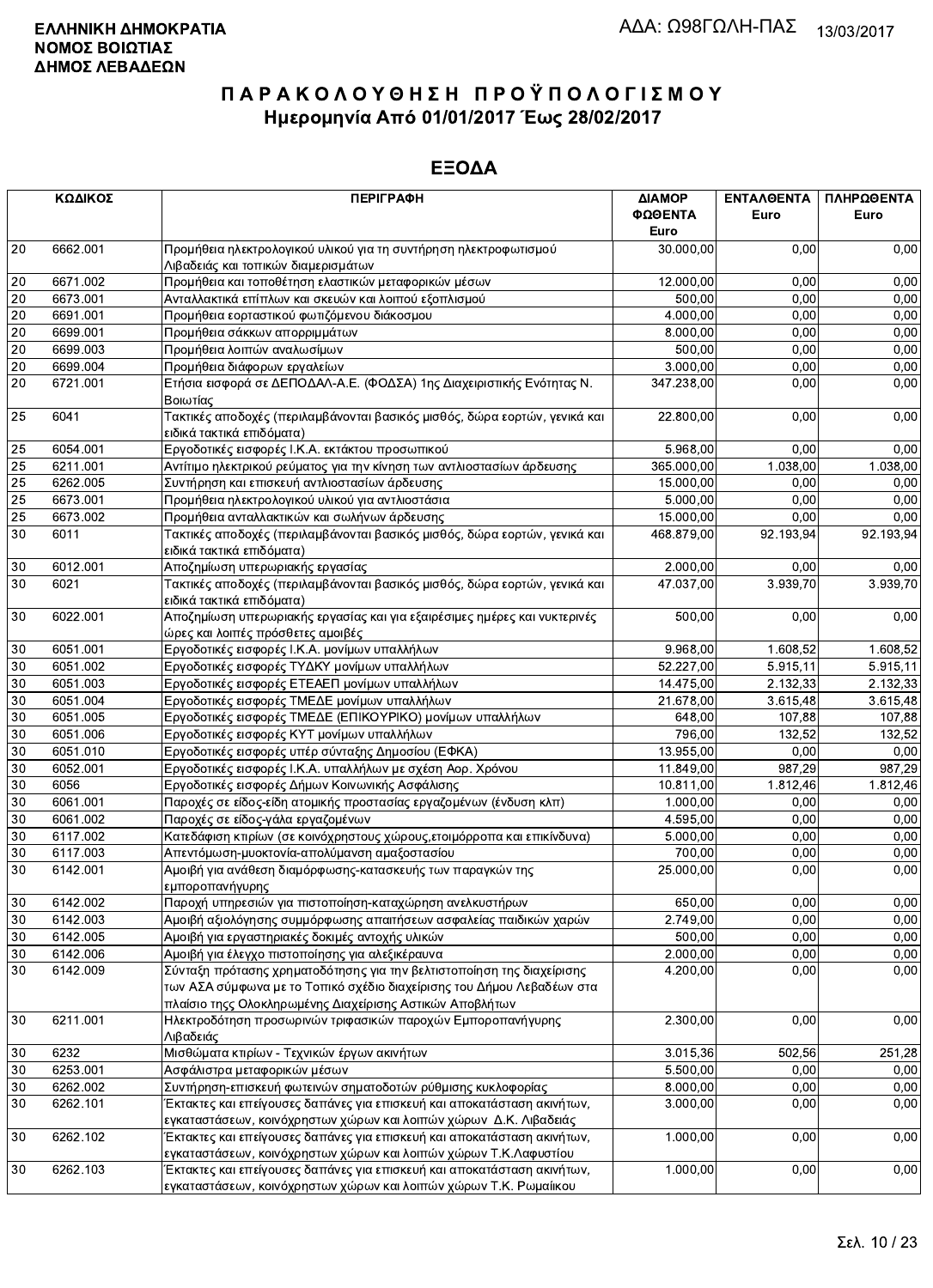|                 | ΚΩΔΙΚΟΣ  | <b>ПЕРІГРАФН</b>                                                                                                                                                                                             | ΔΙΑΜΟΡ<br>ΦΩΘΕΝΤΑ | ΕΝΤΑΛΘΕΝΤΑ<br>Euro | ΠΛΗΡΩΘΕΝΤΑ<br>Euro |
|-----------------|----------|--------------------------------------------------------------------------------------------------------------------------------------------------------------------------------------------------------------|-------------------|--------------------|--------------------|
|                 |          |                                                                                                                                                                                                              | Euro              |                    |                    |
| 20              | 6662.001 | Προμήθεια ηλεκτρολογικού υλικού για τη συντήρηση ηλεκτροφωτισμού<br>Λιβαδειάς και τοπικών διαμερισμάτων                                                                                                      | 30.000,00         | 0,00               | 0,00               |
| 20              | 6671.002 | Προμήθεια και τοποθέτηση ελαστικών μεταφορικών μέσων                                                                                                                                                         | 12.000,00         | 0,00               | 0,00               |
| 20              | 6673.001 | Ανταλλακτικά επίπλων και σκευών και λοιπού εξοπλισμού                                                                                                                                                        | 500,00            | 0,00               | 0,00               |
| 20              | 6691.001 | Προμήθεια εορταστικού φωτιζόμενου διάκοσμου                                                                                                                                                                  | 4.000,00          | 0,00               | 0,00               |
| 20              | 6699.001 | Προμήθεια σάκκων απορριμμάτων                                                                                                                                                                                | 8.000,00          | 0,00               | 0,00               |
| $20\,$          | 6699.003 | Προμήθεια λοιπών αναλωσίμων                                                                                                                                                                                  | 500,00            | 0,00               | 0,00               |
| $20\,$          | 6699.004 | Προμήθεια διάφορων εργαλείων                                                                                                                                                                                 | 3.000,00          | 0,00               | 0,00               |
| 20              | 6721.001 | Ετήσια εισφορά σε ΔΕΠΟΔΑΛ-Α.Ε. (ΦΟΔΣΑ) 1ης Διαχειριστικής Ενότητας Ν.<br>Βοιωτίας                                                                                                                            | 347.238,00        | 0,00               | 0,00               |
| 25              | 6041     | Τακτικές αποδοχές (περιλαμβάνονται βασικός μισθός, δώρα εορτών, γενικά και<br>ειδικά τακτικά επιδόματα)                                                                                                      | 22.800,00         | 0,00               | 0,00               |
| 25              | 6054.001 | Εργοδοτικές εισφορές Ι.Κ.Α. εκτάκτου προσωπικού                                                                                                                                                              | 5.968,00          | 0,00               | 0,00               |
| 25              | 6211.001 | Αντίτιμο ηλεκτρικού ρεύματος για την κίνηση των αντλιοστασίων άρδευσης                                                                                                                                       | 365.000,00        | 1.038,00           | 1.038,00           |
| 25              | 6262.005 | Συντήρηση και επισκευή αντλιοστασίων άρδευσης                                                                                                                                                                | 15.000,00         | 0,00               | 0,00               |
| 25              | 6673.001 | Προμήθεια ηλεκτρολογικού υλικού για αντλιοστάσια                                                                                                                                                             | 5.000,00          | 0,00               | 0,00               |
| $\overline{25}$ | 6673.002 | Προμήθεια ανταλλακτικών και σωλήνων άρδευσης                                                                                                                                                                 | 15.000,00         | 0,00               | 0,00               |
| 30              | 6011     | Τακτικές αποδοχές (περιλαμβάνονται βασικός μισθός, δώρα εορτών, γενικά και<br>ειδικά τακτικά επιδόματα)                                                                                                      | 468.879,00        | 92.193,94          | 92.193,94          |
| 30              | 6012.001 | Αποζημίωση υπερωριακής εργασίας                                                                                                                                                                              | 2.000,00          | 0,00               | 0,00               |
| 30              | 6021     | Τακτικές αποδοχές (περιλαμβάνονται βασικός μισθός, δώρα εορτών, γενικά και<br>ειδικά τακτικά επιδόματα)                                                                                                      | 47.037,00         | 3.939,70           | 3.939,70           |
| 30              | 6022.001 | Αποζημίωση υπερωριακής εργασίας και για εξαιρέσιμες ημέρες και νυκτερινές<br>ώρες και λοιπές πρόσθετες αμοιβές                                                                                               | 500,00            | 0,00               | 0,00               |
| 30              | 6051.001 | Εργοδοτικές εισφορές Ι.Κ.Α. μονίμων υπαλλήλων                                                                                                                                                                | 9.968,00          | 1.608,52           | 1.608,52           |
| 30              | 6051.002 | Εργοδοτικές εισφορές ΤΥΔΚΥ μονίμων υπαλλήλων                                                                                                                                                                 | 52.227,00         | 5.915,11           | 5.915,11           |
| 30              | 6051.003 | Εργοδοτικές εισφορές ΕΤΕΑΕΠ μονίμων υπαλλήλων                                                                                                                                                                | 14.475,00         | 2.132,33           | 2.132,33           |
| $30\,$          | 6051.004 | Εργοδοτικές εισφορές ΤΜΕΔΕ μονίμων υπαλλήλων                                                                                                                                                                 | 21.678,00         | 3.615,48           | 3.615,48           |
| 30              | 6051.005 | Εργοδοτικές εισφορές ΤΜΕΔΕ (ΕΠΙΚΟΥΡΙΚΟ) μονίμων υπαλλήλων                                                                                                                                                    | 648,00            | 107,88             | 107,88             |
| $30\,$          | 6051.006 | Εργοδοτικές εισφορές ΚΥΤ μονίμων υπαλλήλων                                                                                                                                                                   | 796,00            | 132,52             | 132,52             |
| $30\,$          | 6051.010 | Εργοδοτικές εισφορές υπέρ σύνταξης Δημοσίου (ΕΦΚΑ)                                                                                                                                                           | 13.955,00         | 0,00               | 0,00               |
| 30              | 6052.001 | Εργοδοτικές εισφορές Ι.Κ.Α. υπαλλήλων με σχέση Αορ. Χρόνου                                                                                                                                                   | 11.849,00         | 987,29             | 987,29             |
| 30              | 6056     | Εργοδοτικές εισφορές Δήμων Κοινωνικής Ασφάλισης                                                                                                                                                              | 10.811,00         | 1.812,46           | 1.812,46           |
| 30              | 6061.001 | Παροχές σε είδος-είδη ατομικής προστασίας εργαζομένων (ένδυση κλπ)                                                                                                                                           | 1.000,00          | 0,00               | 0,00               |
| $30\,$          | 6061.002 | Παροχές σε είδος-γάλα εργαζομένων                                                                                                                                                                            | 4.595,00          | 0,00               | 0,00               |
| $30\,$          | 6117.002 | Κατεδάφιση κτιρίων (σε κοινόχρηστους χώρους, ετοιμόρροπα και επικίνδυνα)                                                                                                                                     | 5.000,00          | 0,00               | 0,00               |
| 30              | 6117.003 | Απεντόμωση-μυοκτονία-απολύμανση αμαξοστασίου                                                                                                                                                                 | 700,00            | 0,00               | 0,00               |
| 30              | 6142.001 | Αμοιβή για ανάθεση διαμόρφωσης-κατασκευής των παραγκών της<br>εμποροπανήγυρης                                                                                                                                | 25.000,00         | 0,00               | 0,00               |
| $30\,$          | 6142.002 | Παροχή υπηρεσιών για πιστοποίηση-καταχώρηση ανελκυστήρων                                                                                                                                                     | 650,00            | 0,00               | 0,00               |
| 30              | 6142.003 | Αμοιβή αξιολόγησης συμμόρφωσης απαιτήσεων ασφαλείας παιδικών χαρών                                                                                                                                           | 2.749,00          | 0,00               | 0,00               |
| 30              | 6142.005 | Αμοιβή για εργαστηριακές δοκιμές αντοχής υλικών                                                                                                                                                              | 500,00            | 0,00               | 0,00               |
| 30              | 6142.006 | Αμοιβή για έλεγχο πιστοποίησης για αλεξικέραυνα                                                                                                                                                              | 2.000,00          | 0,00               | 0,00               |
| 30              | 6142.009 | Σύνταξη πρότασης χρηματοδότησης για την βελτιστοποίηση της διαχείρισης<br>των ΑΣΑ σύμφωνα με το Τοπικό σχέδιο διαχείρισης του Δήμου Λεβαδέων στα<br>πλαίσιο τηςς Ολοκληρωμένης Διαχείρισης Αστικών Αποβλήτων | 4.200,00          | 0,00               | 0,00               |
| $30\,$          | 6211.001 | Ηλεκτροδότηση προσωρινών τριφασικών παροχών Εμποροπανήγυρης<br>Λιβαδειάς                                                                                                                                     | 2.300,00          | 0,00               | 0,00               |
| 30              | 6232     | Μισθώματα κτιρίων - Τεχνικών έργων ακινήτων                                                                                                                                                                  | 3.015,36          | 502,56             | 251,28             |
| 30              | 6253.001 | Ασφάλιστρα μεταφορικών μέσων                                                                                                                                                                                 | 5.500,00          | 0,00               | 0,00               |
| 30              | 6262.002 | Συντήρηση-επισκευή φωτεινών σηματοδοτών ρύθμισης κυκλοφορίας                                                                                                                                                 | 8.000,00          | 0,00               | 0,00               |
| 30              | 6262.101 | Έκτακτες και επείγουσες δαπάνες για επισκευή και αποκατάσταση ακινήτων,                                                                                                                                      | 3.000,00          | 0,00               | 0,00               |
|                 |          | εγκαταστάσεων, κοινόχρηστων χώρων και λοιπών χώρων Δ.Κ. Λιβαδειάς                                                                                                                                            |                   |                    |                    |
| 30              | 6262.102 | Έκτακτες και επείγουσες δαπάνες για επισκευή και αποκατάσταση ακινήτων,<br>εγκαταστάσεων, κοινόχρηστων χώρων και λοιπών χώρων Τ.Κ.Λαφυστίου                                                                  | 1.000,00          | 0,00               | 0,00               |
| 30              | 6262.103 | Έκτακτες και επείγουσες δαπάνες για επισκευή και αποκατάσταση ακινήτων,<br>εγκαταστάσεων, κοινόχρηστων χώρων και λοιπών χώρων Τ.Κ. Ρωμαίικου                                                                 | 1.000,00          | 0,00               | 0,00               |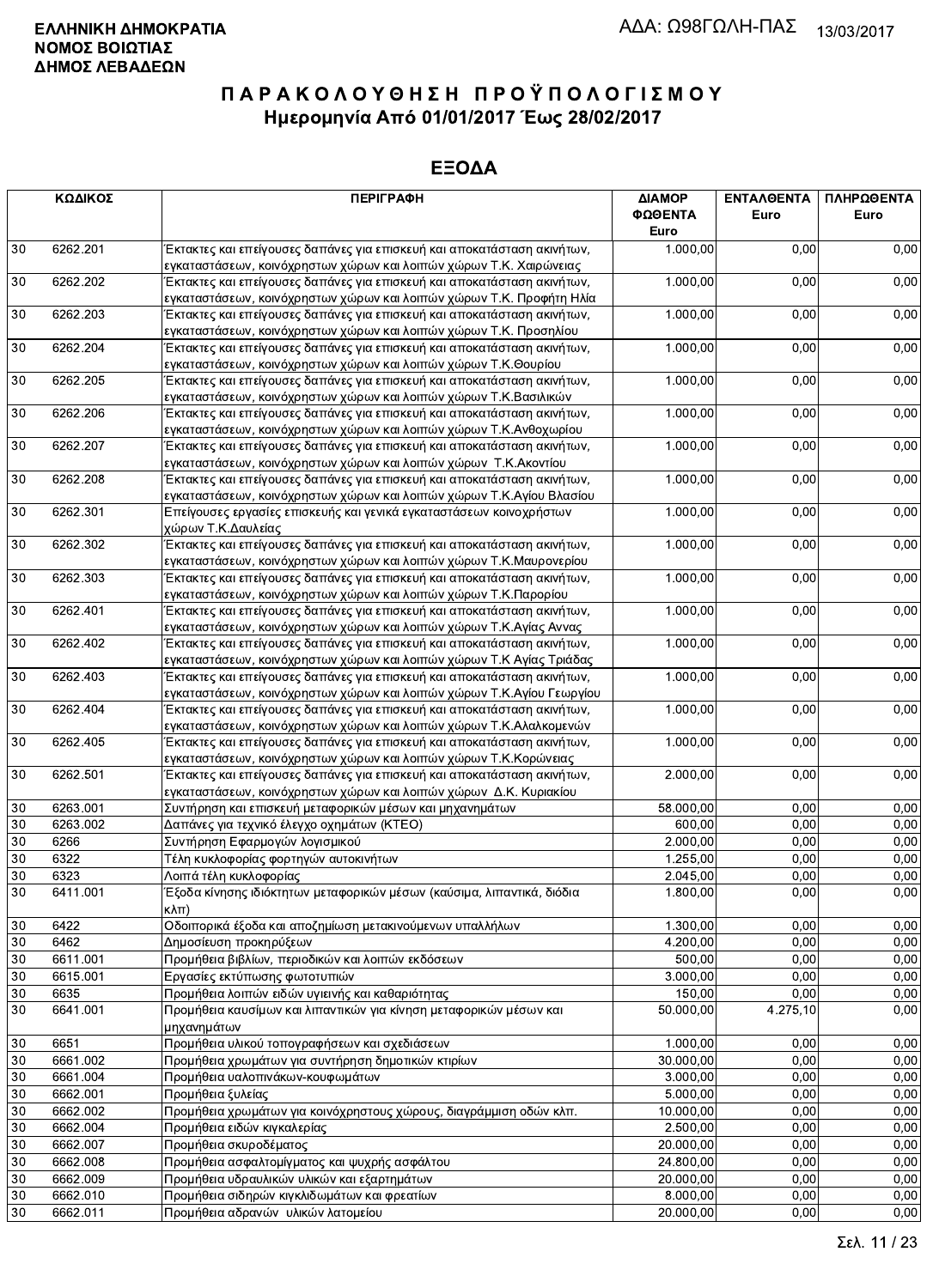|        | ΚΩΔΙΚΟΣ  | <b>ПЕРІГРАФН</b>                                                                                                                                | ΔΙΑΜΟΡ<br>ΦΩΘΕΝΤΑ<br>Euro | <b>ENTAA@ENTA</b><br>Euro | ΠΛΗΡΩΘΕΝΤΑ<br>Euro |
|--------|----------|-------------------------------------------------------------------------------------------------------------------------------------------------|---------------------------|---------------------------|--------------------|
| 30     | 6262.201 | Έκτακτες και επείγουσες δαπάνες για επισκευή και αποκατάσταση ακινήτων,                                                                         | 1.000,00                  | 0,00                      | 0,00               |
|        |          | εγκαταστάσεων, κοινόχρηστων χώρων και λοιπών χώρων Τ.Κ. Χαιρώνειας                                                                              |                           |                           |                    |
| 30     | 6262.202 | Έκτακτες και επείγουσες δαπάνες για επισκευή και αποκατάσταση ακινήτων,                                                                         | 1.000,00                  | 0,00                      | 0,00               |
|        |          | εγκαταστάσεων, κοινόχρηστων χώρων και λοιπών χώρων Τ.Κ. Προφήτη Ηλία                                                                            |                           |                           |                    |
| 30     | 6262.203 | Έκτακτες και επείγουσες δαπάνες για επισκευή και αποκατάσταση ακινήτων,                                                                         | 1.000,00                  | 0,00                      | 0,00               |
|        |          | εγκαταστάσεων, κοινόχρηστων χώρων και λοιπών χώρων Τ.Κ. Προσηλίου                                                                               |                           |                           |                    |
| 30     | 6262.204 | Έκτακτες και επείγουσες δαπάνες για επισκευή και αποκατάσταση ακινήτων,                                                                         | 1.000,00                  | 0,00                      | 0,00               |
|        |          | εγκαταστάσεων, κοινόχρηστων χώρων και λοιπών χώρων Τ.Κ.Θουρίου                                                                                  |                           |                           |                    |
| 30     | 6262.205 | Έκτακτες και επείγουσες δαπάνες για επισκευή και αποκατάσταση ακινήτων,                                                                         | 1.000,00                  | 0,00                      | 0,00               |
|        |          | εγκαταστάσεων, κοινόχρηστων χώρων και λοιπών χώρων Τ.Κ.Βασιλικών                                                                                |                           |                           |                    |
| 30     | 6262.206 | Έκτακτες και επείγουσες δαπάνες για επισκευή και αποκατάσταση ακινήτων,                                                                         | 1.000,00                  | 0,00                      | 0,00               |
|        |          | εγκαταστάσεων, κοινόχρηστων χώρων και λοιπών χώρων Τ.Κ.Ανθοχωρίου                                                                               |                           |                           |                    |
| 30     | 6262.207 | Έκτακτες και επείγουσες δαπάνες για επισκευή και αποκατάσταση ακινήτων,                                                                         | 1.000,00                  | 0,00                      | 0,00               |
|        |          | εγκαταστάσεων, κοινόχρηστων χώρων και λοιπών χώρων Τ.Κ. Ακοντίου                                                                                |                           |                           |                    |
| 30     | 6262.208 | Έκτακτες και επείγουσες δαπάνες για επισκευή και αποκατάσταση ακινήτων,                                                                         | 1.000,00                  | 0,00                      | 0,00               |
|        |          | εγκαταστάσεων, κοινόχρηστων χώρων και λοιπών χώρων Τ.Κ.Αγίου Βλασίου                                                                            |                           |                           |                    |
| 30     | 6262.301 | Επείγουσες εργασίες επισκευής και γενικά εγκαταστάσεων κοινοχρήστων                                                                             | 1.000,00                  | 0,00                      | 0,00               |
|        | 6262.302 | χώρων Τ.Κ.Δαυλείας                                                                                                                              |                           |                           |                    |
| 30     |          | Έκτακτες και επείγουσες δαπάνες για επισκευή και αποκατάσταση ακινήτων,                                                                         | 1.000,00                  | 0,00                      | 0,00               |
|        | 6262.303 | εγκαταστάσεων, κοινόχρηστων χώρων και λοιπών χώρων Τ.Κ.Μαυρονερίου                                                                              | 1.000,00                  | 0,00                      | 0,00               |
| 30     |          | Έκτακτες και επείγουσες δαπάνες για επισκευή και αποκατάσταση ακινήτων,                                                                         |                           |                           |                    |
|        | 6262.401 | εγκαταστάσεων, κοινόχρηστων χώρων και λοιπών χώρων Τ.Κ.Παρορίου                                                                                 | 1.000,00                  |                           | 0,00               |
| 30     |          | Έκτακτες και επείγουσες δαπάνες για επισκευή και αποκατάσταση ακινήτων,                                                                         |                           | 0,00                      |                    |
|        | 6262.402 | εγκαταστάσεων, κοινόχρηστων χώρων και λοιπών χώρων Τ.Κ.Αγίας Αννας                                                                              | 1.000,00                  | 0,00                      | 0,00               |
| 30     |          | Έκτακτες και επείγουσες δαπάνες για επισκευή και αποκατάσταση ακινήτων,                                                                         |                           |                           |                    |
| 30     | 6262.403 | εγκαταστάσεων, κοινόχρηστων χώρων και λοιπών χώρων Τ.Κ Αγίας Τριάδας<br>Έκτακτες και επείγουσες δαπάνες για επισκευή και αποκατάσταση ακινήτων, | 1.000,00                  | 0,00                      | 0,00               |
|        |          | εγκαταστάσεων, κοινόχρηστων χώρων και λοιπών χώρων Τ.Κ.Αγίου Γεωργίου                                                                           |                           |                           |                    |
| 30     | 6262.404 | Έκτακτες και επείγουσες δαπάνες για επισκευή και αποκατάσταση ακινήτων,                                                                         | 1.000,00                  | 0,00                      | 0,00               |
|        |          | εγκαταστάσεων, κοινόχρηστων χώρων και λοιπών χώρων Τ.Κ.Αλαλκομενών                                                                              |                           |                           |                    |
| 30     | 6262.405 | Έκτακτες και επείγουσες δαπάνες για επισκευή και αποκατάσταση ακινήτων,                                                                         | 1.000,00                  | 0,00                      | 0,00               |
|        |          | εγκαταστάσεων, κοινόχρηστων χώρων και λοιπών χώρων Τ.Κ.Κορώνειας                                                                                |                           |                           |                    |
| 30     | 6262.501 | Έκτακτες και επείγουσες δαπάνες για επισκευή και αποκατάσταση ακινήτων,                                                                         | 2.000,00                  | 0,00                      | 0,00               |
|        |          | εγκαταστάσεων, κοινόχρηστων χώρων και λοιπών χώρων Δ.Κ. Κυριακίου                                                                               |                           |                           |                    |
| 30     | 6263.001 | Συντήρηση και επισκευή μεταφορικών μέσων και μηχανημάτων                                                                                        | 58.000,00                 | 0,00                      | 0,00               |
| 30     | 6263.002 | Δαπάνες για τεχνικό έλεγχο οχημάτων (ΚΤΕΟ)                                                                                                      | 600,00                    | 0,00                      | 0,00               |
| 30     | 6266     | Συντήρηση Εφαρμογών λογισμικού                                                                                                                  | 2.000,00                  | 0,00                      | 0,00               |
| 30     | 6322     | Τέλη κυκλοφορίας φορτηγών αυτοκινήτων                                                                                                           | 1.255,00                  | 0,00                      | 0,00               |
| 30     | 6323     | Λοιπά τέλη κυκλοφορίας                                                                                                                          | 2.045,00                  | 0,00                      | 0,00               |
|        |          |                                                                                                                                                 |                           |                           |                    |
| 30     | 6411.001 | Εξοδα κίνησης ιδιόκτητων μεταφορικών μέσων (καύσιμα, λιπαντικά, διόδια<br>кλπ)                                                                  | 1.800,00                  | 0,00                      | 0,00               |
| $30\,$ | 6422     | Οδοιπορικά έξοδα και αποζημίωση μετακινούμενων υπαλλήλων                                                                                        | 1.300,00                  | 0,00                      | 0,00               |
| 30     | 6462     | Δημοσίευση προκηρύξεων                                                                                                                          | 4.200,00                  | 0,00                      | 0,00               |
| 30     | 6611.001 | Προμήθεια βιβλίων, περιοδικών και λοιπών εκδόσεων                                                                                               | 500,00                    | 0,00                      | 0,00               |
| 30     | 6615.001 | Εργασίες εκτύπωσης φωτοτυπιών                                                                                                                   | 3.000,00                  | 0,00                      | 0,00               |
| 30     | 6635     | Προμήθεια λοιπών ειδών υγιεινής και καθαριότητας                                                                                                | 150,00                    | 0,00                      | 0,00               |
|        |          |                                                                                                                                                 |                           |                           |                    |
| 30     | 6641.001 | Προμήθεια καυσίμων και λιπαντικών για κίνηση μεταφορικών μέσων και<br>μηχανημάτων                                                               | 50.000,00                 | 4.275,10                  | 0,00               |
| 30     | 6651     | Προμήθεια υλικού τοπογραφήσεων και σχεδιάσεων                                                                                                   | 1.000,00                  | 0,00                      | 0,00               |
|        |          |                                                                                                                                                 |                           | 0.00                      |                    |
| 30     | 6661.002 | Προμήθεια χρωμάτων για συντήρηση δημοτικών κτιρίων                                                                                              | 30.000,00<br>3.000,00     | 0.00                      | 0,00               |
| 30     | 6661.004 | Προμήθεια υαλοπινάκων-κουφωμάτων                                                                                                                |                           |                           | 0,00               |
| 30     | 6662.001 | Προμήθεια ξυλείας                                                                                                                               | 5.000,00                  | 0,00                      | 0,00               |
| 30     | 6662.002 | Προμήθεια χρωμάτων για κοινόχρηστους χώρους, διαγράμμιση οδών κλπ.                                                                              | 10.000,00                 | 0,00                      | 0,00               |
| 30     | 6662.004 | Προμήθεια ειδών κιγκαλερίας                                                                                                                     | 2.500,00                  | 0,00                      | 0,00               |
| 30     | 6662.007 | Προμήθεια σκυροδέματος                                                                                                                          | 20.000,00                 | 0,00                      | 0,00               |
| 30     | 6662.008 | Προμήθεια ασφαλτομίγματος και ψυχρής ασφάλτου                                                                                                   | 24.800,00                 | 0,00                      | 0,00               |
| 30     | 6662.009 | Προμήθεια υδραυλικών υλικών και εξαρτημάτων                                                                                                     | 20.000,00                 | 0,00                      | 0,00               |
| 30     | 6662.010 | Προμήθεια σιδηρών κιγκλιδωμάτων και φρεατίων                                                                                                    | 8.000,00                  | 0,00                      | 0,00               |
| 30     | 6662.011 | Προμήθεια αδρανών υλικών λατομείου                                                                                                              | 20.000,00                 | 0,00                      | 0,00               |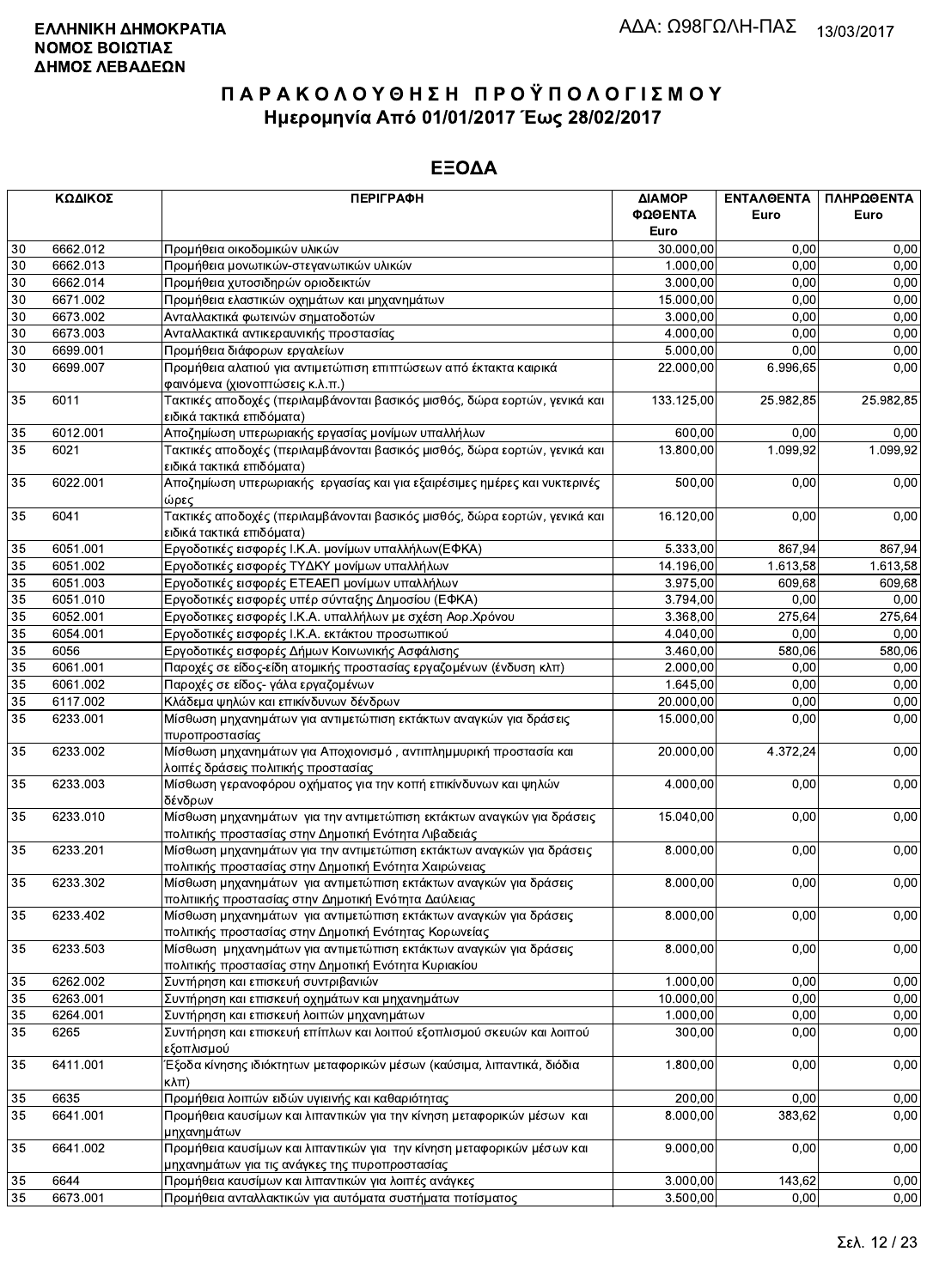|                 | ΚΩΔΙΚΟΣ              | <b>ПЕРІГРАФН</b>                                                                                                              | ΔΙΑΜΟΡ<br>ΦΩΘΕΝΤΑ    | ΕΝΤΑΛΘΕΝΤΑ<br>Euro | ΠΛΗΡΩΘΕΝΤΑ<br>Euro |
|-----------------|----------------------|-------------------------------------------------------------------------------------------------------------------------------|----------------------|--------------------|--------------------|
|                 |                      |                                                                                                                               | Euro                 |                    |                    |
| 30              | 6662.012             | Προμήθεια οικοδομικών υλικών                                                                                                  | 30.000,00            | 0,00<br>0.00       | 0,00               |
| 30<br>30        | 6662.013<br>6662.014 | Προμήθεια μονωτικών-στεγανωτικών υλικών<br>Προμήθεια χυτοσιδηρών οριοδεικτών                                                  | 1.000,00<br>3.000,00 | 0.00               | 0,00<br>0,00       |
| 30              | 6671.002             | Προμήθεια ελαστικών οχημάτων και μηχανημάτων                                                                                  | 15.000,00            | 0,00               | 0,00               |
| 30              | 6673.002             | Ανταλλακτικά φωτεινών σηματοδοτών                                                                                             | 3.000,00             | 0,00               | 0,00               |
| 30              | 6673.003             | Ανταλλακτικά αντικεραυνικής προστασίας                                                                                        | 4.000,00             | 0,00               | 0,00               |
| 30              | 6699.001             | Προμήθεια διάφορων εργαλείων                                                                                                  | 5.000,00             | 0,00               | 0,00               |
| 30              | 6699.007             | Προμήθεια αλατιού για αντιμετώπιση επιπτώσεων από έκτακτα καιρικά                                                             | 22.000,00            | 6.996,65           | 0,00               |
|                 |                      | φαινόμενα (χιονοπτώσεις κ.λ.π.)                                                                                               |                      |                    |                    |
| 35              | 6011                 | Τακτικές αποδοχές (περιλαμβάνονται βασικός μισθός, δώρα εορτών, γενικά και<br>ειδικά τακτικά επιδόματα)                       | 133.125,00           | 25.982,85          | 25.982,85          |
| 35              | 6012.001             | Αποζημίωση υπερωριακής εργασίας μονίμων υπαλλήλων                                                                             | 600,00               | 0,00               | 0,00               |
| 35              | 6021                 | Τακτικές αποδοχές (περιλαμβάνονται βασικός μισθός, δώρα εορτών, γενικά και<br>ειδικά τακτικά επιδόματα)                       | 13.800,00            | 1.099,92           | 1.099,92           |
| 35              | 6022.001             | Αποζημίωση υπερωριακής εργασίας και για εξαιρέσιμες ημέρες και νυκτερινές<br>ώρες                                             | 500,00               | 0,00               | 0,00               |
| 35              | 6041                 | Τακτικές αποδοχές (περιλαμβάνονται βασικός μισθός, δώρα εορτών, γενικά και<br>ειδικά τακτικά επιδόματα)                       | 16.120,00            | 0,00               | 0,00               |
| $35\,$          | 6051.001             | Εργοδοτικές εισφορές Ι.Κ.Α. μονίμων υπαλλήλων(ΕΦΚΑ)                                                                           | 5.333,00             | 867,94             | 867,94             |
| 35              | 6051.002             | Εργοδοτικές εισφορές ΤΥΔΚΥ μονίμων υπαλλήλων                                                                                  | 14.196,00            | 1.613,58           | 1.613,58           |
| 35              | 6051.003             | Εργοδοτικές εισφορές ΕΤΕΑΕΠ μονίμων υπαλλήλων                                                                                 | 3.975,00             | 609,68             | 609.68             |
| 35              | 6051.010             | Εργοδοτικές εισφορές υπέρ σύνταξης Δημοσίου (ΕΦΚΑ)                                                                            | 3.794,00             | 0,00               | 0,00               |
| 35              | 6052.001             | Εργοδοτικες εισφορές Ι.Κ.Α. υπαλλήλων με σχέση Αορ.Χρόνου                                                                     | 3.368,00             | 275,64             | 275,64             |
| 35              | 6054.001             | Εργοδοτικές εισφορές Ι.Κ.Α. εκτάκτου προσωπικού                                                                               | 4.040,00             | 0,00               | 0,00               |
| 35              | 6056                 | Εργοδοτικές εισφορές Δήμων Κοινωνικής Ασφάλισης                                                                               | 3.460,00             | 580,06             | 580,06             |
| $\overline{35}$ | 6061.001             | Παροχές σε είδος-είδη ατομικής προστασίας εργαζομένων (ένδυση κλπ)                                                            | 2.000,00             | 0,00               | 0,00               |
| 35              | 6061.002             | Παροχές σε είδος- γάλα εργαζομένων                                                                                            | 1.645,00             | 0,00               | 0,00               |
| 35              | 6117.002             | Κλάδεμα ψηλών και επικίνδυνων δένδρων                                                                                         | 20.000,00            | 0,00               | 0,00               |
| 35              | 6233.001             | Μίσθωση μηχανημάτων για αντιμετώπιση εκτάκτων αναγκών για δράσεις<br>πυροπροστασίας                                           | 15.000,00            | 0,00               | 0,00               |
| 35              | 6233.002             | Μίσθωση μηχανημάτων για Αποχιονισμό, αντιπλημμυρική προστασία και<br>λοιπές δράσεις πολιτικής προστασίας                      | 20.000,00            | 4.372,24           | 0,00               |
| 35              | 6233.003             | Μίσθωση γερανοφόρου οχήματος για την κοπή επικίνδυνων και ψηλών<br>δένδρων                                                    | 4.000,00             | 0,00               | 0,00               |
| 35              | 6233.010             | Μίσθωση μηχανημάτων για την αντιμετώπιση εκτάκτων αναγκών για δράσεις                                                         | 15.040,00            | 0,00               | 0,00               |
| 35              | 6233.201             | πολιτικής προστασίας στην Δημοτική Ενότητα Λιβαδειάς<br>Μίσθωση μηχανημάτων για την αντιμετώπιση εκτάκτων αναγκών για δράσεις | 8.000,00             | 0,00               | 0,00               |
| 35              | 6233.302             | πολιτικής προστασίας στην Δημοτική Ενότητα Χαιρώνειας<br>Μίσθωση μηχανημάτων για αντιμετώπιση εκτάκτων αναγκών για δράσεις    | 8.000,00             | 0,00               | 0,00               |
| 35              | 6233.402             | πολιτιικής προστασίας στην Δημοτική Ενότητα Δαύλειας<br>Μίσθωση μηχανημάτων για αντιμετώπιση εκτάκτων αναγκών για δράσεις     | 8.000,00             | 0,00               | 0,00               |
| 35              | 6233.503             | πολιτικής προστασίας στην Δημοτική Ενότητας Κορωνείας<br>Μίσθωση μηχανημάτων για αντιμετώπιση εκτάκτων αναγκών για δράσεις    | 8.000,00             | 0,00               | 0,00               |
|                 |                      | πολιτικής προστασίας στην Δημοτική Ενότητα Κυριακίου                                                                          |                      |                    |                    |
| 35              | 6262.002             | Συντήρηση και επισκευή συντριβανιών                                                                                           | 1.000,00             | 0,00               | 0,00               |
| 35              | 6263.001             | Συντήρηση και επισκευή οχημάτων και μηχανημάτων                                                                               | 10.000,00            | 0,00               | 0,00               |
| 35              | 6264.001             | Συντήρηση και επισκευή λοιπών μηχανημάτων                                                                                     | 1.000,00             | 0,00               | 0,00               |
| 35              | 6265                 | Συντήρηση και επισκευή επίπλων και λοιπού εξοπλισμού σκευών και λοιπού<br>εξοπλισμού                                          | 300,00               | 0,00               | 0,00               |
| 35              | 6411.001             | Έξοδα κίνησης ιδιόκτητων μεταφορικών μέσων (καύσιμα, λιπαντικά, διόδια                                                        | 1.800,00             | 0,00               | 0,00               |
|                 |                      | κλπ)                                                                                                                          |                      |                    |                    |
| 35              | 6635                 | Προμήθεια λοιπών ειδών υγιεινής και καθαριότητας                                                                              | 200,00               | 0,00               | 0,00               |
| 35              | 6641.001             | Προμήθεια καυσίμων και λιπαντικών για την κίνηση μεταφορικών μέσων και<br>μηχανημάτων                                         | 8.000,00             | 383,62             | 0,00               |
| 35              | 6641.002             | Προμήθεια καυσίμων και λιπαντικών για την κίνηση μεταφορικών μέσων και<br>μηχανημάτων για τις ανάγκες της πυροπροστασίας      | 9.000,00             | 0,00               | 0,00               |
| 35              | 6644                 | Προμήθεια καυσίμων και λιπαντικών για λοιπές ανάγκες                                                                          | 3.000,00             | 143,62             | 0,00               |
| 35              | 6673.001             | Προμήθεια ανταλλακτικών για αυτόματα συστήματα ποτίσματος                                                                     | 3.500,00             | 0,00               | 0,00               |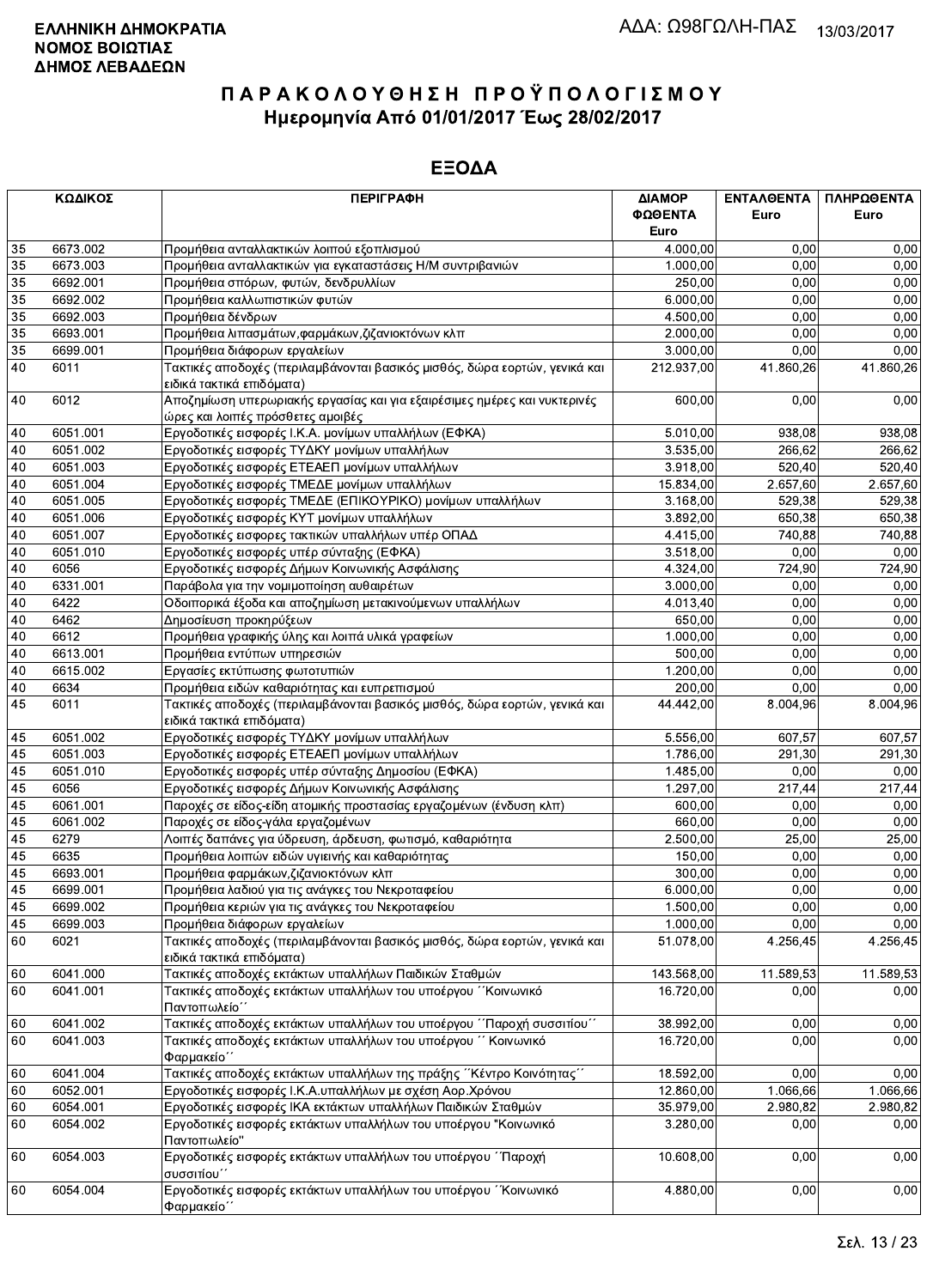|    | ΚΩΔΙΚΟΣ  | <b>ПЕРІГРАФН</b>                                                                                               | ΔΙΑΜΟΡ<br>ΦΩΘΕΝΤΑ<br>Euro | ΕΝΤΑΛΘΕΝΤΑ<br>Euro | ΠΛΗΡΩΘΕΝΤΑ<br>Euro |
|----|----------|----------------------------------------------------------------------------------------------------------------|---------------------------|--------------------|--------------------|
| 35 | 6673.002 | Προμήθεια ανταλλακτικών λοιπού εξοπλισμού                                                                      | 4.000,00                  | 0,00               | 0,00               |
| 35 | 6673.003 | Προμήθεια ανταλλακτικών για εγκαταστάσεις Η/Μ συντριβανιών                                                     | 1.000,00                  | 0,00               | 0,00               |
| 35 | 6692.001 | Προμήθεια σπόρων, φυτών, δενδρυλλίων                                                                           | 250,00                    | 0,00               | 0,00               |
| 35 | 6692.002 | Προμήθεια καλλωπιστικών φυτών                                                                                  | 6.000,00                  | 0,00               | 0,00               |
| 35 | 6692.003 | Προμήθεια δένδρων                                                                                              | 4.500,00                  | 0,00               | 0,00               |
| 35 | 6693.001 | Προμήθεια λιπασμάτων, φαρμάκων, ζιζανιοκτόνων κλπ                                                              | 2.000,00                  | 0,00               | 0,00               |
| 35 | 6699.001 | Προμήθεια διάφορων εργαλείων                                                                                   | 3.000,00                  | 0,00               | 0,00               |
| 40 | 6011     | Τακτικές αποδοχές (περιλαμβάνονται βασικός μισθός, δώρα εορτών, γενικά και<br>ειδικά τακτικά επιδόματα)        | 212.937,00                | 41.860,26          | 41.860,26          |
| 40 | 6012     | Αποζημίωση υπερωριακής εργασίας και για εξαιρέσιμες ημέρες και νυκτερινές<br>ώρες και λοιπές πρόσθετες αμοιβές | 600,00                    | 0,00               | 0,00               |
| 40 | 6051.001 | Εργοδοτικές εισφορές Ι.Κ.Α. μονίμων υπαλλήλων (ΕΦΚΑ)                                                           | 5.010,00                  | 938,08             | 938,08             |
| 40 | 6051.002 | Εργοδοτικές εισφορές ΤΥΔΚΥ μονίμων υπαλλήλων                                                                   | 3.535,00                  | 266,62             | 266,62             |
| 40 | 6051.003 | Εργοδοτικές εισφορές ΕΤΕΑΕΠ μονίμων υπαλλήλων                                                                  | 3.918,00                  | 520,40             | 520,40             |
| 40 | 6051.004 | Εργοδοτικές εισφορές ΤΜΕΔΕ μονίμων υπαλλήλων                                                                   | 15.834,00                 | 2.657,60           | 2.657,60           |
| 40 | 6051.005 | Εργοδοτικές εισφορές ΤΜΕΔΕ (ΕΠΙΚΟΥΡΙΚΟ) μονίμων υπαλλήλων                                                      | 3.168,00                  | 529,38             | 529.38             |
| 40 | 6051.006 | Εργοδοτικές εισφορές ΚΥΤ μονίμων υπαλλήλων                                                                     | 3.892,00                  | 650.38             | 650,38             |
| 40 | 6051.007 | Εργοδοτικές εισφορες τακτικών υπαλλήλων υπέρ ΟΠΑΔ                                                              | 4.415,00                  | 740,88             | 740,88             |
| 40 | 6051.010 | Εργοδοτικές εισφορές υπέρ σύνταξης (ΕΦΚΑ)                                                                      | 3.518,00                  | 0,00               | 0,00               |
| 40 | 6056     | Εργοδοτικές εισφορές Δήμων Κοινωνικής Ασφάλισης                                                                | 4.324,00                  | 724,90             | 724,90             |
| 40 | 6331.001 | Παράβολα για την νομιμοποίηση αυθαιρέτων                                                                       | 3.000,00                  | 0,00               | 0,00               |
| 40 | 6422     | Οδοιπορικά έξοδα και αποζημίωση μετακινούμενων υπαλλήλων                                                       | 4.013,40                  | 0,00               | 0,00               |
| 40 | 6462     | Δημοσίευση προκηρύξεων                                                                                         | 650,00                    | 0,00               | 0,00               |
| 40 | 6612     | Προμήθεια γραφικής ύλης και λοιπά υλικά γραφείων                                                               | 1.000,00                  | 0,00               | 0,00               |
| 40 | 6613.001 | Προμήθεια εντύπων υπηρεσιών                                                                                    | 500,00                    | 0,00               | 0,00               |
| 40 | 6615.002 | Εργασίες εκτύπωσης φωτοτυπιών                                                                                  | 1.200,00                  | 0.00               | 0.00               |
| 40 | 6634     | Προμήθεια ειδών καθαριότητας και ευπρεπισμού                                                                   | 200,00                    | 0,00               | 0,00               |
| 45 | 6011     | Τακτικές αποδοχές (περιλαμβάνονται βασικός μισθός, δώρα εορτών, γενικά και<br>ειδικά τακτικά επιδόματα)        | 44.442,00                 | 8.004,96           | 8.004,96           |
| 45 | 6051.002 | Εργοδοτικές εισφορές ΤΥΔΚΥ μονίμων υπαλλήλων                                                                   | 5.556,00                  | 607,57             | 607,57             |
| 45 | 6051.003 | Εργοδοτικές εισφορές ΕΤΕΑΕΠ μονίμων υπαλλήλων                                                                  | 1.786,00                  | 291,30             | 291,30             |
| 45 | 6051.010 | Εργοδοτικές εισφορές υπέρ σύνταξης Δημοσίου (ΕΦΚΑ)                                                             | 1.485,00                  | 0,00               | 0,00               |
| 45 | 6056     | Εργοδοτικές εισφορές Δήμων Κοινωνικής Ασφάλισης                                                                | 1.297,00                  | 217,44             | 217,44             |
| 45 | 6061.001 | Παροχές σε είδος-είδη ατομικής προστασίας εργαζομένων (ένδυση κλπ)                                             | 600,00                    | 0,00               | 0,00               |
| 45 | 6061.002 | Παροχές σε είδος-γάλα εργαζομένων                                                                              | 660,00                    | 0,00               | 0,00               |
| 45 | 6279     | Λοιπές δαπάνες για ύδρευση, άρδευση, φωτισμό, καθαριότητα                                                      | 2.500,00                  | 25,00              | 25,00              |
| 45 | 6635     | Προμήθεια λοιπών ειδών υγιεινής και καθαριότητας                                                               | 150,00                    | 0,00               | 0,00               |
| 45 | 6693.001 | Προμήθεια φαρμάκων, ζιζανιοκτόνων κλπ                                                                          | 300,00                    | 0,00               | 0,00               |
| 45 | 6699.001 | Προμήθεια λαδιού για τις ανάγκες του Νεκροταφείου                                                              | 6.000,00                  | 0,00               | 0,00               |
| 45 | 6699.002 | Προμήθεια κεριών για τις ανάγκες του Νεκροταφείου                                                              | 1.500,00                  | 0,00               | 0.00               |
| 45 | 6699.003 | Προμήθεια διάφορων εργαλείων                                                                                   | 1.000,00                  | 0,00               | 0,00               |
| 60 | 6021     | Τακτικές αποδοχές (περιλαμβάνονται βασικός μισθός, δώρα εορτών, γενικά και<br>ειδικά τακτικά επιδόματα)        | 51.078,00                 | 4.256,45           | 4.256,45           |
| 60 | 6041.000 | Τακτικές αποδοχές εκτάκτων υπαλλήλων Παιδικών Σταθμών                                                          | 143.568,00                | 11.589,53          | 11.589,53          |
| 60 | 6041.001 | Τακτικές αποδοχές εκτάκτων υπαλλήλων του υποέργου ΄΄Κοινωνικό<br>Παντοπωλείο΄                                  | 16.720,00                 | 0,00               | 0,00               |
| 60 | 6041.002 | Τακτικές αποδοχές εκτάκτων υπαλλήλων του υποέργου ΄΄Παροχή συσσιτίου΄΄                                         | 38.992,00                 | 0,00               | 0,00               |
| 60 | 6041.003 | Τακτικές αποδοχές εκτάκτων υπαλλήλων του υποέργου ΄΄ Κοινωνικό<br>Φαρμακείο΄                                   | 16.720.00                 | 0,00               | 0,00               |
| 60 | 6041.004 | Τακτικές αποδοχές εκτάκτων υπαλλήλων της πράξης "Κέντρο Κοινότητας"                                            | 18.592,00                 | 0,00               | 0,00               |
| 60 | 6052.001 | Εργοδοτικές εισφορές Ι.Κ.Α.υπαλλήλων με σχέση Αορ.Χρόνου                                                       | 12.860,00                 | 1.066,66           | 1.066,66           |
| 60 | 6054.001 | Εργοδοτικές εισφορές ΙΚΑ εκτάκτων υπαλλήλων Παιδικών Σταθμών                                                   | 35.979,00                 | 2.980,82           | 2.980,82           |
| 60 | 6054.002 | Εργοδοτικές εισφορές εκτάκτων υπαλλήλων του υποέργου "Κοινωνικό<br>Παντοπωλείο"                                | 3.280,00                  | 0,00               | 0,00               |
| 60 | 6054.003 | Εργοδοτικές εισφορές εκτάκτων υπαλλήλων του υποέργου ΄΄Παροχή<br>συσσιτίου'                                    | 10.608,00                 | 0,00               | 0,00               |
| 60 | 6054.004 | Εργοδοτικές εισφορές εκτάκτων υπαλλήλων του υποέργου "Κοινωνικό<br>Φαρμακείο΄΄                                 | 4.880,00                  | 0,00               | 0,00               |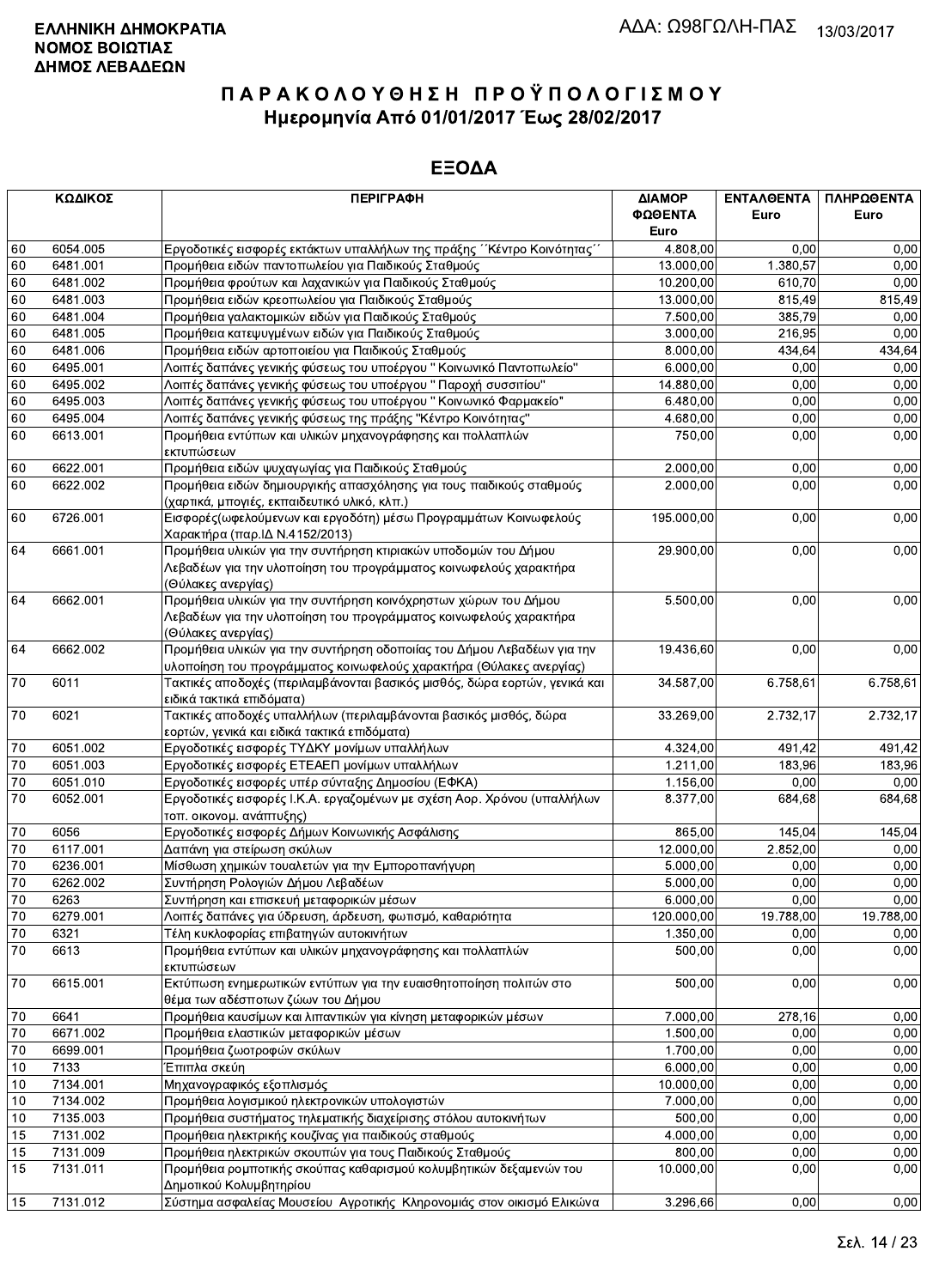|                 | ΚΩΔΙΚΟΣ<br><b>ПЕРІГРАФН</b> |                                                                                                                   | ΔΙΑΜΟΡ<br>ΦΩΘΕΝΤΑ<br>Euro | ΕΝΤΑΛΘΕΝΤΑ<br>Euro | ΠΛΗΡΩΘΕΝΤΑ<br>Euro |
|-----------------|-----------------------------|-------------------------------------------------------------------------------------------------------------------|---------------------------|--------------------|--------------------|
| 60              | 6054.005                    | Εργοδοτικές εισφορές εκτάκτων υπαλλήλων της πράξης "Κέντρο Κοινότητας"                                            | 4.808,00                  | 0,00               | 0,00               |
| 60              | 6481.001                    | Προμήθεια ειδών παντοπωλείου για Παιδικούς Σταθμούς                                                               | 13.000,00                 | 1.380.57           | 0,00               |
| 60              | 6481.002                    | Προμήθεια φρούτων και λαχανικών για Παιδικούς Σταθμούς                                                            | 10.200,00                 | 610.70             | 0,00               |
| 60              | 6481.003                    | Προμήθεια ειδών κρεοπωλείου για Παιδικούς Σταθμούς                                                                | 13.000,00                 | 815,49             | 815,49             |
| 60              | 6481.004                    | Προμήθεια γαλακτομικών ειδών για Παιδικούς Σταθμούς                                                               | 7.500,00                  | 385,79             | 0,00               |
| 60              | 6481.005                    | Προμήθεια κατεψυγμένων ειδών για Παιδικούς Σταθμούς                                                               | 3.000,00                  | 216,95             | 0,00               |
| 60              | 6481.006                    | Προμήθεια ειδών αρτοποιείου για Παιδικούς Σταθμούς                                                                | 8.000,00                  | 434,64             | 434,64             |
| 60              | 6495.001                    | Λοιπές δαπάνες γενικής φύσεως του υποέργου " Κοινωνικό Παντοπωλείο"                                               | 6.000,00                  | 0,00               | 0,00               |
| 60              | 6495.002                    | Λοιπές δαπάνες γενικής φύσεως του υποέργου "Παροχή συσσιτίου"                                                     | 14.880,00                 | 0,00               | 0,00               |
| 60              | 6495.003                    | Λοιπές δαπάνες γενικής φύσεως του υποέργου "Κοινωνικό Φαρμακείο"                                                  | 6.480,00                  | 0,00               | 0,00               |
| 60              | 6495.004                    | Λοιπές δαπάνες γενικής φύσεως της πράξης "Κέντρο Κοινότητας"                                                      | 4.680,00                  | 0,00               | 0,00               |
| 60              | 6613.001                    | Προμήθεια εντύπων και υλικών μηχανογράφησης και πολλαπλών                                                         | 750,00                    | 0,00               | 0,00               |
|                 |                             | εκτυπώσεων                                                                                                        |                           |                    |                    |
| 60              | 6622.001                    | Προμήθεια ειδών ψυχαγωγίας για Παιδικούς Σταθμούς                                                                 | 2.000,00                  | 0,00               | 0,00               |
| 60              | 6622.002                    | Προμήθεια ειδών δημιουργικής απασχόλησης για τους παιδικούς σταθμούς                                              | 2.000,00                  | 0,00               | 0,00               |
|                 |                             | (χαρτικά, μπογιές, εκπαιδευτικό υλικό, κλπ.)                                                                      |                           |                    |                    |
| 60              | 6726.001                    | Εισφορές(ωφελούμενων και εργοδότη) μέσω Προγραμμάτων Κοινωφελούς<br>Χαρακτήρα (παρ. Δ Ν.4152/2013)                | 195.000,00                | 0,00               | 0,00               |
| 64              | 6661.001                    | Προμήθεια υλικών για την συντήρηση κτιριακών υποδομών του Δήμου                                                   | 29.900,00                 | 0,00               | 0,00               |
|                 |                             | Λεβαδέων για την υλοποίηση του προγράμματος κοινωφελούς χαρακτήρα                                                 |                           |                    |                    |
|                 |                             | (Θύλακες ανεργίας)                                                                                                |                           |                    |                    |
| 64              | 6662.001                    | Προμήθεια υλικών για την συντήρηση κοινόχρηστων χώρων του Δήμου                                                   | 5.500,00                  | 0,00               | 0,00               |
|                 |                             | Λεβαδέων για την υλοποίηση του προγράμματος κοινωφελούς χαρακτήρα                                                 |                           |                    |                    |
|                 |                             | (Θύλακες ανεργίας)                                                                                                |                           |                    |                    |
| 64              | 6662.002                    | Προμήθεια υλικών για την συντήρηση οδοποιίας του Δήμου Λεβαδέων για την                                           | 19.436,60                 | 0,00               | 0,00               |
|                 |                             | υλοποίηση του προγράμματος κοινωφελούς χαρακτήρα (Θύλακες ανεργίας)                                               |                           |                    |                    |
| 70              | 6011                        | Τακτικές αποδοχές (περιλαμβάνονται βασικός μισθός, δώρα εορτών, γενικά και<br>ειδικά τακτικά επιδόματα)           | 34.587,00                 | 6.758,61           | 6.758,61           |
| 70              | 6021                        | Τακτικές αποδοχές υπαλλήλων (περιλαμβάνονται βασικός μισθός, δώρα<br>εορτών, γενικά και ειδικά τακτικά επιδόματα) | 33.269,00                 | 2.732,17           | 2.732,17           |
| 70              | 6051.002                    | Εργοδοτικές εισφορές ΤΥΔΚΥ μονίμων υπαλλήλων                                                                      | 4.324,00                  | 491,42             | 491,42             |
| 70              | 6051.003                    | Εργοδοτικές εισφορές ΕΤΕΑΕΠ μονίμων υπαλλήλων                                                                     | 1.211,00                  | 183,96             | 183,96             |
| 70              | 6051.010                    | Εργοδοτικές εισφορές υπέρ σύνταξης Δημοσίου (ΕΦΚΑ)                                                                | 1.156,00                  | 0,00               | 0,00               |
| 70              | 6052.001                    | Εργοδοτικές εισφορές Ι.Κ.Α. εργαζομένων με σχέση Αορ. Χρόνου (υπαλλήλων                                           | 8.377,00                  | 684,68             | 684,68             |
|                 |                             | τοπ. οικονομ. ανάπτυξης)                                                                                          |                           |                    |                    |
| 70              | 6056                        | Εργοδοτικές εισφορές Δήμων Κοινωνικής Ασφάλισης                                                                   | 865,00                    | 145.04             | 145,04             |
| 70              | 6117.001                    | Δαπάνη για στείρωση σκύλων                                                                                        | 12.000,00                 | 2.852,00           | 0,00               |
| 70              | 6236.001                    | Μίσθωση χημικών τουαλετών για την Εμποροπανήγυρη                                                                  | 5.000,00                  | 0,00               | 0,00               |
| 70              | 6262.002                    | Συντήρηση Ρολογιών Δήμου Λεβαδέων                                                                                 | 5.000,00                  | 0,00               | 0,00               |
| 70              | 6263                        | Συντήρηση και επισκευή μεταφορικών μέσων                                                                          | 6.000,00                  | 0,00               | 0,00               |
| $\overline{70}$ | 6279.001                    | Λοιπές δαπάνες για ύδρευση, άρδευση, φωτισμό, καθαριότητα                                                         | 120.000,00                | 19.788,00          | 19.788,00          |
| $70\,$          | 6321                        | Τέλη κυκλοφορίας επιβατηγών αυτοκινήτων                                                                           | 1.350,00                  | 0,00               | 0,00               |
| 70              | 6613                        | Προμήθεια εντύπων και υλικών μηχανογράφησης και πολλαπλών                                                         | 500,00                    | 0,00               | 0,00               |
|                 | 6615.001                    | εκτυπώσεων<br>Εκτύπωση ενημερωτικών εντύπων για την ευαισθητοποίηση πολιτών στο                                   | 500,00                    | 0,00               | 0,00               |
| 70              |                             | θέμα των αδέσποτων ζώων του Δήμου                                                                                 |                           |                    |                    |
| 70              | 6641                        | Προμήθεια καυσίμων και λιπαντικών για κίνηση μεταφορικών μέσων                                                    | 7.000,00                  | 278,16             | 0,00               |
| 70              | 6671.002                    | Προμήθεια ελαστικών μεταφορικών μέσων                                                                             | 1.500,00                  | 0,00               | 0,00               |
| 70              | 6699.001                    | Προμήθεια ζωοτροφών σκύλων                                                                                        | 1.700,00                  | 0,00               | 0,00               |
| 10              | 7133                        | Έπιπλα σκεύη                                                                                                      | 6.000,00                  | 0.00               | 0,00               |
| 10              | 7134.001                    | Μηχανογραφικός εξοπλισμός                                                                                         | 10.000,00                 | 0,00               | 0,00               |
| 10              | 7134.002                    | Προμήθεια λογισμικού ηλεκτρονικών υπολογιστών                                                                     | 7.000,00                  | 0,00               | 0,00               |
| 10              | 7135.003                    | Προμήθεια συστήματος τηλεματικής διαχείρισης στόλου αυτοκινήτων                                                   | 500,00                    | 0,00               | 0,00               |
| 15              | 7131.002                    | Προμήθεια ηλεκτρικής κουζίνας για παιδικούς σταθμούς                                                              | 4.000,00                  | 0,00               | 0,00               |
| 15              | 7131.009                    | Προμήθεια ηλεκτρικών σκουπών για τους Παιδικούς Σταθμούς                                                          | 800,00                    | 0,00               | 0,00               |
| 15              | 7131.011                    | Προμήθεια ρομποτικής σκούπας καθαρισμού κολυμβητικών δεξαμενών του                                                | 10.000,00                 | 0,00               | 0,00               |
|                 |                             | Δημοτικού Κολυμβητηρίου                                                                                           |                           |                    |                    |
| 15              | 7131.012                    | Σύστημα ασφαλείας Μουσείου Αγροτικής Κληρονομιάς στον οικισμό Ελικώνα                                             | 3.296,66                  | 0,00               | 0.00               |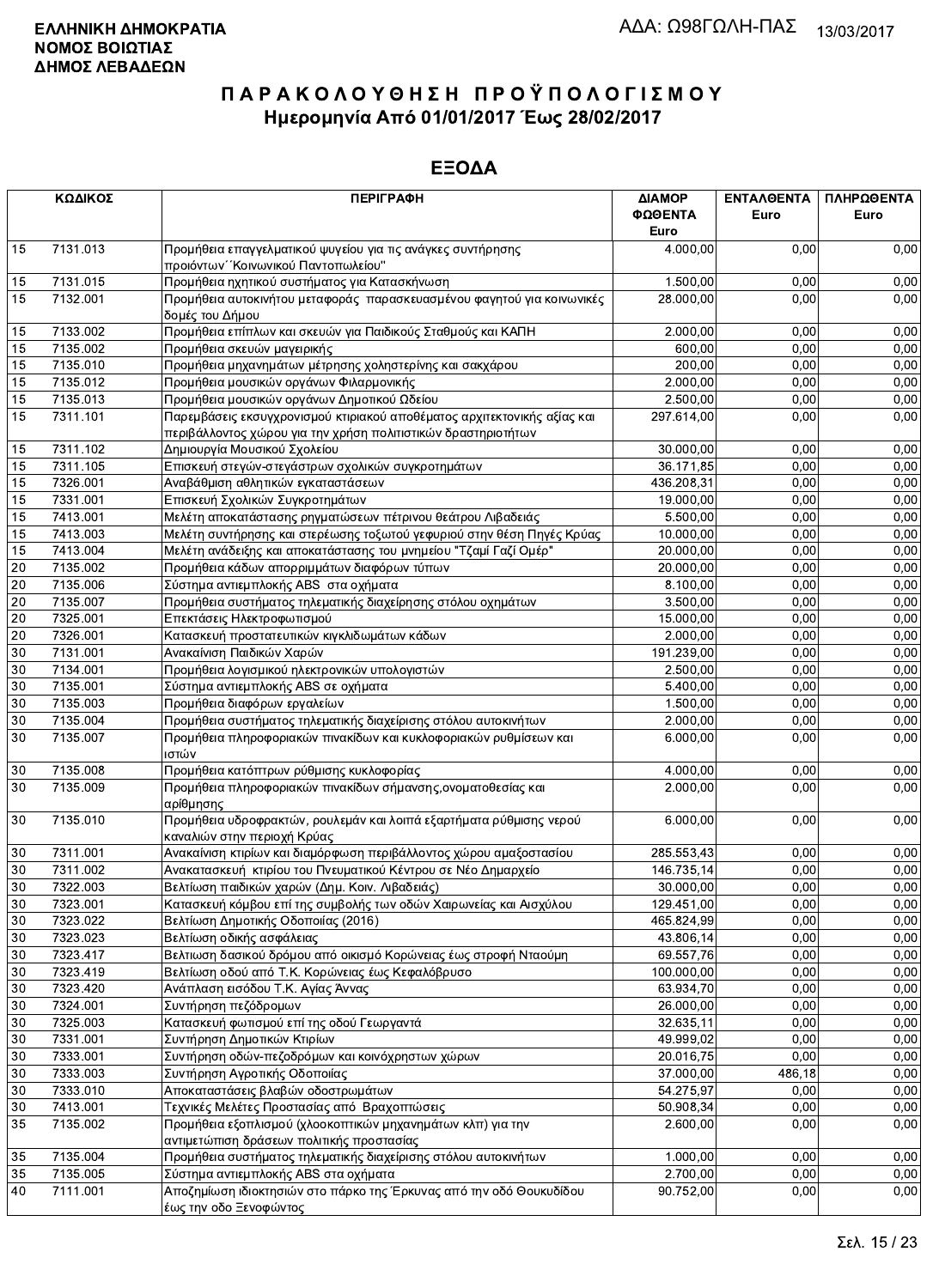|          | ΚΩΔΙΚΟΣ  | <b>ПЕРІГРАФН</b>                                                                                                                          | ΔΙΑΜΟΡ          | ΕΝΤΑΛΘΕΝΤΑ | ΠΛΗΡΩΘΕΝΤΑ |
|----------|----------|-------------------------------------------------------------------------------------------------------------------------------------------|-----------------|------------|------------|
|          |          |                                                                                                                                           | ΦΩΘΕΝΤΑ<br>Euro | Euro       | Euro       |
| 15       | 7131.013 | Προμήθεια επαγγελματικού ψυγείου για τις ανάγκες συντήρησης                                                                               | 4.000,00        | 0,00       | 0,00       |
|          |          | προιόντων "Κοινωνικού Παντοπωλείου"                                                                                                       |                 |            |            |
| 15       | 7131.015 | Προμήθεια ηχητικού συστήματος για Κατασκήνωση                                                                                             | 1.500,00        | 0,00       | 0,00       |
| 15       | 7132.001 | Προμήθεια αυτοκινήτου μεταφοράς παρασκευασμένου φαγητού για κοινωνικές<br>δομές του Δήμου                                                 | 28.000,00       | 0.00       | 0,00       |
| 15       | 7133.002 | Προμήθεια επίπλων και σκευών για Παιδικούς Σταθμούς και ΚΑΠΗ                                                                              | 2.000,00        | 0.00       | 0,00       |
| 15       | 7135.002 | Προμήθεια σκευών μαγειρικής                                                                                                               | 600.00          | 0.00       | 0,00       |
| 15       | 7135.010 | Προμήθεια μηχανημάτων μέτρησης χοληστερίνης και σακχάρου                                                                                  | 200,00          | 0,00       | 0,00       |
| 15       | 7135.012 | Προμήθεια μουσικών οργάνων Φιλαρμονικής                                                                                                   | 2.000,00        | 0,00       | 0,00       |
| 15       | 7135.013 | Προμήθεια μουσικών οργάνων Δημοτικού Ωδείου                                                                                               | 2.500,00        | 0,00       | 0,00       |
| 15       | 7311.101 | Παρεμβάσεις εκσυγχρονισμού κτιριακού αποθέματος αρχιτεκτονικής αξίας και<br>περιβάλλοντος χώρου για την χρήση πολιτιστικών δραστηριοτήτων | 297.614,00      | 0,00       | 0,00       |
| 15       | 7311.102 | Δημιουργία Μουσικού Σχολείου                                                                                                              | 30.000,00       | 0,00       | 0,00       |
| 15       | 7311.105 | Επισκευή στεγών-στεγάστρων σχολικών συγκροτημάτων                                                                                         | 36.171,85       | 0,00       | 0,00       |
| 15       | 7326.001 | Αναβάθμιση αθλητικών εγκαταστάσεων                                                                                                        | 436.208,31      | 0,00       | 0,00       |
| 15       | 7331.001 | Επισκευή Σχολικών Συγκροτημάτων                                                                                                           | 19.000,00       | 0,00       | 0,00       |
| 15       | 7413.001 | Μελέτη αποκατάστασης ρηγματώσεων πέτρινου θεάτρου Λιβαδειάς                                                                               | 5.500,00        | 0,00       | 0,00       |
| 15       | 7413.003 | Μελέτη συντήρησης και στερέωσης τοξωτού γεφυριού στην θέση Πηγές Κρύας                                                                    | 10.000,00       | 0,00       | 0,00       |
| 15       | 7413.004 | Μελέτη ανάδειξης και αποκατάστασης του μνημείου "Τζαμί Γαζί Ομέρ"                                                                         | 20.000,00       | 0,00       | 0,00       |
| 20       | 7135.002 | Προμήθεια κάδων απορριμμάτων διαφόρων τύπων                                                                                               | 20.000,00       | 0,00       | 0,00       |
| 20       | 7135.006 | Σύστημα αντιεμπλοκής ABS στα οχήματα                                                                                                      | 8.100,00        | 0,00       | 0,00       |
| 20       | 7135.007 | Προμήθεια συστήματος τηλεματικής διαχείρησης στόλου οχημάτων                                                                              | 3.500,00        | 0.00       | 0,00       |
| 20       | 7325.001 | Επεκτάσεις Ηλεκτροφωτισμού                                                                                                                | 15.000,00       | 0,00       | 0,00       |
| 20       | 7326.001 | Κατασκευή προστατευτικών κιγκλιδωμάτων κάδων                                                                                              | 2.000,00        | 0,00       | 0,00       |
| 30       | 7131.001 | Ανακαίνιση Παιδικών Χαρών                                                                                                                 | 191.239,00      | 0,00       | 0,00       |
| 30       | 7134.001 | Προμήθεια λογισμικού ηλεκτρονικών υπολογιστών                                                                                             | 2.500,00        | 0,00       | 0,00       |
| 30       | 7135.001 | Σύστημα αντιεμπλοκής ABS σε οχήματα                                                                                                       | 5.400,00        | 0,00       | 0,00       |
| 30       | 7135.003 | Προμήθεια διαφόρων εργαλείων                                                                                                              | 1.500,00        | 0,00       | 0,00       |
| 30       | 7135.004 | Προμήθεια συστήματος τηλεματικής διαχείρισης στόλου αυτοκινήτων                                                                           | 2.000,00        | 0,00       | 0,00       |
| 30       | 7135.007 | Προμήθεια πληροφοριακών πινακίδων και κυκλοφοριακών ρυθμίσεων και<br>ιστών                                                                | 6.000,00        | 0,00       | 0,00       |
| 30       | 7135.008 | Προμήθεια κατόπτρων ρύθμισης κυκλοφορίας                                                                                                  | 4.000,00        | 0,00       | 0,00       |
| 30       | 7135.009 | Προμήθεια πληροφοριακών πινακίδων σήμανσης, ονοματοθεσίας και                                                                             | 2.000,00        | 0,00       | 0,00       |
|          |          | ∣αρίθμησης                                                                                                                                |                 |            |            |
| 30       | 7135.010 | Προμήθεια υδροφρακτών, ρουλεμάν και λοιπά εξαρτήματα ρύθμισης νερού<br>καναλιών στην περιοχή Κρύας                                        | 6.000,00        | 0,00       | 0,00       |
| 30       | 7311.001 | Ανακαίνιση κτιρίων και διαμόρφωση περιβάλλοντος χώρου αμαξοστασίου                                                                        | 285.553,43      | 0,00       | 0,00       |
| 30       | 7311.002 | Ανακατασκευή κτιρίου του Πνευματικού Κέντρου σε Νέο Δημαρχείο                                                                             | 146.735,14      | 0,00       | 0,00       |
| $30\,$   | 7322.003 | Βελτίωση παιδικών χαρών (Δημ. Κοιν. Λιβαδειάς)                                                                                            | 30.000,00       | 0,00       | 0,00       |
| 30       | 7323.001 | Κατασκευή κόμβου επί της συμβολής των οδών Χαιρωνείας και Αισχύλου                                                                        | 129.451,00      | 0,00       | 0,00       |
| 30       | 7323.022 | Βελτίωση Δημοτικής Οδοποιίας (2016)                                                                                                       | 465.824,99      | 0,00       | 0,00       |
| 30       | 7323.023 | Βελτίωση οδικής ασφάλειας                                                                                                                 | 43.806,14       | 0,00       | 0,00       |
| 30       | 7323.417 | Βελτιωση δασικού δρόμου από οικισμό Κορώνειας έως στροφή Νταούμη                                                                          | 69.557,76       | 0,00       | 0,00       |
| 30       | 7323.419 | Βελτίωση οδού από Τ.Κ. Κορώνειας έως Κεφαλόβρυσο                                                                                          | 100.000,00      | 0,00       | 0,00       |
| 30       | 7323.420 | Ανάπλαση εισόδου Τ.Κ. Αγίας Άννας                                                                                                         | 63.934,70       | 0,00       | 0,00       |
| 30       | 7324.001 | Συντήρηση πεζόδρομων                                                                                                                      | 26.000,00       | 0,00       | 0,00       |
| 30       | 7325.003 | Κατασκευή φωτισμού επί της οδού Γεωργαντά                                                                                                 | 32.635,11       | 0,00       | 0,00       |
| 30       | 7331.001 | Συντήρηση Δημοτικών Κτιρίων                                                                                                               | 49.999,02       | 0,00       | 0,00       |
| 30       | 7333.001 | Συντήρηση οδών-πεζοδρόμων και κοινόχρηστων χώρων                                                                                          | 20.016,75       | 0,00       | 0,00       |
| 30       | 7333.003 | Συντήρηση Αγροτικής Οδοποιίας                                                                                                             | 37.000,00       | 486,18     | 0,00       |
| 30       | 7333.010 | Αποκαταστάσεις βλαβών οδοστρωμάτων                                                                                                        | 54.275,97       | 0,00       | 0,00       |
| 30       | 7413.001 | Τεχνικές Μελέτες Προστασίας από Βραχοπτώσεις                                                                                              | 50.908,34       | 0,00       | 0,00       |
| 35       | 7135.002 | Προμήθεια εξοπλισμού (χλοοκοπτικών μηχανημάτων κλπ) για την                                                                               | 2.600,00        | 0,00       | 0,00       |
|          | 7135.004 | αντιμετώπιση δράσεων πολιτικής προστασίας                                                                                                 | 1.000,00        | 0,00       | 0,00       |
| 35<br>35 | 7135.005 | Προμήθεια συστήματος τηλεματικής διαχείρισης στόλου αυτοκινήτων<br>Σύστημα αντιεμπλοκής ABS στα οχήματα                                   | 2.700,00        | 0,00       | 0,00       |
| 40       | 7111.001 | Αποζημίωση ιδιοκτησιών στο πάρκο της Έρκυνας από την οδό Θουκυδίδου                                                                       | 90.752,00       | 0,00       | 0,00       |
|          |          | έως την οδο Ξενοφώντος                                                                                                                    |                 |            |            |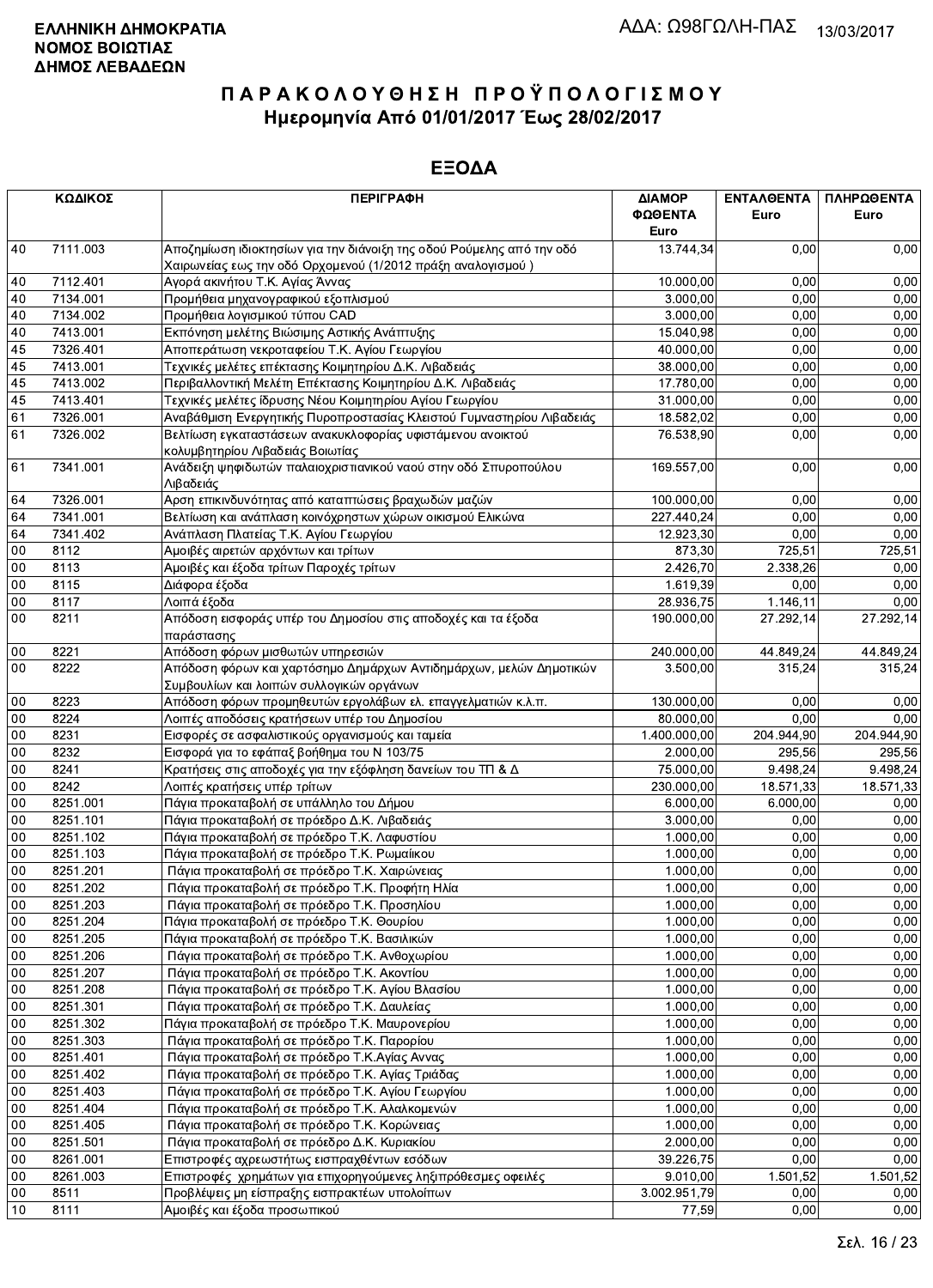|        | ΚΩΔΙΚΟΣ  | <b>ПЕРІГРАФН</b>                                                                                               | ΔΙΑΜΟΡ<br>ΦΩΘΕΝΤΑ<br>Euro | <b>ENTAA@ENTA</b><br>Euro | ΠΛΗΡΩΘΕΝΤΑ<br>Euro |
|--------|----------|----------------------------------------------------------------------------------------------------------------|---------------------------|---------------------------|--------------------|
| 40     | 7111.003 | Αποζημίωση ιδιοκτησίων για την διάνοιξη της οδού Ρούμελης από την οδό                                          | 13.744,34                 | 0.00                      | 0,00               |
|        |          | Χαιρωνείας εως την οδό Ορχομενού (1/2012 πράξη αναλογισμού)                                                    |                           |                           |                    |
| 40     | 7112.401 | Αγορά ακινήτου Τ.Κ. Αγίας Άννας                                                                                | 10.000,00                 | 0,00                      | 0,00               |
| 40     | 7134.001 | Προμήθεια μηχανογραφικού εξοπλισμού                                                                            | 3.000,00                  | 0,00                      | 0,00               |
| 40     | 7134.002 | Προμήθεια λογισμικού τύπου CAD                                                                                 | 3.000,00                  | 0,00                      | 0,00               |
| 40     | 7413.001 | Εκπόνηση μελέτης Βιώσιμης Αστικής Ανάπτυξης                                                                    | 15.040,98                 | 0,00                      | 0,00               |
| 45     | 7326.401 | Αποπεράτωση νεκροταφείου Τ.Κ. Αγίου Γεωργίου                                                                   | 40.000,00                 | 0,00                      | 0,00               |
| 45     | 7413.001 | Τεχνικές μελέτες επέκτασης Κοιμητηρίου Δ.Κ. Λιβαδειάς                                                          | 38.000,00                 | 0,00                      | 0,00               |
| 45     | 7413.002 | Περιβαλλοντική Μελέτη Επέκτασης Κοιμητηρίου Δ.Κ. Λιβαδειάς                                                     | 17.780,00                 | 0,00                      | 0,00               |
| 45     | 7413.401 | Τεχνικές μελέτες ίδρυσης Νέου Κοιμητηρίου Αγίου Γεωργίου                                                       | 31.000,00                 | 0,00                      | 0,00               |
| 61     | 7326.001 | Αναβάθμιση Ενεργητικής Πυροπροστασίας Κλειστού Γυμναστηρίου Λιβαδειάς                                          | 18.582,02                 | 0,00                      | 0,00               |
| 61     | 7326.002 | Βελτίωση εγκαταστάσεων ανακυκλοφορίας υφιστάμενου ανοικτού<br>κολυμβητηρίου Λιβαδειάς Βοιωτίας                 | 76.538,90                 | 0,00                      | 0,00               |
| 61     | 7341.001 | Ανάδειξη ψηφιδωτών παλαιοχριστιανικού ναού στην οδό Σπυροπούλου<br>Λιβαδειάς                                   | 169.557,00                | 0,00                      | 0,00               |
| 64     | 7326.001 | Αρση επικινδυνότητας από καταπτώσεις βραχωδών μαζών                                                            | 100.000,00                | 0,00                      | 0,00               |
| 64     | 7341.001 | Βελτίωση και ανάπλαση κοινόχρηστων χώρων οικισμού Ελικώνα                                                      | 227.440,24                | 0,00                      | 0,00               |
| 64     | 7341.402 | Ανάπλαση Πλατείας Τ.Κ. Αγίου Γεωργίου                                                                          | 12.923,30                 | 0,00                      | 0,00               |
| 00     | 8112     | Αμοιβές αιρετών αρχόντων και τρίτων                                                                            | 873,30                    | 725,51                    | 725,51             |
| 00     | 8113     | Αμοιβές και έξοδα τρίτων Παροχές τρίτων                                                                        | 2.426,70                  | 2.338,26                  | 0,00               |
| 00     | 8115     | Διάφορα έξοδα                                                                                                  | 1.619,39                  | 0,00                      | 0,00               |
| 00     | 8117     | Λοιπά έξοδα                                                                                                    | 28.936,75                 | 1.146,11                  | 0,00               |
| 00     | 8211     | Απόδοση εισφοράς υπέρ του Δημοσίου στις αποδοχές και τα έξοδα<br>παράστασης                                    | 190.000,00                | 27.292,14                 | 27.292,14          |
| 00     | 8221     | Απόδοση φόρων μισθωτών υπηρεσιών                                                                               | 240.000,00                | 44.849.24                 | 44.849,24          |
| 00     | 8222     | Απόδοση φόρων και χαρτόσημο Δημάρχων Αντιδημάρχων, μελών Δημοτικών<br>Συμβουλίων και λοιπών συλλογικών οργάνων | 3.500,00                  | 315,24                    | 315,24             |
| 00     | 8223     | Απόδοση φόρων προμηθευτών εργολάβων ελ. επαγγελματιών κ.λ.π.                                                   | 130.000,00                | 0,00                      | 0,00               |
| 00     | 8224     | Λοιπές αποδόσεις κρατήσεων υπέρ του Δημοσίου                                                                   | 80.000,00                 | 0,00                      | 0,00               |
| 00     | 8231     | Εισφορές σε ασφαλιστικούς οργανισμούς και ταμεία                                                               | 1.400.000,00              | 204.944,90                | 204.944,90         |
| 00     | 8232     | Εισφορά για το εφάπαξ βοήθημα του Ν 103/75                                                                     | 2.000,00                  | 295,56                    | 295,56             |
| 00     | 8241     | Κρατήσεις στις αποδοχές για την εξόφληση δανείων του ΤΠ & Δ                                                    | 75.000,00                 | 9.498.24                  | 9.498,24           |
| 00     | 8242     | Λοιπές κρατήσεις υπέρ τρίτων                                                                                   | 230.000,00                | 18.571,33                 | 18.571,33          |
| 00     | 8251.001 | Πάγια προκαταβολή σε υπάλληλο του Δήμου                                                                        | 6.000,00                  | 6.000.00                  | 0,00               |
|        | 8251.101 |                                                                                                                | 3.000,00                  |                           |                    |
| 00     |          | Πάγια προκαταβολή σε πρόεδρο Δ.Κ. Λιβαδειάς                                                                    |                           | 0,00                      | 0,00               |
| 00     | 8251.102 | Πάγια προκαταβολή σε πρόεδρο Τ.Κ. Λαφυστίου                                                                    | 1.000,00                  | 0,00                      | 0,00               |
| 00     | 8251.103 | Πάγια προκαταβολή σε πρόεδρο Τ.Κ. Ρωμαίικου                                                                    | 1.000,00                  | 0,00                      | 0,00               |
| 00     | 8251.201 | Πάγια προκαταβολή σε πρόεδρο Τ.Κ. Χαιρώνειας                                                                   | 1.000,00                  | 0,00                      | 0,00               |
| $00\,$ | 8251.202 | Πάγια προκαταβολή σε πρόεδρο Τ.Κ. Προφήτη Ηλία                                                                 | 1.000,00                  | 0,00                      | 0,00               |
| 00     | 8251.203 | Πάγια προκαταβολή σε πρόεδρο Τ.Κ. Προσηλίου                                                                    | 1.000,00                  | 0,00                      | 0,00               |
| 00     | 8251.204 | Πάγια προκαταβολή σε πρόεδρο Τ.Κ. Θουρίου                                                                      | 1.000,00                  | 0,00                      | 0,00               |
| 00     | 8251.205 | Πάγια προκαταβολή σε πρόεδρο Τ.Κ. Βασιλικών                                                                    | 1.000,00                  | 0,00                      | 0,00               |
| $00\,$ | 8251.206 | Πάγια προκαταβολή σε πρόεδρο Τ.Κ. Ανθοχωρίου                                                                   | 1.000,00                  | 0,00                      | 0,00               |
| 00     | 8251.207 | Πάγια προκαταβολή σε πρόεδρο Τ.Κ. Ακοντίου                                                                     | 1.000,00                  | 0,00                      | 0,00               |
| 00     | 8251.208 | Πάγια προκαταβολή σε πρόεδρο Τ.Κ. Αγίου Βλασίου                                                                | 1.000.00                  | 0,00                      | 0,00               |
| $00\,$ | 8251.301 | Πάγια προκαταβολή σε πρόεδρο Τ.Κ. Δαυλείας                                                                     | 1.000,00                  | 0,00                      | 0,00               |
| $00\,$ | 8251.302 | Πάγια προκαταβολή σε πρόεδρο Τ.Κ. Μαυρονερίου                                                                  | 1.000,00                  | 0,00                      | 0,00               |
| 00     | 8251.303 | Πάγια προκαταβολή σε πρόεδρο Τ.Κ. Παρορίου                                                                     | 1.000,00                  | 0,00                      | 0,00               |
| 00     | 8251.401 | Πάγια προκαταβολή σε πρόεδρο Τ.Κ.Αγίας Αννας                                                                   | 1.000,00                  | 0,00                      | 0,00               |
| 00     | 8251.402 | Πάγια προκαταβολή σε πρόεδρο Τ.Κ. Αγίας Τριάδας                                                                | 1.000,00                  | 0,00                      | 0,00               |
| $00\,$ | 8251.403 | Πάγια προκαταβολή σε πρόεδρο Τ.Κ. Αγίου Γεωργίου                                                               | 1.000.00                  | 0,00                      | 0,00               |
| $00\,$ | 8251.404 | Πάγια προκαταβολή σε πρόεδρο Τ.Κ. Αλαλκομενών                                                                  | 1.000,00                  | 0,00                      | 0,00               |
| 00     | 8251.405 | Πάγια προκαταβολή σε πρόεδρο Τ.Κ. Κορώνειας                                                                    | 1.000,00                  | 0,00                      | 0,00               |
| 00     | 8251.501 | Πάγια προκαταβολή σε πρόεδρο Δ.Κ. Κυριακίου                                                                    | 2.000,00                  | 0,00                      | 0,00               |
| 00     | 8261.001 | Επιστροφές αχρεωστήτως εισπραχθέντων εσόδων                                                                    | 39.226,75                 | 0,00                      | 0,00               |
| 00     | 8261.003 | Επιστροφές χρημάτων για επιχορηγούμενες ληξιπρόθεσμες οφειλές                                                  | 9.010,00                  | 1.501,52                  | 1.501,52           |
| $00\,$ | 8511     | Προβλέψεις μη είσπραξης εισπρακτέων υπολοίπων                                                                  | 3.002.951,79              | 0,00                      | 0,00               |
| 10     | 8111     | Αμοιβές και έξοδα προσωπικού                                                                                   | 77,59                     | 0,00                      | 0,00               |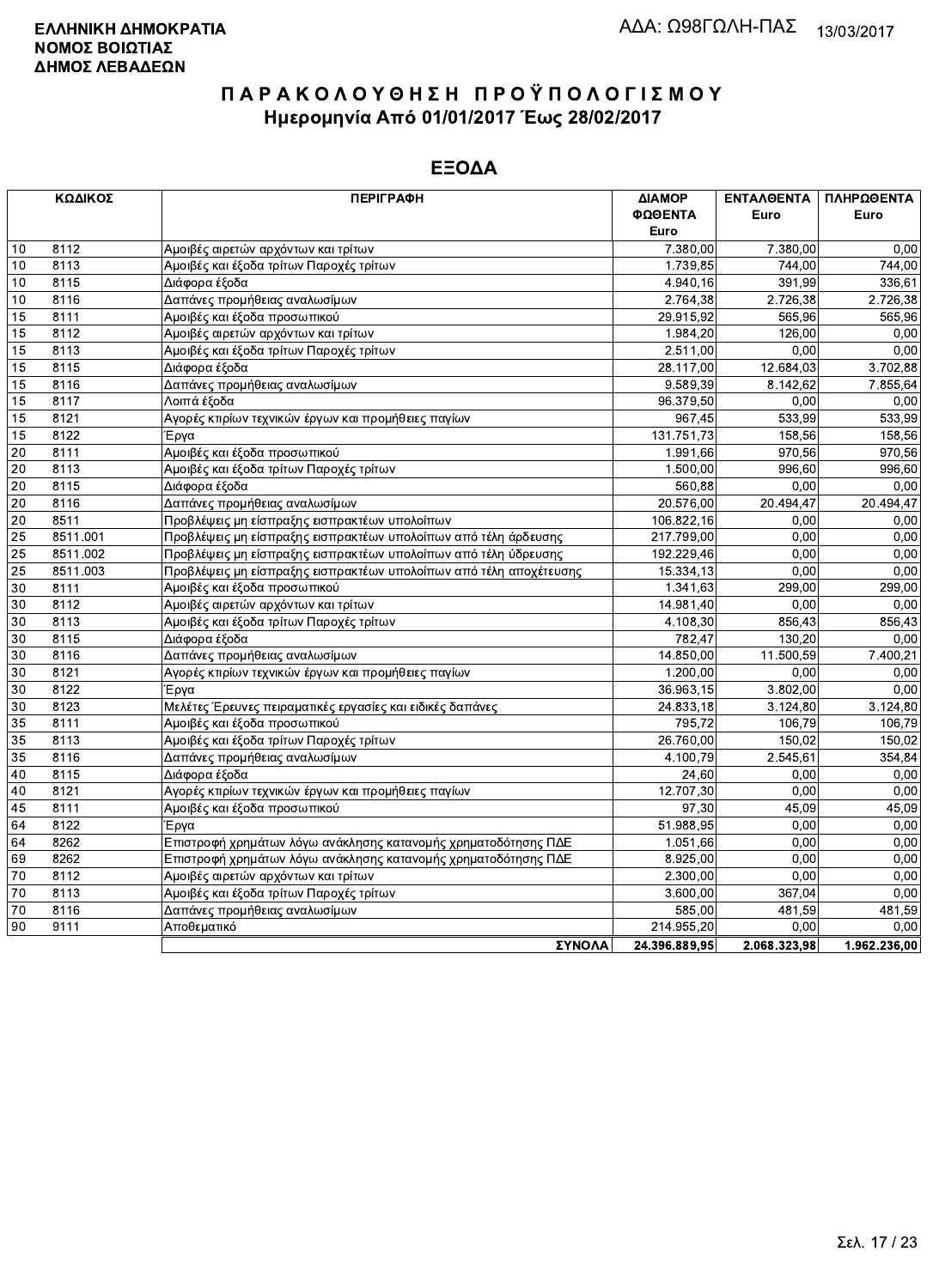| ΚΩΔΙΚΟΣ                     | <b>ПЕРІГРАФН</b>                                                   | ΔΙΑΜΟΡ        | ΕΝΤΑΛΘΕΝΤΑ   | ΠΛΗΡΩΘΕΝΤΑ   |
|-----------------------------|--------------------------------------------------------------------|---------------|--------------|--------------|
|                             |                                                                    | ΦΩΘΕΝΤΑ       | Euro         | Euro         |
|                             |                                                                    | Euro          |              |              |
| 8112<br>10                  | Αμοιβές αιρετών αρχόντων και τρίτων                                | 7.380,00      | 7.380,00     | 0,00         |
| 10<br>8113                  | Αμοιβές και έξοδα τρίτων Παροχές τρίτων                            | 1.739,85      | 744,00       | 744,00       |
| 10<br>8115                  | Διάφορα έξοδα                                                      | 4.940,16      | 391.99       | 336,61       |
| 8116<br>10                  | Δαπάνες προμήθειας αναλωσίμων                                      | 2.764,38      | 2.726,38     | 2.726,38     |
| 15<br>8111                  | Αμοιβές και έξοδα προσωπικού                                       | 29.915,92     | 565,96       | 565,96       |
| 15<br>8112                  | Αμοιβές αιρετών αρχόντων και τρίτων                                | 1.984,20      | 126,00       | 0,00         |
| 8113<br>15                  | Αμοιβές και έξοδα τρίτων Παροχές τρίτων                            | 2.511,00      | 0,00         | 0,00         |
| 15<br>8115                  | Διάφορα έξοδα                                                      | 28.117,00     | 12.684,03    | 3.702,88     |
| 15<br>8116                  | Δαπάνες προμήθειας αναλωσίμων                                      | 9.589,39      | 8.142,62     | 7.855,64     |
| 15<br>8117                  | Λοιπά έξοδα                                                        | 96.379,50     | 0.00         | 0,00         |
| $\overline{15}$<br>8121     | Αγορές κτιρίων τεχνικών έργων και προμήθειες παγίων                | 967,45        | 533,99       | 533,99       |
| 8122<br>15                  | Έργα                                                               | 131.751,73    | 158,56       | 158,56       |
| 8111<br>20                  | Αμοιβές και έξοδα προσωπικού                                       | 1.991,66      | 970,56       | 970,56       |
| 20<br>8113                  | Αμοιβές και έξοδα τρίτων Παροχές τρίτων                            | 1.500,00      | 996,60       | 996,60       |
| 20<br>8115                  | Διάφορα έξοδα                                                      | 560,88        | 0,00         | 0,00         |
| $\overline{20}$<br>8116     | Δαπάνες προμήθειας αναλωσίμων                                      | 20.576,00     | 20.494,47    | 20.494,47    |
| 8511<br>20                  | Προβλέψεις μη είσπραξης εισπρακτέων υπολοίπων                      | 106.822,16    | 0.00         | 0,00         |
| $\overline{25}$<br>8511.001 | Προβλέψεις μη είσπραξης εισπρακτέων υπολοίπων από τέλη άρδευσης    | 217.799,00    | 0,00         | 0,00         |
| 25<br>8511.002              | Προβλέψεις μη είσπραξης εισπρακτέων υπολοίπων από τέλη ύδρευσης    | 192.229,46    | 0,00         | 0,00         |
| 25<br>8511.003              | Προβλέψεις μη είσπραξης εισπρακτέων υπολοίπων από τέλη αποχέτευσης | 15.334,13     | 0.00         | 0,00         |
| 30<br>8111                  | Αμοιβές και έξοδα προσωπικού                                       | 1.341,63      | 299,00       | 299,00       |
| $\overline{30}$<br>8112     | Αμοιβές αιρετών αρχόντων και τρίτων                                | 14.981,40     | 0,00         | 0,00         |
| $\overline{30}$<br>8113     | Αμοιβές και έξοδα τρίτων Παροχές τρίτων                            | 4.108,30      | 856,43       | 856,43       |
| 30<br>8115                  | Διάφορα έξοδα                                                      | 782,47        | 130.20       | 0,00         |
| $\overline{30}$<br>8116     | Δαπάνες προμήθειας αναλωσίμων                                      | 14.850,00     | 11.500,59    | 7.400,21     |
| 8121<br>30                  | Αγορές κτιρίων τεχνικών έργων και προμήθειες παγίων                | 1.200,00      | 0,00         | 0,00         |
| 30<br>8122                  | Έργα                                                               | 36.963,15     | 3.802,00     | 0,00         |
| 30<br>8123                  | Μελέτες Έρευνες πειραματικές εργασίες και ειδικές δαπάνες          | 24.833,18     | 3.124,80     | 3.124,80     |
| 35<br>8111                  | Αμοιβές και έξοδα προσωπικού                                       | 795,72        | 106,79       | 106,79       |
| $\overline{35}$<br>8113     | Αμοιβές και έξοδα τρίτων Παροχές τρίτων                            | 26.760,00     | 150.02       | 150,02       |
| $\overline{35}$<br>8116     | Δαπάνες προμήθειας αναλωσίμων                                      | 4.100,79      | 2.545,61     | 354,84       |
| 8115<br>40                  | Διάφορα έξοδα                                                      | 24,60         | 0,00         | 0,00         |
| 8121<br>40                  | Αγορές κτιρίων τεχνικών έργων και προμήθειες παγίων                | 12.707,30     | 0,00         | 0,00         |
| 45<br>8111                  | Αμοιβές και έξοδα προσωπικού                                       | 97,30         | 45,09        | 45,09        |
| 64<br>8122                  | Έργα                                                               | 51.988,95     | 0,00         | 0,00         |
| 8262<br>64                  | Επιστροφή χρημάτων λόγω ανάκλησης κατανομής χρηματοδότησης ΠΔΕ     | 1.051,66      | 0,00         | 0,00         |
| 69<br>8262                  | Επιστροφή χρημάτων λόγω ανάκλησης κατανομής χρηματοδότησης ΠΔΕ     | 8.925,00      | 0.00         | 0,00         |
| $\overline{70}$<br>8112     | Αμοιβές αιρετών αρχόντων και τρίτων                                | 2.300,00      | 0,00         | 0,00         |
| $70\,$<br>8113              | Αμοιβές και έξοδα τρίτων Παροχές τρίτων                            | 3.600,00      | 367,04       | 0,00         |
| 70<br>8116                  | Δαπάνες προμήθειας αναλωσίμων                                      | 585,00        | 481,59       | 481,59       |
| 90<br>9111                  | Αποθεματικό                                                        | 214.955,20    | 0,00         | 0,00         |
|                             | ΣΥΝΩΛΔ                                                             | 24 396 889 95 | 2.068.323.98 | 1.962.236.00 |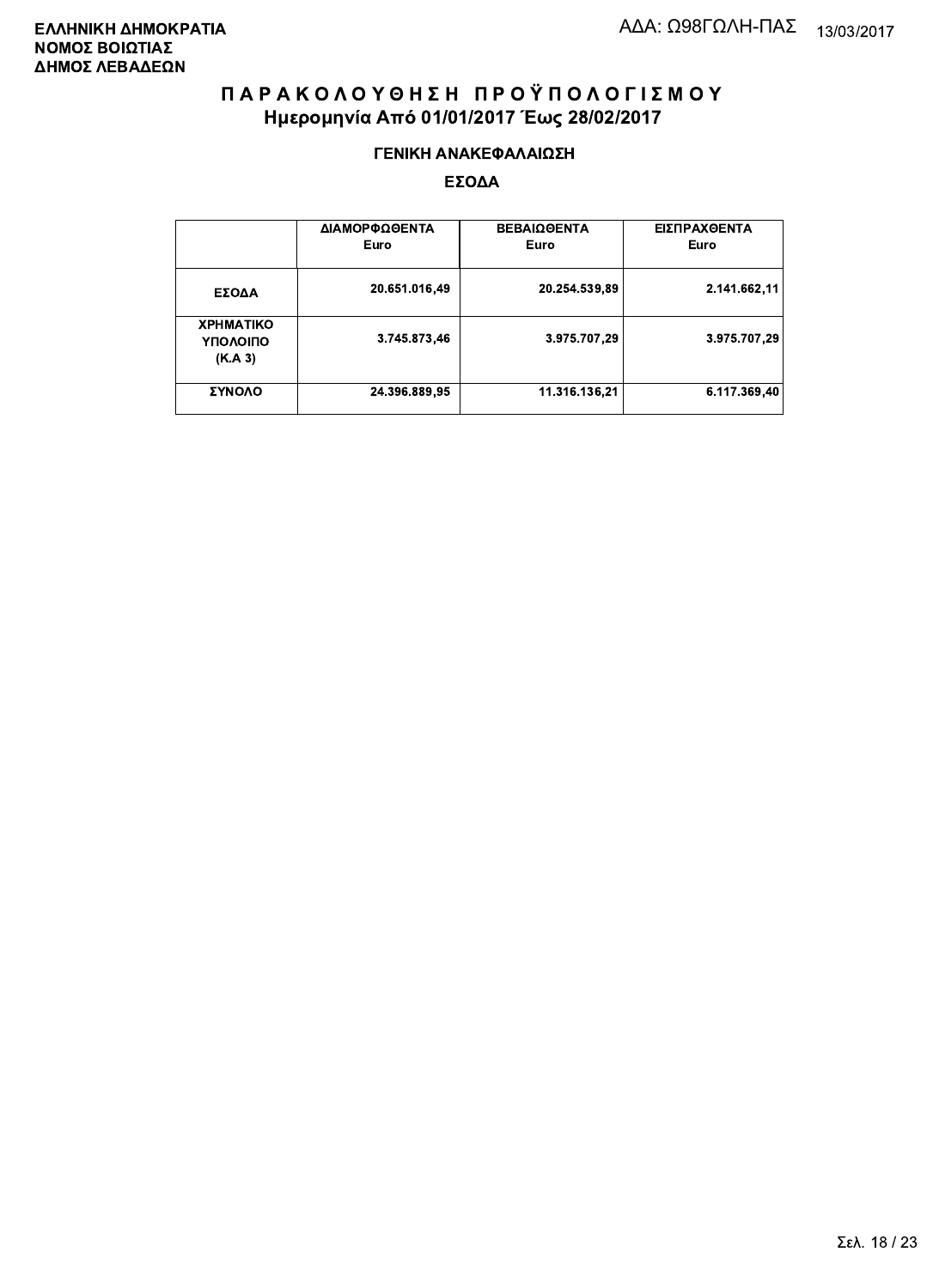#### ΓΕΝΙΚΗ ΑΝΑΚΕΦΑΛΑΙΩΣΗ

|                                         | ΔΙΑΜΟΡΦΩΘΕΝΤΑ<br>Euro | <b>ΒΕΒΑΙΩΘΕΝΤΑ</b><br>Euro | ΕΙΣΠΡΑΧΘΕΝΤΑ<br>Euro |
|-----------------------------------------|-----------------------|----------------------------|----------------------|
| ΕΣΟΔΑ                                   | 20.651.016,49         | 20.254.539,89              | 2.141.662.11         |
| <b>XPHMATIKO</b><br>ΥΠΟΛΟΙΠΟ<br>(K.A.3) | 3.745.873,46          | 3.975.707.29               | 3.975.707,29         |
| ΣΥΝΟΛΟ                                  | 24.396.889,95         | 11.316.136.21              | 6.117.369.40         |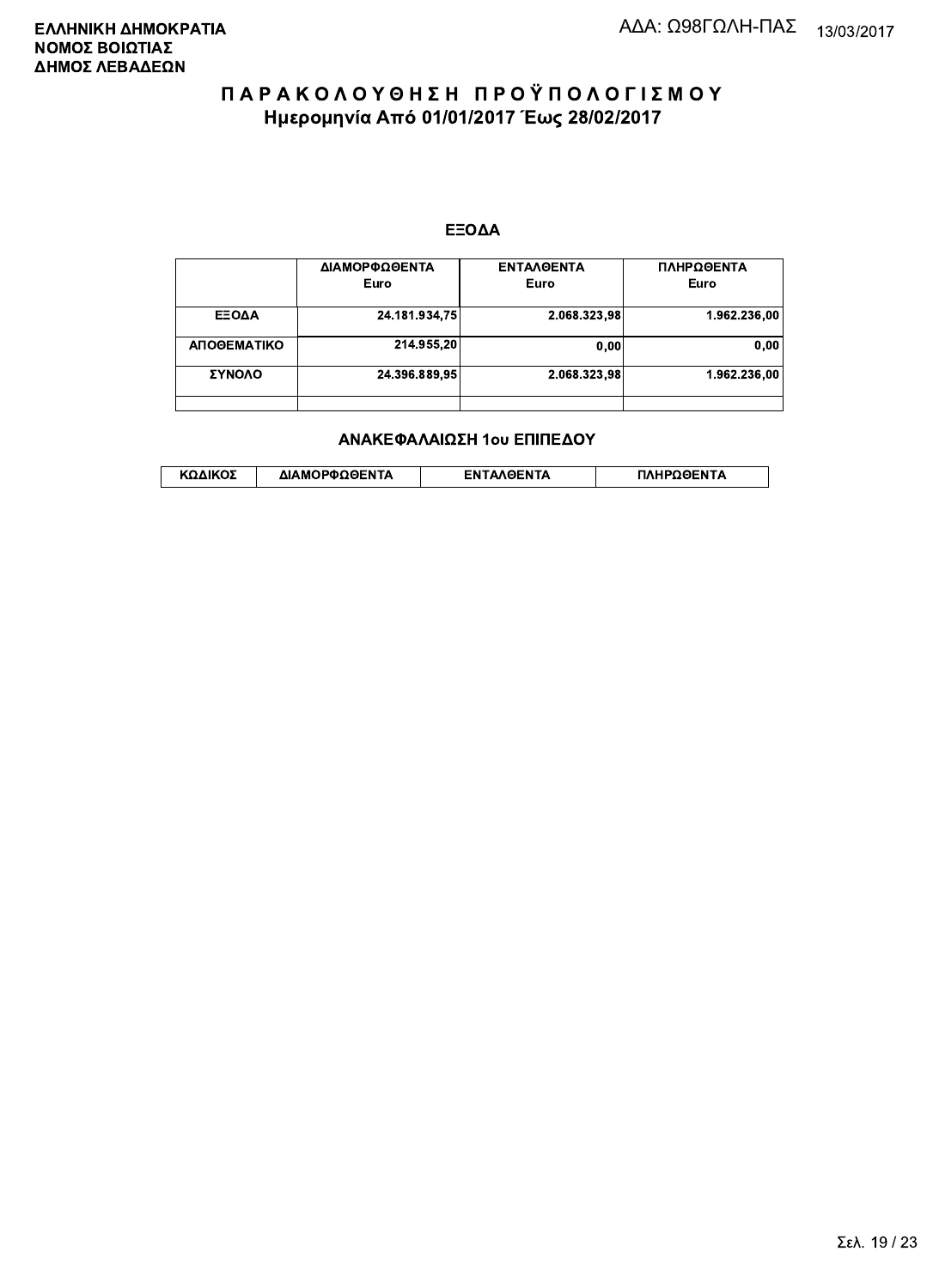#### ΕΞΟΔΑ

|             | ΔΙΑΜΟΡΦΩΘΕΝΤΑ<br>Euro | <b>ENTAAGENTA</b><br>Euro | ΠΛΗΡΩΘΕΝΤΑ<br>Euro |
|-------------|-----------------------|---------------------------|--------------------|
| ΕΞΟΔΑ       | 24.181.934,75         | 2.068.323,98              | 1.962.236,00       |
| ΑΠΟΘΕΜΑΤΙΚΟ | 214.955,20            | 0.00                      | 0,00               |
| ΣΥΝΟΛΟ      | 24.396.889,95         | 2.068.323,98              | 1.962.236.00       |
|             |                       |                           |                    |

#### ΑΝΑΚΕΦΑΛΑΙΩΣΗ 1ου ΕΠΙΠΕΔΟΥ

|  | ΚΩΔΙΚΟΣ | ΔΙΑΜΟΡΦΩΘΕΝΤΑ | <b>AOENTA</b><br>FΝ | ≀OΘFNTA |
|--|---------|---------------|---------------------|---------|
|--|---------|---------------|---------------------|---------|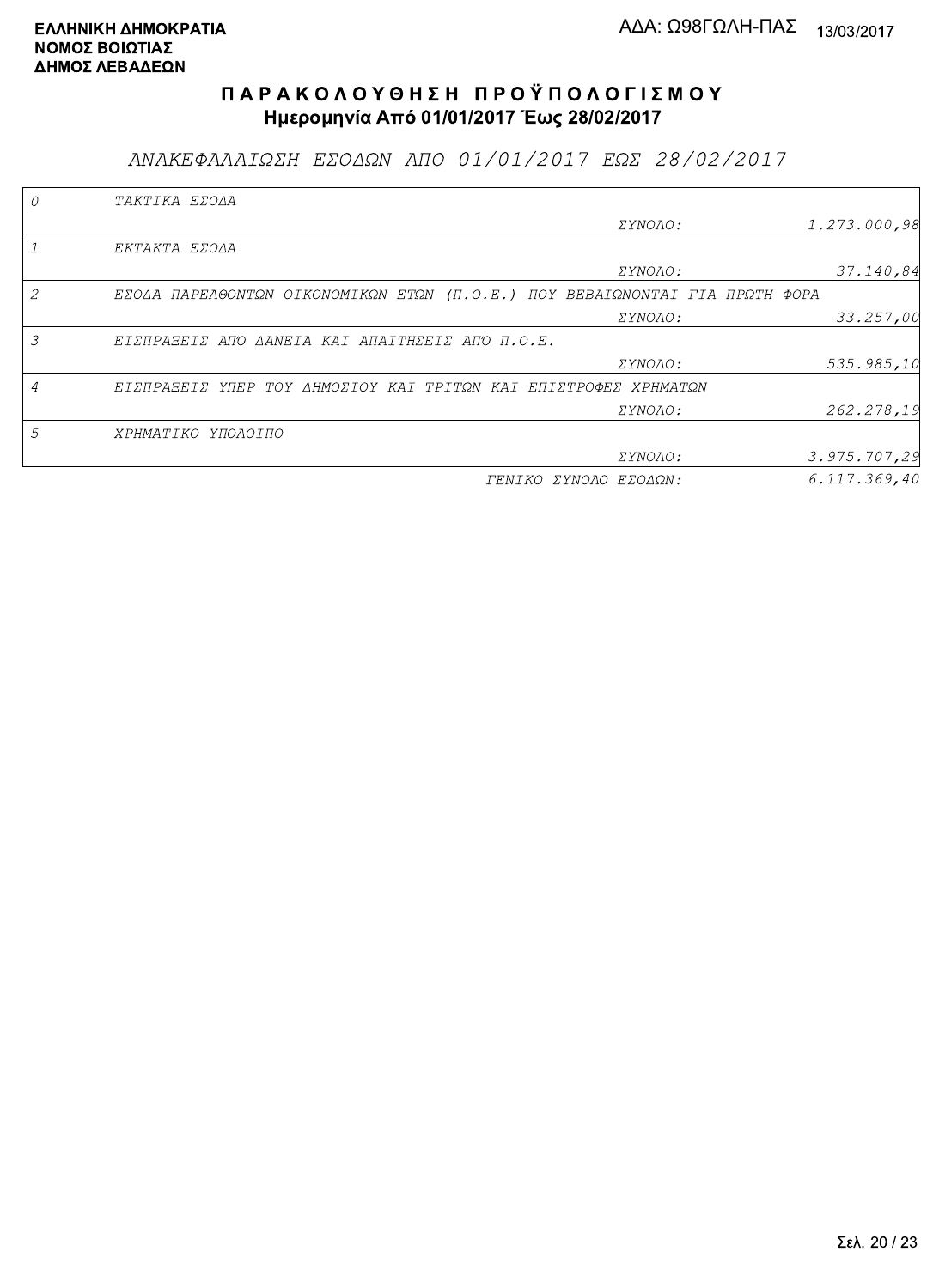ΑΝΑΚΕΦΑΛΑΙΩΣΗ ΕΣΟΔΩΝ ΑΠΟ 01/01/2017 ΕΩΣ 28/02/2017

|   | TAKTIKA EZOAA                                                               |                       |              |
|---|-----------------------------------------------------------------------------|-----------------------|--------------|
|   |                                                                             | <i>EYNOAO:</i>        | 1.273.000,98 |
|   | EKTAKTA EZOAA                                                               |                       |              |
|   |                                                                             | ΣΥΝΟΛΟ:               | 37.140,84    |
| 2 | EZOAA ΠΑΡΕΛΘΟΝΤΩΝ ΟΙΚΟΝΟΜΙΚΩΝ ΕΤΩΝ (Π.Ο.Ε.) ΠΟΥ ΒΕΒΑΙΩΝΟΝΤΑΙ ΓΙΑ ΠΡΩΤΗ ΦΟΡΑ |                       |              |
|   |                                                                             | <i>EYNOAO:</i>        | 33.257,00    |
| 3 | EIZNPASEIZ ANO AANEIA KAI ANAITHZEIZ ANO N.O.E.                             |                       |              |
|   |                                                                             | ΣΥΝΟΛΟ:               | 535.985,10   |
|   | ΕΙΣΠΡΑΞΕΙΣ ΥΠΕΡ ΤΟΥ ΔΗΜΟΣΙΟΥ ΚΑΙ ΤΡΙΤΩΝ ΚΑΙ ΕΠΙΣΤΡΟΦΕΣ ΧΡΗΜΑΤΩΝ             |                       |              |
|   |                                                                             | ΣΥΝΟΛΟ:               | 262.278,19   |
| 5 | ΧΡΗΜΑΤΙΚΟ ΥΠΟΛΟΙΠΟ                                                          |                       |              |
|   |                                                                             | <i>EYNOAO:</i>        | 3.975.707,29 |
|   |                                                                             | ΓΕΝΙΚΟ ΣΥΝΟΛΟ ΕΣΟΔΩΝ: | 6.117.369.40 |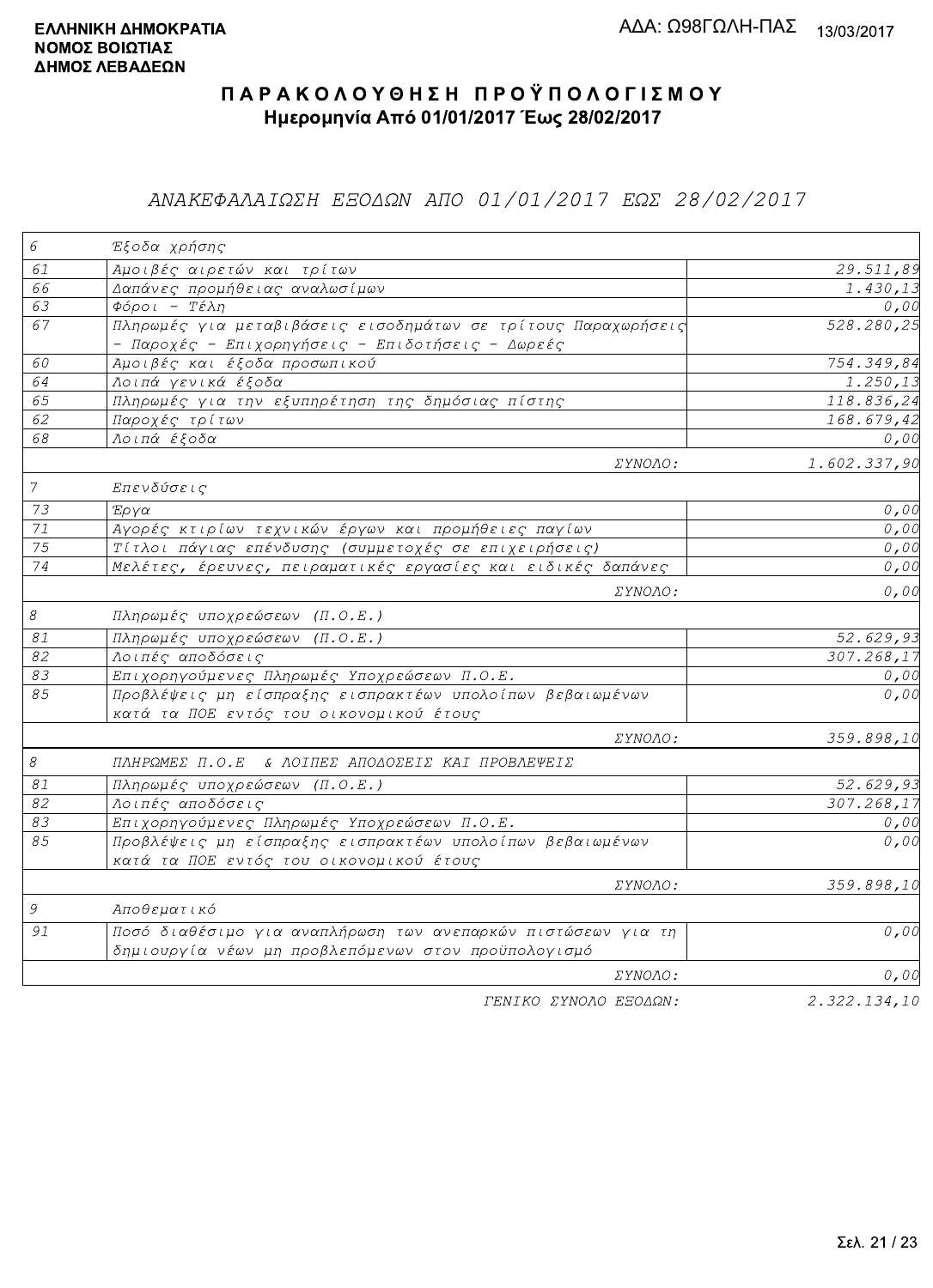## ΑΝΑΚΕΦΑΛΑΙΩΣΗ ΕΞΟΔΩΝ ΑΠΟ 01/01/2017 ΕΩΣ 28/02/2017

| 6                         | Έξοδα χρήσης                                                                                                        |              |
|---------------------------|---------------------------------------------------------------------------------------------------------------------|--------------|
| 61                        | Αμοιβές αιρετών και τρίτων                                                                                          | 29.511,89    |
| 66                        | Δαπάνες προμήθειας αναλωσίμων                                                                                       | 1.430,13     |
| 63                        | $\Phi$ όροι - Τέλη                                                                                                  | 0,00         |
| 67                        | Πληρωμές για μεταβιβάσεις εισοδημάτων σε τρίτους Παραχωρήσεις<br>- Παροχές - Επιχορηγήσεις - Επιδοτήσεις - Δωρεές   | 528.280,25   |
| 60                        | Αμοιβές και έξοδα προσωπικού                                                                                        | 754.349,84   |
| 64                        | Λοιπά γενικά έξοδα                                                                                                  | 1.250, 13    |
| 65                        | Πληρωμές για την εξυπηρέτηση της δημόσιας πίστης                                                                    | 118.836,24   |
| 62                        | Παροχές τρίτων                                                                                                      | 168.679,42   |
| 68                        | Λοιπά έξοδα                                                                                                         | 0,00         |
|                           | ΣΥΝΟΛΟ:                                                                                                             | 1.602.337,90 |
| $\overline{7}$            | Επενδύσεις                                                                                                          |              |
| 73                        | Έργα                                                                                                                | 0,00         |
| 71                        | Αγορές κτιρίων τεχνικών έργων και προμήθειες παγίων                                                                 | 0,00         |
| 75                        | Τίτλοι πάγιας επένδυσης (συμμετοχές σε επιχειρήσεις)                                                                | 0,00         |
| $\overline{74}$           | Μελέτες, έρευνες, πειραματικές εργασίες και ειδικές δαπάνες                                                         | 0,00         |
|                           | ΣΥΝΟΛΟ:                                                                                                             | 0,00         |
| $\mathcal S$              | Πληρωμές υποχρεώσεων (Π.Ο.Ε.)                                                                                       |              |
| $\mathcal{S} \mathcal{1}$ | Πληρωμές υποχρεώσεων (Π.Ο.Ε.)                                                                                       | 52.629,93    |
| 82                        | Λοιπές αποδόσεις                                                                                                    | 307.268,17   |
| 83                        | Επιχορηγούμενες Πληρωμές Υποχρεώσεων Π.Ο.Ε.                                                                         | 0,00         |
| 85                        | Προβλέψεις μη είσπραξης εισπρακτέων υπολοίπων βεβαιωμένων<br>κατά τα ΠΟΕ εντός του οικονομικού έτους                | 0,00         |
|                           | ΣΥΝΟΛΟ:                                                                                                             | 359.898,10   |
| $\mathcal S$              | ΠΛΗΡΩΜΕΣ Π.Ο.Ε & ΛΟΙΠΕΣ ΑΠΟΔΟΣΕΙΣ ΚΑΙ ΠΡΟΒΛΕΨΕΙΣ                                                                    |              |
| 81                        | Πληρωμές υποχρεώσεων (Π.Ο.Ε.)                                                                                       | 52.629,93    |
| $\overline{82}$           | Λοιπές αποδόσεις                                                                                                    | 307.268,17   |
| 83                        | Επιχορηγούμενες Πληρωμές Υποχρεώσεων Π.Ο.Ε.                                                                         | 0,00         |
| 85                        | Προβλέψεις μη είσπραξης εισπρακτέων υπολοίπων βεβαιωμένων<br>κατά τα ΠΟΕ εντός του οικονομικού έτους                | 0,00         |
|                           | ΣΥΝΟΛΟ:                                                                                                             | 359.898,10   |
| 9                         | Αποθεματικό                                                                                                         |              |
| 91                        | Ποσό διαθέσιμο για αναπλήρωση των ανεπαρκών πιστώσεων για τη<br>δημιουργία νέων μη προβλεπόμενων στον προϋπολογισμό | 0,00         |
|                           | ΣΥΝΟΛΟ:                                                                                                             | 0,00         |
|                           | ΓΕΝΙΚΟ ΣΥΝΟΛΟ ΕΞΟΔΩΝ:                                                                                               | 2.322.134,10 |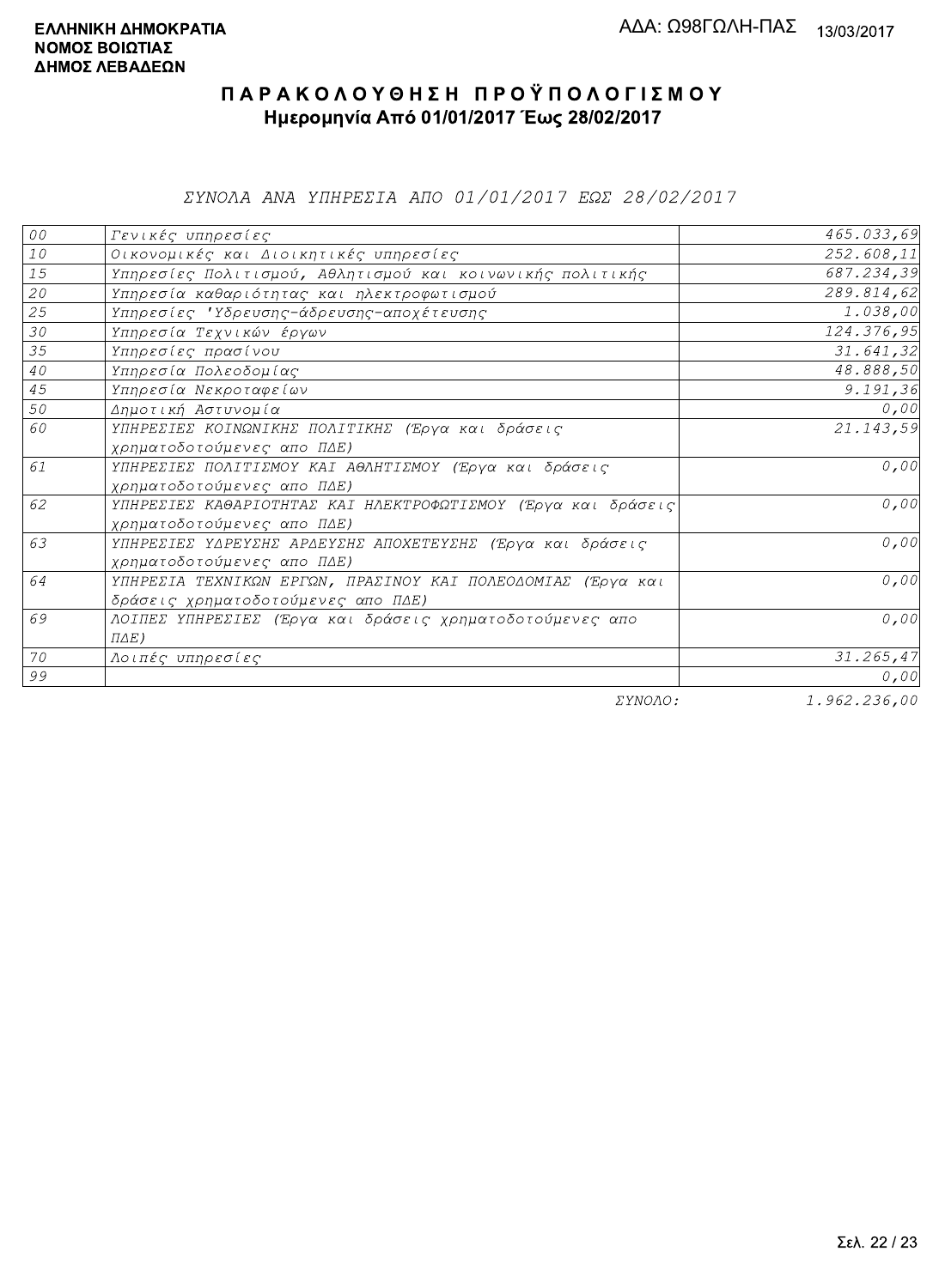ΣΥΝΟΛΑ ΑΝΑ ΥΠΗΡΕΣΙΑ ΑΠΟ 01/01/2017 ΕΩΣ 28/02/2017

| 00     | Γενικές υπηρεσίες                                             | 465.033,69  |
|--------|---------------------------------------------------------------|-------------|
| $10$   | Οικονομικές και Διοικητικές υπηρεσίες                         | 252.608, 11 |
| 15     | Υπηρεσίες Πολιτισμού, Αθλητισμού και κοινωνικής πολιτικής     | 687.234,39  |
| 20     | Υπηρεσία καθαριότητας και ηλεκτροφωτισμού                     | 289.814,62  |
| 25     | Υπηρεσίες 'Υδρευσης-άδρευσης-αποχέτευσης                      | 1.038,00    |
| 30     | Υπηρεσία Τεχνικών έργων                                       | 124.376,95  |
| 35     | Υπηρεσίες πρασίνου                                            | 31.641,32   |
| $4\,0$ | Υπηρεσία Πολεοδομίας                                          | 48.888,50   |
| 45     | Υπηρεσία Νεκροταφείων                                         | 9.191, 36   |
| 50     | Δημοτική Αστυνομία                                            | 0,00        |
| 60     | ΥΠΗΡΕΣΙΕΣ ΚΟΙΝΩΝΙΚΗΣ ΠΟΛΙΤΙΚΗΣ (Έργα και δράσεις              | 21.143,59   |
|        | χρηματοδοτούμενες απο ΠΔΕ)                                    |             |
| 61     | ΥΠΗΡΕΣΙΕΣ ΠΟΛΙΤΙΣΜΟΥ ΚΑΙ ΑΘΛΗΤΙΣΜΟΥ (Έργα και δράσεις         | 0,00        |
|        | χρηματοδοτούμενες απο ΠΔΕ)                                    |             |
| 62     | ΥΠΗΡΕΣΙΕΣ ΚΑΘΑΡΙΟΤΗΤΑΣ ΚΑΙ ΗΛΕΚΤΡΟΦΩΤΙΣΜΟΥ (Έργα και δράσεις) | 0,00        |
|        | χρηματοδοτούμενες απο ΠΔΕ)                                    |             |
| 63     | ΥΠΗΡΕΣΙΕΣ ΥΔΡΕΥΣΗΣ ΑΡΔΕΥΣΗΣ ΑΠΟΧΕΤΕΥΣΗΣ (Έργα και δράσεις     | 0,00        |
|        | χρηματοδοτούμενες απο ΠΔΕ)                                    |             |
| 64     | ΥΠΗΡΕΣΙΑ ΤΕΧΝΙΚΩΝ ΕΡΓΩΝ, ΠΡΑΣΙΝΟΥ ΚΑΙ ΠΟΛΕΟΔΟΜΙΑΣ (Έργα και   | 0,00        |
|        | δράσεις χρηματοδοτούμενες απο ΠΔΕ)                            |             |
| 69     | ΛΟΙΠΕΣ ΥΠΗΡΕΣΙΕΣ (Έργα και δράσεις χρηματοδοτούμενες απο      | 0,00        |
|        | $\Pi \Delta E$ )                                              |             |
| 70     | Λοιπές υπηρεσίες                                              | 31.265, 47  |
| 99     |                                                               | 0,00        |
|        | $    -$                                                       | 1.000000000 |

ΣΥΝΟΛΟ:

1.962.236,00